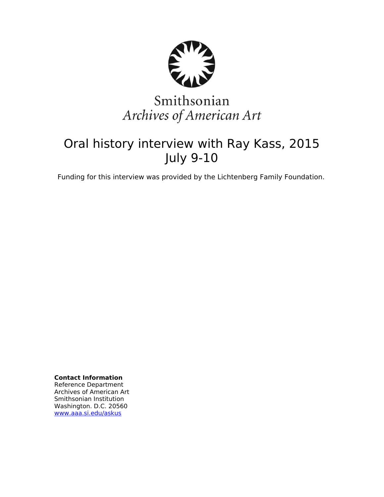

# Smithsonian Archives of American Art

# Oral history interview with Ray Kass, 2015 July 9-10

Funding for this interview was provided by the Lichtenberg Family Foundation.

**Contact Information** Reference Department Archives of American Art Smithsonian Institution Washington. D.C. 20560 [www.aaa.si.edu/askus](http://www.aaa.si.edu/askus)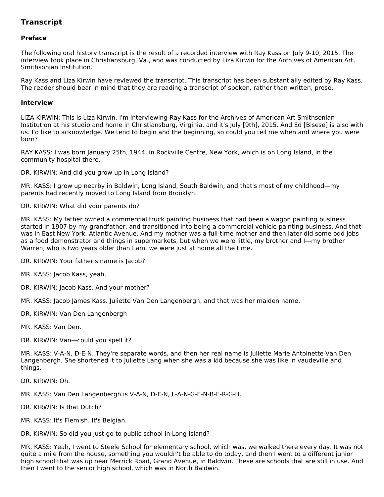# **Transcript**

# **Preface**

The following oral history transcript is the result of a recorded interview with Ray Kass on July 9-10, 2015. The interview took place in Christiansburg, Va., and was conducted by Liza Kirwin for the Archives of American Art, Smithsonian Institution.

Ray Kass and Liza Kirwin have reviewed the transcript. This transcript has been substantially edited by Ray Kass. The reader should bear in mind that they are reading a transcript of spoken, rather than written, prose.

#### **Interview**

LIZA KIRWIN: This is Liza Kirwin. I'm interviewing Ray Kass for the Archives of American Art Smithsonian Institution at his studio and home in Christiansburg, Virginia, and it's July [9th], 2015. And Ed [Bisese] is also with us. I'd like to acknowledge. We tend to begin and the beginning, so could you tell me when and where you were born?

RAY KASS: I was born January 25th, 1944, in Rockville Centre, New York, which is on Long Island, in the community hospital there.

DR. KIRWIN: And did you grow up in Long Island?

MR. KASS: I grew up nearby in Baldwin, Long Island, South Baldwin, and that's most of my childhood—my parents had recently moved to Long Island from Brooklyn.

DR. KIRWIN: What did your parents do?

MR. KASS: My father owned a commercial truck painting business that had been a wagon painting business started in 1907 by my grandfather, and transitioned into being a commercial vehicle painting business. And that was in East New York, Atlantic Avenue. And my mother was a full-time mother and then later did some odd jobs as a food demonstrator and things in supermarkets, but when we were little, my brother and I—my brother Warren, who is two years older than I am, we were just at home all the time.

DR. KIRWIN: Your father's name is Jacob?

MR. KASS: Jacob Kass, yeah.

DR. KIRWIN: Jacob Kass. And your mother?

MR. KASS: Jacob James Kass. Juliette Van Den Langenbergh, and that was her maiden name.

DR. KIRWIN: Van Den Langenbergh

MR. KASS: Van Den.

DR. KIRWIN: Van—could you spell it?

MR. KASS: V-A-N, D-E-N. They're separate words, and then her real name is Juliette Marie Antoinette Van Den Langenbergh. She shortened it to Juliette Lang when she was a kid because she was like in vaudeville and things.

DR. KIRWIN: Oh.

MR. KASS: Van Den Langenbergh is V-A-N, D-E-N, L-A-N-G-E-N-B-E-R-G-H.

DR. KIRWIN: Is that Dutch?

MR. KASS: It's Flemish. It's Belgian.

DR. KIRWIN: So did you just go to public school in Long Island?

MR. KASS: Yeah, I went to Steele School for elementary school, which was, we walked there every day. It was not quite a mile from the house, something you wouldn't be able to do today, and then I went to a different junior high school that was up near Merrick Road, Grand Avenue, in Baldwin. These are schools that are still in use. And then I went to the senior high school, which was in North Baldwin.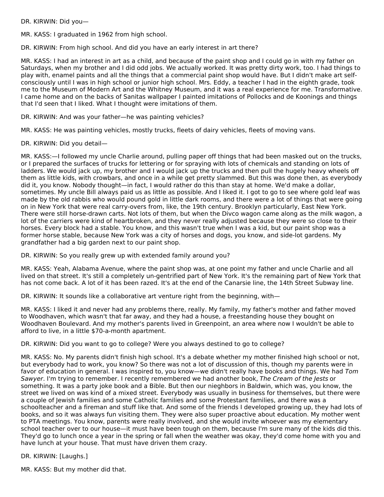DR. KIRWIN: Did you—

MR. KASS: I graduated in 1962 from high school.

DR. KIRWIN: From high school. And did you have an early interest in art there?

MR. KASS: I had an interest in art as a child, and because of the paint shop and I could go in with my father on Saturdays, when my brother and I did odd jobs. We actually worked. It was pretty dirty work, too. I had things to play with, enamel paints and all the things that a commercial paint shop would have. But I didn't make art selfconsciously until I was in high school or junior high school. Mrs. Eddy, a teacher I had in the eighth grade, took me to the Museum of Modern Art and the Whitney Museum, and it was a real experience for me. Transformative. I came home and on the backs of Sanitas wallpaper I painted imitations of Pollocks and de Koonings and things that I'd seen that I liked. What I thought were imitations of them.

DR. KIRWIN: And was your father—he was painting vehicles?

MR. KASS: He was painting vehicles, mostly trucks, fleets of dairy vehicles, fleets of moving vans.

DR. KIRWIN: Did you detail—

MR. KASS:—I followed my uncle Charlie around, pulling paper off things that had been masked out on the trucks, or I prepared the surfaces of trucks for lettering or for spraying with lots of chemicals and standing on lots of ladders. We would jack up, my brother and I would jack up the trucks and then pull the hugely heavy wheels off them as little kids, with crowbars, and once in a while get pretty slammed. But this was done then, as everybody did it, you know. Nobody thought—in fact, I would rather do this than stay at home. We'd make a dollar, sometimes. My uncle Bill always paid us as little as possible. And I liked it. I got to go to see where gold leaf was made by the old rabbis who would pound gold in little dark rooms, and there were a lot of things that were going on in New York that were real carry-overs from, like, the 19th century. Brooklyn particularly, East New York. There were still horse-drawn carts. Not lots of them, but when the Divco wagon came along as the milk wagon, a lot of the carriers were kind of heartbroken, and they never really adjusted because they were so close to their horses. Every block had a stable. You know, and this wasn't true when I was a kid, but our paint shop was a former horse stable, because New York was a city of horses and dogs, you know, and side-lot gardens. My grandfather had a big garden next to our paint shop.

DR. KIRWIN: So you really grew up with extended family around you?

MR. KASS: Yeah, Alabama Avenue, where the paint shop was, at one point my father and uncle Charlie and all lived on that street. It's still a completely un-gentrified part of New York. It's the remaining part of New York that has not come back. A lot of it has been razed. It's at the end of the Canarsie line, the 14th Street Subway line.

DR. KIRWIN: It sounds like a collaborative art venture right from the beginning, with—

MR. KASS: I liked it and never had any problems there, really. My family, my father's mother and father moved to Woodhaven, which wasn't that far away, and they had a house, a freestanding house they bought on Woodhaven Boulevard. And my mother's parents lived in Greenpoint, an area where now I wouldn't be able to afford to live, in a little \$70-a-month apartment.

DR. KIRWIN: Did you want to go to college? Were you always destined to go to college?

MR. KASS: No. My parents didn't finish high school. It's a debate whether my mother finished high school or not, but everybody had to work, you know? So there was not a lot of discussion of this, though my parents were in favor of education in general. I was inspired to, you know—we didn't really have books and things. We had Tom Sawyer. I'm trying to remember. I recently remembered we had another book, The Cream of the Jests or something. It was a party joke book and a Bible. But then our nieghbors in Baldwin, which was, you know, the street we lived on was kind of a mixed street. Everybody was usually in business for themselves, but there were a couple of Jewish families and some Catholic families and some Protestant families, and there was a schoolteacher and a fireman and stuff like that. And some of the friends I developed growing up, they had lots of books, and so it was always fun visiting them. They were also super proactive about education. My mother went to PTA meetings. You know, parents were really involved, and she would invite whoever was my elementary school teacher over to our house—it must have been tough on them, because I'm sure many of the kids did this. They'd go to lunch once a year in the spring or fall when the weather was okay, they'd come home with you and have lunch at your house. That must have driven them crazy.

DR. KIRWIN: [Laughs.]

MR. KASS: But my mother did that.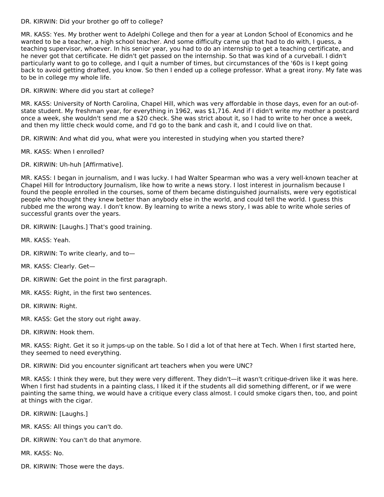#### DR. KIRWIN: Did your brother go off to college?

MR. KASS: Yes. My brother went to Adelphi College and then for a year at London School of Economics and he wanted to be a teacher, a high school teacher. And some difficulty came up that had to do with, I guess, a teaching supervisor, whoever. In his senior year, you had to do an internship to get a teaching certificate, and he never got that certificate. He didn't get passed on the internship. So that was kind of a curveball. I didn't particularly want to go to college, and I quit a number of times, but circumstances of the '60s is I kept going back to avoid getting drafted, you know. So then I ended up a college professor. What a great irony. My fate was to be in college my whole life.

DR. KIRWIN: Where did you start at college?

MR. KASS: University of North Carolina, Chapel Hill, which was very affordable in those days, even for an out-ofstate student. My freshman year, for everything in 1962, was \$1,716. And if I didn't write my mother a postcard once a week, she wouldn't send me a \$20 check. She was strict about it, so I had to write to her once a week, and then my little check would come, and I'd go to the bank and cash it, and I could live on that.

DR. KIRWIN: And what did you, what were you interested in studying when you started there?

- MR. KASS: When I enrolled?
- DR. KIRWIN: Uh-huh [Affirmative].

MR. KASS: I began in journalism, and I was lucky. I had Walter Spearman who was a very well-known teacher at Chapel Hill for Introductory Journalism, like how to write a news story. I lost interest in journalism because I found the people enrolled in the courses, some of them became distinguished journalists, were very egotistical people who thought they knew better than anybody else in the world, and could tell the world. I guess this rubbed me the wrong way. I don't know. By learning to write a news story, I was able to write whole series of successful grants over the years.

DR. KIRWIN: [Laughs.] That's good training.

- MR. KASS: Yeah.
- DR. KIRWIN: To write clearly, and to—
- MR. KASS: Clearly. Get—
- DR. KIRWIN: Get the point in the first paragraph.
- MR. KASS: Right, in the first two sentences.
- DR. KIRWIN: Right.
- MR. KASS: Get the story out right away.
- DR. KIRWIN: Hook them.

MR. KASS: Right. Get it so it jumps-up on the table. So I did a lot of that here at Tech. When I first started here, they seemed to need everything.

DR. KIRWIN: Did you encounter significant art teachers when you were UNC?

MR. KASS: I think they were, but they were very different. They didn't—it wasn't critique-driven like it was here. When I first had students in a painting class, I liked it if the students all did something different, or if we were painting the same thing, we would have a critique every class almost. I could smoke cigars then, too, and point at things with the cigar.

DR. KIRWIN: [Laughs.]

- MR. KASS: All things you can't do.
- DR. KIRWIN: You can't do that anymore.

MR. KASS: No.

DR. KIRWIN: Those were the days.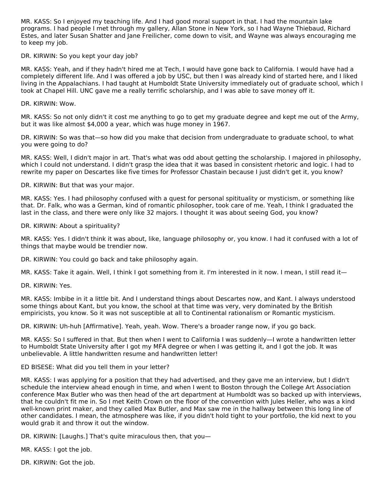MR. KASS: So I enjoyed my teaching life. And I had good moral support in that. I had the mountain lake programs. I had people I met through my gallery, Allan Stone in New York, so I had Wayne Thiebaud, Richard Estes, and later Susan Shatter and Jane Freilicher, come down to visit, and Wayne was always encouraging me to keep my job.

DR. KIRWIN: So you kept your day job?

MR. KASS: Yeah, and if they hadn't hired me at Tech, I would have gone back to California. I would have had a completely different life. And I was offered a job by USC, but then I was already kind of started here, and I liked living in the Appalachians. I had taught at Humboldt State University immediately out of graduate school, which I took at Chapel Hill. UNC gave me a really terrific scholarship, and I was able to save money off it.

DR. KIRWIN: Wow.

MR. KASS: So not only didn't it cost me anything to go to get my graduate degree and kept me out of the Army, but it was like almost \$4,000 a year, which was huge money in 1967.

DR. KIRWIN: So was that—so how did you make that decision from undergraduate to graduate school, to what you were going to do?

MR. KASS: Well, I didn't major in art. That's what was odd about getting the scholarship. I majored in philosophy, which I could not understand. I didn't grasp the idea that it was based in consistent rhetoric and logic. I had to rewrite my paper on Descartes like five times for Professor Chastain because I just didn't get it, you know?

DR. KIRWIN: But that was your major.

MR. KASS: Yes. I had philosophy confused with a quest for personal spitituality or mysticism, or something like that. Dr. Falk, who was a German, kind of romantic philosopher, took care of me. Yeah, I think I graduated the last in the class, and there were only like 32 majors. I thought it was about seeing God, you know?

DR. KIRWIN: About a spirituality?

MR. KASS: Yes. I didn't think it was about, like, language philosophy or, you know. I had it confused with a lot of things that maybe would be trendier now.

DR. KIRWIN: You could go back and take philosophy again.

MR. KASS: Take it again. Well, I think I got something from it. I'm interested in it now. I mean, I still read it—

DR. KIRWIN: Yes.

MR. KASS: Imbibe in it a little bit. And I understand things about Descartes now, and Kant. I always understood some things about Kant, but you know, the school at that time was very, very dominated by the British empiricists, you know. So it was not susceptible at all to Continental rationalism or Romantic mysticism.

DR. KIRWIN: Uh-huh [Affirmative]. Yeah, yeah. Wow. There's a broader range now, if you go back.

MR. KASS: So I suffered in that. But then when I went to California I was suddenly—I wrote a handwritten letter to Humboldt State University after I got my MFA degree or when I was getting it, and I got the job. It was unbelievable. A little handwritten resume and handwritten letter!

ED BISESE: What did you tell them in your letter?

MR. KASS: I was applying for a position that they had advertised, and they gave me an interview, but I didn't schedule the interview ahead enough in time, and when I went to Boston through the College Art Association conference Max Butler who was then head of the art department at Humboldt was so backed up with interviews, that he couldn't fit me in. So I met Keith Crown on the floor of the convention with Jules Heller, who was a kind well-known print maker, and they called Max Butler, and Max saw me in the hallway between this long line of other candidates. I mean, the atmosphere was like, if you didn't hold tight to your portfolio, the kid next to you would grab it and throw it out the window.

DR. KIRWIN: [Laughs.] That's quite miraculous then, that you—

MR. KASS: I got the job.

DR. KIRWIN: Got the job.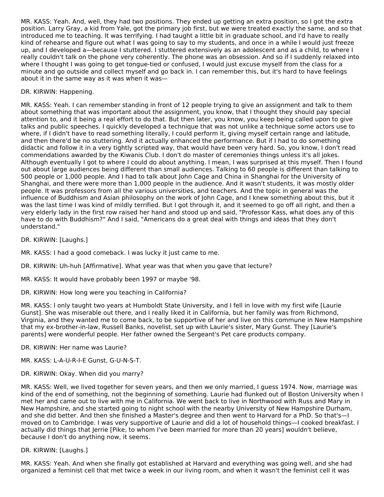MR. KASS: Yeah. And, well, they had two positions. They ended up getting an extra position, so I got the extra position. Larry Gray, a kid from Yale, got the primary job first, but we were treated exactly the same, and so that introduced me to teaching. It was terrifying. I had taught a little bit in graduate school, and I'd have to really kind of rehearse and figure out what I was going to say to my students, and once in a while I would just freeze up, and I developed a—because I stuttered. I stuttered extensively as an adolescent and as a child, to where I really couldn't talk on the phone very coherently. The phone was an obsession. And so if I suddenly relaxed into where I thought I was going to get tongue-tied or confused, I would just excuse myself from the class for a minute and go outside and collect myself and go back in. I can remember this, but it's hard to have feelings about it in the same way as it was when it was—

# DR. KIRWIN: Happening.

MR. KASS: Yeah. I can remember standing in front of 12 people trying to give an assignment and talk to them about something that was important about the assignment, you know, that I thought they should pay special attention to, and it being a real effort to do that. But then later, you know, you keep being called upon to give talks and public speeches. I quickly developed a technique that was not unlike a technique some actors use to where, if I didn't have to read something literally, I could perform it, giving myself certain range and latitude, and then there'd be no stuttering. And it actually enhanced the performance. But if I had to do something didactic and follow it in a very tightly scripted way, that would have been very hard. So, you know, I don't read commendations awarded by the Kiwanis Club. I don't do master of ceremonies things unless it's all jokes. Although eventually I got to where I could do about anything. I mean, I was surprised at this myself. Then I found out about large audiences being different than small audiences. Talking to 60 people is different than talking to 500 people or 1,000 people. And I had to talk about John Cage and China in Shanghai for the University of Shanghai, and there were more than 1,000 people in the audience. And it wasn't students, it was mostly older people. It was professors from all the various universities, and teachers. And the topic in general was the influence of Buddhism and Asian philosophy on the work of John Cage, and I knew something about this, but it was the last time I was kind of mildly terrified. But I got through it, and it seemed to go off all right, and then a very elderly lady in the first row raised her hand and stood up and said, "Professor Kass, what does any of this have to do with Buddhism?" And I said, "Americans do a great deal with things and ideas that they don't understand."

DR. KIRWIN: [Laughs.]

MR. KASS: I had a good comeback. I was lucky it just came to me.

DR. KIRWIN: Uh-huh [Affirmative]. What year was that when you gave that lecture?

MR. KASS: It would have probably been 1997 or maybe '98.

DR. KIRWIN: How long were you teaching in California?

MR. KASS: I only taught two years at Humboldt State University, and I fell in love with my first wife [Laurie Gunst]. She was miserable out there, and I really liked it in California, but her family was from Richmond, Virginia, and they wanted me to come back, to be supportive of her and live on this commune in New Hampshire that my ex-brother-in-law, Russell Banks, novelist, set up with Laurie's sister, Mary Gunst. They [Laurie's parents] were wonderful people. Her father owned the Sergeant's Pet care products company.

DR. KIRWIN: Her name was Laurie?

MR. KASS: L-A-U-R-I-E Gunst, G-U-N-S-T.

DR. KIRWIN: Okay. When did you marry?

MR. KASS: Well, we lived together for seven years, and then we only married, I guess 1974. Now, marriage was kind of the end of something, not the beginning of something. Laurie had flunked out of Boston University when I met her and came out to live with me in California. We went back to live in Northwood with Russ and Mary in New Hampshire, and she started going to night school with the nearby University of New Hampshire Durham, and she did better. And then she finished a Master's degree and then went to Harvard for a PhD. So that's—I moved on to Cambridge. I was very supportive of Laurie and did a lot of household things—I cooked breakfast. I actually did things that Jerrie [Pike, to whom I've been married for more than 20 years] wouldn't believe, because I don't do anything now, it seems.

#### DR. KIRWIN: [Laughs.]

MR. KASS: Yeah. And when she finally got established at Harvard and everything was going well, and she had organized a feminist cell that met twice a week in our living room, and when it wasn't the feminist cell it was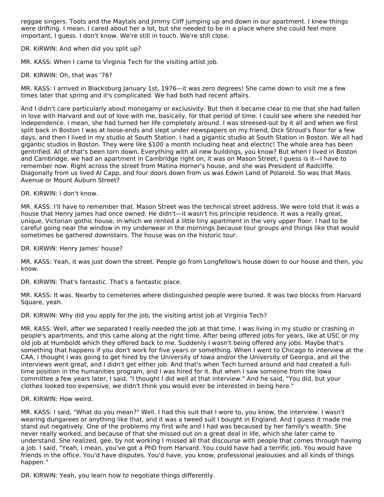reggae singers. Toots and the Maytals and Jimmy Cliff jumping up and down in our apartment. I knew things were drifting. I mean, I cared about her a lot, but she needed to be in a place where she could feel more important, I guess. I don't know. We're still in touch. We're still close.

DR. KIRWIN: And when did you split up?

MR. KASS: When I came to Virginia Tech for the visiting artist job.

#### DR. KIRWIN: Oh, that was '76?

MR. KASS: I arrived in Blacksburg January 1st, 1976—it was zero degrees! She came down to visit me a few times later that spring and it's complicated. We had both had recent affairs.

And I didn't care particularly about monogamy or exclusivity. But then it became clear to me that she had fallen in love with Harvard and out of love with me, basically, for that period of time. I could see where she needed her independence. I mean, she had turned her life completely around. I was streesed-out by it all and when we first split back in Boston I was at loose-ends and slept under newspapers on my friend, Dick Stroud's floor for a few days, and then I lived in my studio at South Station. I had a gigantic studio at South Station in Boston. We all had gigantic studios in Boston. They were like \$100 a month including heat and electric! The whole area has been gentrified. All of that's been torn down. Everything with all new buildings, you know? But when I lived in Boston and Cambridge, we had an apartment in Cambridge right on, it was on Mason Street, I guess is it—I have to remember now. Right across the street from Matina Horner's house, and she was President of Radcliffe. Diagonally from us lived Al Capp, and four doors down from us was Edwin Land of Polaroid. So was that Mass Avenue or Mount Auburn Street?

#### DR. KIRWIN: I don't know.

MR. KASS: I'll have to remember that. Mason Street was the technical street address. We were told that it was a house that Henry James had once owned. He didn't—it wasn't his principle residence. It was a really great, unique, Victorian gothic house, in-which we rented a little tiny apartment in the very upper floor. I had to be careful going near the window in my underwear in the mornings because tour groups and things like that would sometimes be gathered downstairs. The house was on the historic tour.

DR. KIRWIN: Henry James' house?

MR. KASS: Yeah, it was just down the street. People go from Longfellow's house down to our house and then, you know.

DR. KIRWIN: That's fantastic. That's a fantastic place.

MR. KASS: It was. Nearby to cemeteries where distinguished people were buried. It was two blocks from Harvard Square, yeah.

DR. KIRWIN: Why did you apply for the job, the visiting artist job at Virginia Tech?

MR. KASS: Well, after we separated I really needed the job at that time. I was living in my studio or crashing in people's apartments, and this came along at the right time. After being offered jobs for years, like at USC or my old job at Humboldt which they offered back to me. Suddenly I wasn't being offered any jobs. Maybe that's something that happens if you don't work for five years or something. When I went to Chicago to interview at the CAA, I thought I was going to get hired by the University of Iowa and/or the University of Georgia, and all the interviews went great, and I didn't get either job. And that's when Tech turned around and had created a fulltime position in the humanities program, and I was hired for it. But when I saw someone from the Iowa committee a few years later, I said, "I thought I did well at that interview." And he said, "You did, but your clothes looked too expensive, we didn't think you would ever be interested in being here."

DR. KIRWIN: How weird.

MR. KASS: I said, "What do you mean?" Well, I had this suit that I wore to, you know, the interview. I wasn't wearing dungarees or anything like that, and it was a tweed suit I bought in England. And I guess it made me stand out negatively. One of the problems my first wife and I had was becaused by her family's wealth. She never really worked, and because of that she missed out on a great deal in life, which she later came to understand. She realized, gee, by not working I missed all that discourse with people that comes through having a job. I said, "Yeah, I mean, you've got a PhD from Harvard. You could have had a terrific job. You would have friends in the office. You'd have disputes. You'd have, you know, professional jealousies and all kinds of things happen."

DR. KIRWIN: Yeah, you learn how to negotiate things differently.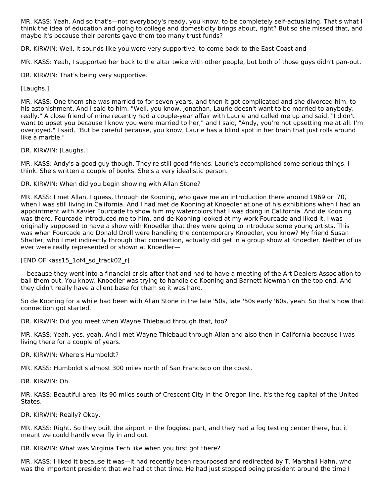MR. KASS: Yeah. And so that's—not everybody's ready, you know, to be completely self-actualizing. That's what I think the idea of education and going to college and domesticity brings about, right? But so she missed that, and maybe it's because their parents gave them too many trust funds?

DR. KIRWIN: Well, it sounds like you were very supportive, to come back to the East Coast and—

MR. KASS: Yeah, I supported her back to the altar twice with other people, but both of those guys didn't pan-out.

DR. KIRWIN: That's being very supportive.

#### [Laughs.]

MR. KASS: One them she was married to for seven years, and then it got complicated and she divorced him, to his astonishment. And I said to him, "Well, you know, Jonathan, Laurie doesn't want to be married to anybody, really." A close friend of mine recently had a couple-year affair with Laurie and called me up and said, "I didn't want to upset you because I know you were married to her," and I said, "Andy, you're not upsetting me at all. I'm overjoyed." I said, "But be careful because, you know, Laurie has a blind spot in her brain that just rolls around like a marble."

## DR. KIRWIN: [Laughs.]

MR. KASS: Andy's a good guy though. They're still good friends. Laurie's accomplished some serious things, I think. She's written a couple of books. She's a very idealistic person.

DR. KIRWIN: When did you begin showing with Allan Stone?

MR. KASS: I met Allan, I guess, through de Kooning, who gave me an introduction there around 1969 or '70, when I was still living in California. And I had met de Kooning at Knoedler at one of his exhibitions when I had an appointment with Xavier Fourcade to show him my watercolors that I was doing in California. And de Kooning was there. Fourcade introduced me to him, and de Kooning looked at my work Fourcade and liked it. I was originally supposed to have a show with Knoedler that they were going to introduce some young artists. This was when Fourcade and Donald Droll were handling the contemporary Knoedler, you know? My friend Susan Shatter, who I met indirectly through that connection, actually did get in a group show at Knoedler. Neither of us ever were really represented or shown at Knoedler—

# [END OF kass15\_1of4\_sd\_track02\_r]

—because they went into a financial crisis after that and had to have a meeting of the Art Dealers Association to bail them out. You know, Knoedler was trying to handle de Kooning and Barnett Newman on the top end. And they didn't really have a client base for them so it was hard.

So de Kooning for a while had been with Allan Stone in the late '50s, late '50s early '60s, yeah. So that's how that connection got started.

DR. KIRWIN: Did you meet when Wayne Thiebaud through that, too?

MR. KASS: Yeah, yes, yeah. And I met Wayne Thiebaud through Allan and also then in California because I was living there for a couple of years.

DR. KIRWIN: Where's Humboldt?

MR. KASS: Humboldt's almost 300 miles north of San Francisco on the coast.

DR. KIRWIN: Oh.

MR. KASS: Beautiful area. Its 90 miles south of Crescent City in the Oregon line. It's the fog capital of the United States.

DR. KIRWIN: Really? Okay.

MR. KASS: Right. So they built the airport in the foggiest part, and they had a fog testing center there, but it meant we could hardly ever fly in and out.

DR. KIRWIN: What was Virginia Tech like when you first got there?

MR. KASS: I liked it because it was—it had recently been repurposed and redirected by T. Marshall Hahn, who was the important president that we had at that time. He had just stopped being president around the time I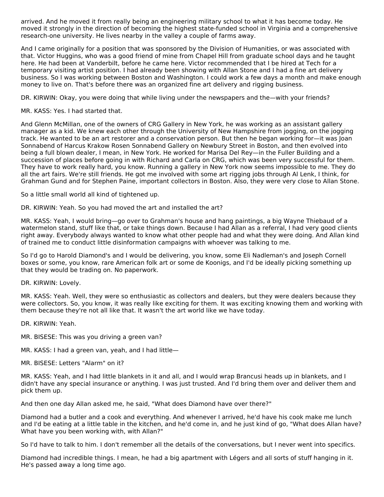arrived. And he moved it from really being an engineering military school to what it has become today. He moved it strongly in the direction of becoming the highest state-funded school in Virginia and a comprehensive research-one university. He lives nearby in the valley a couple of farms away.

And I came originally for a position that was sponsored by the Division of Humanities, or was associated with that. Victor Huggins, who was a good friend of mine from Chapel Hill from graduate school days and he taught here. He had been at Vanderbilt, before he came here. Victor recommended that I be hired at Tech for a temporary visiting artist position. I had already been showing with Allan Stone and I had a fine art delivery business. So I was working between Boston and Washington. I could work a few days a month and make enough money to live on. That's before there was an organized fine art delivery and rigging business.

DR. KIRWIN: Okay, you were doing that while living under the newspapers and the—with your friends?

## MR. KASS: Yes. I had started that.

And Glenn McMillan, one of the owners of CRG Gallery in New York, he was working as an assistant gallery manager as a kid. We knew each other through the University of New Hampshire from jogging, on the jogging track. He wanted to be an art restorer and a conservation person. But then he began working for—it was Joan Sonnabend of Harcus Krakow Rosen Sonnabend Gallery on Newbury Street in Boston, and then evolved into being a full blown dealer, I mean, in New York. He worked for Marisa Del Rey—in the Fuller Building and a succession of places before going in with Richard and Carla on CRG, which was been very successful for them. They have to work really hard, you know. Running a gallery in New York now seems impossible to me. They do all the art fairs. We're still friends. He got me involved with some art rigging jobs through Al Lenk, I think, for Grahman Gund and for Stephen Paine, important collectors in Boston. Also, they were very close to Allan Stone.

So a little small world all kind of tightened up.

DR. KIRWIN: Yeah. So you had moved the art and installed the art?

MR. KASS: Yeah, I would bring—go over to Grahman's house and hang paintings, a big Wayne Thiebaud of a watermelon stand, stuff like that, or take things down. Because I had Allan as a referral, I had very good clients right away. Everybody always wanted to know what other people had and what they were doing. And Allan kind of trained me to conduct little disinformation campaigns with whoever was talking to me.

So I'd go to Harold Diamond's and I would be delivering, you know, some Eli Nadleman's and Joseph Cornell boxes or some, you know, rare American folk art or some de Koonigs, and I'd be ideally picking something up that they would be trading on. No paperwork.

DR. KIRWIN: Lovely.

MR. KASS: Yeah. Well, they were so enthusiastic as collectors and dealers, but they were dealers because they were collectors. So, you know, it was really like exciting for them. It was exciting knowing them and working with them because they're not all like that. It wasn't the art world like we have today.

DR. KIRWIN: Yeah.

MR. BISESE: This was you driving a green van?

MR. KASS: I had a green van, yeah, and I had little—

MR. BISESE: Letters "Alarm" on it?

MR. KASS: Yeah, and I had little blankets in it and all, and I would wrap Brancusi heads up in blankets, and I didn't have any special insurance or anything. I was just trusted. And I'd bring them over and deliver them and pick them up.

And then one day Allan asked me, he said, "What does Diamond have over there?"

Diamond had a butler and a cook and everything. And whenever I arrived, he'd have his cook make me lunch and I'd be eating at a little table in the kitchen, and he'd come in, and he just kind of go, "What does Allan have? What have you been working with, with Allan?"

So I'd have to talk to him. I don't remember all the details of the conversations, but I never went into specifics.

Diamond had incredible things. I mean, he had a big apartment with Légers and all sorts of stuff hanging in it. He's passed away a long time ago.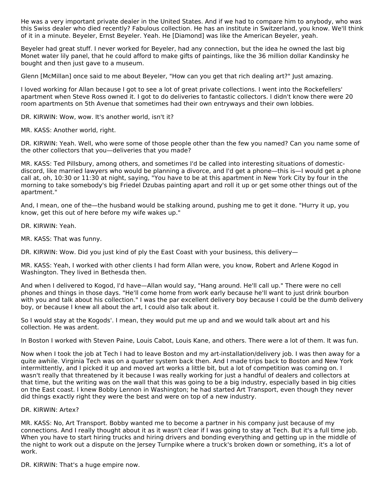He was a very important private dealer in the United States. And if we had to compare him to anybody, who was this Swiss dealer who died recently? Fabulous collection. He has an institute in Switzerland, you know. We'll think of it in a minute. Beyeler, Ernst Beyeler. Yeah. He [Diamond] was like the American Beyeler, yeah.

Beyeler had great stuff. I never worked for Beyeler, had any connection, but the idea he owned the last big Monet water lily panel, that he could afford to make gifts of paintings, like the 36 million dollar Kandinsky he bought and then just gave to a museum.

Glenn [McMillan] once said to me about Beyeler, "How can you get that rich dealing art?" Just amazing.

I loved working for Allan because I got to see a lot of great private collections. I went into the Rockefellers' apartment when Steve Ross owned it. I got to do deliveries to fantastic collectors. I didn't know there were 20 room apartments on 5th Avenue that sometimes had their own entryways and their own lobbies.

DR. KIRWIN: Wow, wow. It's another world, isn't it?

MR. KASS: Another world, right.

DR. KIRWIN: Yeah. Well, who were some of those people other than the few you named? Can you name some of the other collectors that you—deliveries that you made?

MR. KASS: Ted Pillsbury, among others, and sometimes I'd be called into interesting situations of domesticdiscord, like married lawyers who would be planning a divorce, and I'd get a phone—this is—I would get a phone call at, oh, 10:30 or 11:30 at night, saying, "You have to be at this apartment in New York City by four in the morning to take somebody's big Friedel Dzubas painting apart and roll it up or get some other things out of the apartment."

And, I mean, one of the—the husband would be stalking around, pushing me to get it done. "Hurry it up, you know, get this out of here before my wife wakes up."

DR. KIRWIN: Yeah.

MR. KASS: That was funny.

DR. KIRWIN: Wow. Did you just kind of ply the East Coast with your business, this delivery-

MR. KASS: Yeah, I worked with other clients I had form Allan were, you know, Robert and Arlene Kogod in Washington. They lived in Bethesda then.

And when I delivered to Kogod, I'd have—Allan would say, "Hang around. He'll call up." There were no cell phones and things in those days. "He'll come home from work early because he'll want to just drink bourbon with you and talk about his collection." I was the par excellent delivery boy because I could be the dumb delivery boy, or because I knew all about the art, I could also talk about it.

So I would stay at the Kogods'. I mean, they would put me up and and we would talk about art and his collection. He was ardent.

In Boston I worked with Steven Paine, Louis Cabot, Louis Kane, and others. There were a lot of them. It was fun.

Now when I took the job at Tech I had to leave Boston and my art-installation/delivery job. I was then away for a quite awhile. Virginia Tech was on a quarter system back then. And I made trips back to Boston and New York intermittently, and I picked it up and moved art works a little bit, but a lot of competition was coming on. I wasn't really that threatened by it because I was really working for just a handful of dealers and collectors at that time, but the writing was on the wall that this was going to be a big industry, especially based in big cities on the East coast. I knew Bobby Lennon in Washington; he had started Art Transport, even though they never did things exactly right they were the best and were on top of a new industry.

#### DR. KIRWIN: Artex?

MR. KASS: No, Art Transport. Bobby wanted me to become a partner in his company just because of my connections. And I really thought about it as it wasn't clear if I was going to stay at Tech. But it's a full time job. When you have to start hiring trucks and hiring drivers and bonding everything and getting up in the middle of the night to work out a dispute on the Jersey Turnpike where a truck's broken down or something, it's a lot of work.

DR. KIRWIN: That's a huge empire now.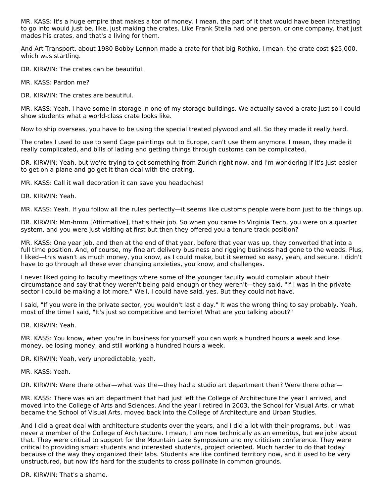MR. KASS: It's a huge empire that makes a ton of money. I mean, the part of it that would have been interesting to go into would just be, like, just making the crates. Like Frank Stella had one person, or one company, that just mades his crates, and that's a living for them.

And Art Transport, about 1980 Bobby Lennon made a crate for that big Rothko. I mean, the crate cost \$25,000, which was startling.

DR. KIRWIN: The crates can be beautiful.

MR. KASS: Pardon me?

DR. KIRWIN: The crates are beautiful.

MR. KASS: Yeah. I have some in storage in one of my storage buildings. We actually saved a crate just so I could show students what a world-class crate looks like.

Now to ship overseas, you have to be using the special treated plywood and all. So they made it really hard.

The crates I used to use to send Cage paintings out to Europe, can't use them anymore. I mean, they made it really complicated, and bills of lading and getting things through customs can be complicated.

DR. KIRWIN: Yeah, but we're trying to get something from Zurich right now, and I'm wondering if it's just easier to get on a plane and go get it than deal with the crating.

MR. KASS: Call it wall decoration it can save you headaches!

DR. KIRWIN: Yeah.

MR. KASS: Yeah. If you follow all the rules perfectly—it seems like customs people were born just to tie things up.

DR. KIRWIN: Mm-hmm [Affirmative], that's their job. So when you came to Virginia Tech, you were on a quarter system, and you were just visiting at first but then they offered you a tenure track position?

MR. KASS: One year job, and then at the end of that year, before that year was up, they converted that into a full time position. And, of course, my fine art delivery business and rigging business had gone to the weeds. Plus, I liked—this wasn't as much money, you know, as I could make, but it seemed so easy, yeah, and secure. I didn't have to go through all these ever changing anxieties, you know, and challenges.

I never liked going to faculty meetings where some of the younger faculty would complain about their circumstance and say that they weren't being paid enough or they weren't—they said, "If I was in the private sector I could be making a lot more." Well, I could have said, yes. But they could not have.

I said, "If you were in the private sector, you wouldn't last a day." It was the wrong thing to say probably. Yeah, most of the time I said, "It's just so competitive and terrible! What are you talking about?"

DR. KIRWIN: Yeah.

MR. KASS: You know, when you're in business for yourself you can work a hundred hours a week and lose money, be losing money, and still working a hundred hours a week.

DR. KIRWIN: Yeah, very unpredictable, yeah.

MR. KASS: Yeah.

DR. KIRWIN: Were there other—what was the—they had a studio art department then? Were there other—

MR. KASS: There was an art department that had just left the College of Architecture the year I arrived, and moved into the College of Arts and Sciences. And the year I retired in 2003, the School for Visual Arts, or what became the School of Visual Arts, moved back into the College of Architecture and Urban Studies.

And I did a great deal with architecture students over the years, and I did a lot with their programs, but I was never a member of the College of Architecture. I mean, I am now technically as an emeritus, but we joke about that. They were critical to support for the Mountain Lake Symposium and my criticism conference. They were critical to providing smart students and interested students, project oriented. Much harder to do that today because of the way they organized their labs. Students are like confined territory now, and it used to be very unstructured, but now it's hard for the students to cross pollinate in common grounds.

DR. KIRWIN: That's a shame.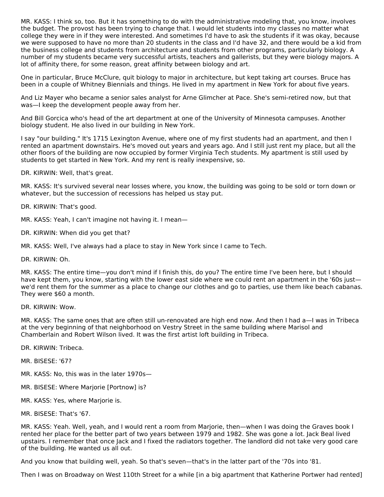MR. KASS: I think so, too. But it has something to do with the administrative modeling that, you know, involves the budget. The provost has been trying to change that. I would let students into my classes no matter what college they were in if they were interested. And sometimes I'd have to ask the students if it was okay, because we were supposed to have no more than 20 students in the class and I'd have 32, and there would be a kid from the business college and students from architecture and students from other programs, particularly biology. A number of my students became very successful artists, teachers and gallerists, but they were biology majors. A lot of affinity there, for some reason, great affinity between biology and art.

One in particular, Bruce McClure, quit biology to major in architecture, but kept taking art courses. Bruce has been in a couple of Whitney Biennials and things. He lived in my apartment in New York for about five years.

And Liz Mayer who became a senior sales analyst for Arne Glimcher at Pace. She's semi-retired now, but that was—I keep the development people away from her.

And Bill Gorcica who's head of the art department at one of the University of Minnesota campuses. Another biology student. He also lived in our building in New York.

I say "our building." It's 1715 Lexington Avenue, where one of my first students had an apartment, and then I rented an apartment downstairs. He's moved out years and years ago. And I still just rent my place, but all the other floors of the building are now occupied by former Virginia Tech students. My apartment is still used by students to get started in New York. And my rent is really inexpensive, so.

DR. KIRWIN: Well, that's great.

MR. KASS: It's survived several near losses where, you know, the building was going to be sold or torn down or whatever, but the succession of recessions has helped us stay put.

DR. KIRWIN: That's good.

MR. KASS: Yeah, I can't imagine not having it. I mean—

- DR. KIRWIN: When did you get that?
- MR. KASS: Well, I've always had a place to stay in New York since I came to Tech.

DR. KIRWIN: Oh.

MR. KASS: The entire time—you don't mind if I finish this, do you? The entire time I've been here, but I should have kept them, you know, starting with the lower east side where we could rent an apartment in the '60s just we'd rent them for the summer as a place to change our clothes and go to parties, use them like beach cabanas. They were \$60 a month.

DR. KIRWIN: Wow.

MR. KASS: The same ones that are often still un-renovated are high end now. And then I had a—I was in Tribeca at the very beginning of that neighborhood on Vestry Street in the same building where Marisol and Chamberlain and Robert Wilson lived. It was the first artist loft building in Tribeca.

DR. KIRWIN: Tribeca.

MR. BISESE: '67?

MR. KASS: No, this was in the later 1970s—

MR. BISESE: Where Marjorie [Portnow] is?

MR. KASS: Yes, where Marjorie is.

MR. BISESE: That's '67.

MR. KASS: Yeah. Well, yeah, and I would rent a room from Marjorie, then—when I was doing the Graves book I rented her place for the better part of two years between 1979 and 1982. She was gone a lot. Jack Beal lived upstairs. I remember that once Jack and I fixed the radiators together. The landlord did not take very good care of the building. He wanted us all out.

And you know that building well, yeah. So that's seven—that's in the latter part of the '70s into '81.

Then I was on Broadway on West 110th Street for a while [in a big apartment that Katherine Portwer had rented]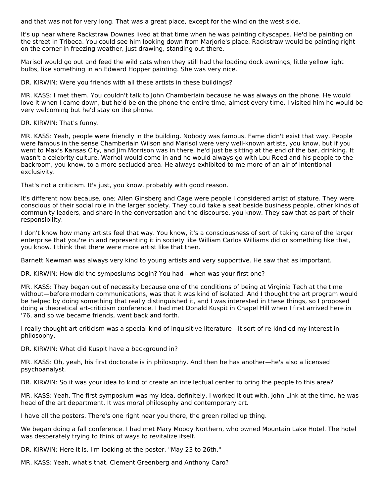and that was not for very long. That was a great place, except for the wind on the west side.

It's up near where Rackstraw Downes lived at that time when he was painting cityscapes. He'd be painting on the street in Tribeca. You could see him looking down from Marjorie's place. Rackstraw would be painting right on the corner in freezing weather, just drawing, standing out there.

Marisol would go out and feed the wild cats when they still had the loading dock awnings, little yellow light bulbs, like something in an Edward Hopper painting. She was very nice.

DR. KIRWIN: Were you friends with all these artists in these buildings?

MR. KASS: I met them. You couldn't talk to John Chamberlain because he was always on the phone. He would love it when I came down, but he'd be on the phone the entire time, almost every time. I visited him he would be very welcoming but he'd stay on the phone.

DR. KIRWIN: That's funny.

MR. KASS: Yeah, people were friendly in the building. Nobody was famous. Fame didn't exist that way. People were famous in the sense Chamberlain Wilson and Marisol were very well-known artists, you know, but if you went to Max's Kansas City, and Jim Morrison was in there, he'd just be sitting at the end of the bar, drinking. It wasn't a celebrity culture. Warhol would come in and he would always go with Lou Reed and his people to the backroom, you know, to a more secluded area. He always exhibited to me more of an air of intentional exclusivity.

That's not a criticism. It's just, you know, probably with good reason.

It's different now because, one; Allen Ginsberg and Cage were people I considered artist of stature. They were conscious of their social role in the larger society. They could take a seat beside business people, other kinds of community leaders, and share in the conversation and the discourse, you know. They saw that as part of their responsibility.

I don't know how many artists feel that way. You know, it's a consciousness of sort of taking care of the larger enterprise that you're in and representing it in society like William Carlos Williams did or something like that, you know. I think that there were more artist like that then.

Barnett Newman was always very kind to young artists and very supportive. He saw that as important.

DR. KIRWIN: How did the symposiums begin? You had—when was your first one?

MR. KASS: They began out of necessity because one of the conditions of being at Virginia Tech at the time without—before modern communications, was that it was kind of isolated. And I thought the art program would be helped by doing something that really distinguished it, and I was interested in these things, so I proposed doing a theoretical art-criticism conference. I had met Donald Kuspit in Chapel Hill when I first arrived here in '76, and so we became friends, went back and forth.

I really thought art criticism was a special kind of inquisitive literature—it sort of re-kindled my interest in philosophy.

DR. KIRWIN: What did Kuspit have a background in?

MR. KASS: Oh, yeah, his first doctorate is in philosophy. And then he has another—he's also a licensed psychoanalyst.

DR. KIRWIN: So it was your idea to kind of create an intellectual center to bring the people to this area?

MR. KASS: Yeah. The first symposium was my idea, definitely. I worked it out with, John Link at the time, he was head of the art department. It was moral philosophy and contemporary art.

I have all the posters. There's one right near you there, the green rolled up thing.

We began doing a fall conference. I had met Mary Moody Northern, who owned Mountain Lake Hotel. The hotel was desperately trying to think of ways to revitalize itself.

DR. KIRWIN: Here it is. I'm looking at the poster. "May 23 to 26th."

MR. KASS: Yeah, what's that, Clement Greenberg and Anthony Caro?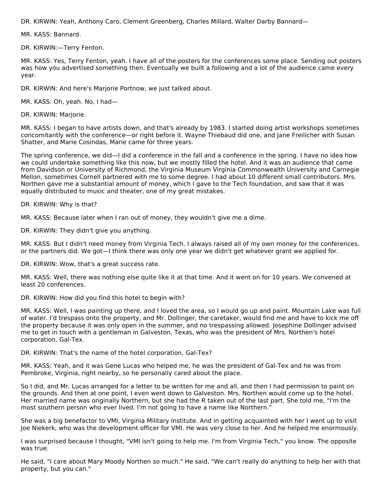DR. KIRWIN: Yeah, Anthony Caro, Clement Greenberg, Charles Millard, Walter Darby Bannard—

MR. KASS: Bannard.

DR. KIRWIN:—Terry Fenton.

MR. KASS: Yes, Terry Fenton, yeah. I have all of the posters for the conferences some place. Sending out posters was how you advertised something then. Eventually we built a following and a lot of the audience came every year.

DR. KIRWIN: And here's Marjorie Portnow, we just talked about.

MR. KASS: Oh, yeah. No, I had—

DR. KIRWIN: Marjorie.

MR. KASS: I began to have artists down, and that's already by 1983. I started doing artist workshops sometimes concomitantly with the conference—or right before it. Wayne Thiebaud did one, and Jane Freilicher with Susan Shatter, and Marie Cosindas, Marie came for three years.

The spring conference, we did—I did a conference in the fall and a conference in the spring. I have no idea how we could undertake something like this now, but we mostly filled the hotel. And it was an audience that came from Davidson or University of Richmond, the Virginia Museum Virginia Commonwealth University and Carnegie Mellon, sometimes Cornell partnered with me to some degree. I had about 10 different small contributors. Mrs. Northen gave me a substantial amount of money, which I gave to the Tech foundation, and saw that it was equally distributed to music and theater, one of my great mistakes.

DR. KIRWIN: Why is that?

MR. KASS: Because later when I ran out of money, they wouldn't give me a dime.

DR. KIRWIN: They didn't give you anything.

MR. KASS: But I didn't need money from Virginia Tech. I always raised all of my own money for the conferences, or the partners did. We got—I think there was only one year we didn't get whatever grant we applied for.

DR. KIRWIN: Wow, that's a great success rate.

MR. KASS: Well, there was nothing else quite like it at that time. And it went on for 10 years. We convened at least 20 conferences.

DR. KIRWIN: How did you find this hotel to begin with?

MR. KASS: Well, I was painting up there, and I loved the area, so I would go up and paint. Mountain Lake was full of water. I'd trespass onto the property, and Mr. Dollinger, the caretaker, would find me and have to kick me off the property because it was only open in the summer, and no trespassing allowed. Josephine Dollinger advised me to get in touch with a gentleman in Galveston, Texas, who was the president of Mrs. Northen's hotel corporation, Gal-Tex.

DR. KIRWIN: That's the name of the hotel corporation, Gal-Tex?

MR. KASS: Yeah, and it was Gene Lucas who helped me, he was the president of Gal-Tex and he was from Pembroke, Virginia, right nearby, so he personally cared about the place.

So I did, and Mr. Lucas arranged for a letter to be written for me and all, and then I had permission to paint on the grounds. And then at one point, I even went down to Galveston. Mrs. Northen would come up to the hotel. Her married name was originally Northern, but she had the R taken out of the last part. She told me, "I'm the most southern person who ever lived. I'm not going to have a name like Northern."

She was a big benefactor to VMI, Virginia Military Institute. And in getting acquainted with her I went up to visit Joe Niekerk, who was the development officer for VMI. He was very close to her. And he helped me enormously.

I was surprised because I thought, "VMI isn't going to help me. I'm from Virginia Tech," you know. The opposite was true.

He said, "I care about Mary Moody Northen so much." He said, "We can't really do anything to help her with that property, but you can."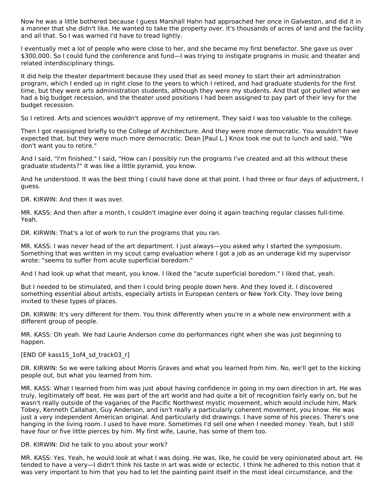Now he was a little bothered because I guess Marshall Hahn had approached her once in Galveston, and did it in a manner that she didn't like. He wanted to take the property over. It's thousands of acres of land and the facility and all that. So I was warned I'd have to tread lightly.

I eventually met a lot of people who were close to her, and she became my first benefactor. She gave us over \$300,000. So I could fund the conference and fund—I was trying to instigate programs in music and theater and related interdisciplinary things.

It did help the theater department because they used that as seed money to start their art administration program, which I ended up in right close to the years to which I retired, and had graduate students for the first time, but they were arts administration students, although they were my students. And that got pulled when we had a big budget recession, and the theater used positions I had been assigned to pay part of their levy for the budget recession.

So I retired. Arts and sciences wouldn't approve of my retirement. They said I was too valuable to the college.

Then I got reassigned briefly to the College of Architecture. And they were more democratic. You wouldn't have expected that, but they were much more democratic. Dean [Paul L.] Knox took me out to lunch and said, "We don't want you to retire."

And I said, "I'm finished." I said, "How can I possibly run the programs I've created and all this without these graduate students?" It was like a little pyramid, you know.

And he understood. It was the best thing I could have done at that point. I had three or four days of adjustment, I guess.

DR. KIRWIN: And then it was over.

MR. KASS: And then after a month, I couldn't imagine ever doing it again teaching regular classes full-time. Yeah.

DR. KIRWIN: That's a lot of work to run the programs that you ran.

MR. KASS: I was never head of the art department. I just always—you asked why I started the symposium. Something that was written in my scout camp evaluation where I got a job as an underage kid my supervisor wrote: "seems to suffer from acute superficial boredom."

And I had look up what that meant, you know. I liked the "acute superficial boredom." I liked that, yeah.

But I needed to be stimulated, and then I could bring people down here. And they loved it. I discovered something essential about artists, especially artists in European centers or New York City. They love being invited to these types of places.

DR. KIRWIN: It's very different for them. You think differently when you're in a whole new environment with a different group of people.

MR. KASS: Oh yeah. We had Laurie Anderson come do performances right when she was just beginning to happen.

[END OF kass15\_1of4\_sd\_track03\_r]

DR. KIRWIN: So we were talking about Morris Graves and what you learned from him. No, we'll get to the kicking people out, but what you learned from him.

MR. KASS: What I learned from him was just about having confidence in going in my own direction in art. He was truly, legitimately off beat. He was part of the art world and had quite a bit of recognition fairly early on, but he wasn't really outside of the vagaries of the Pacific Northwest mystic movement, which would include him, Mark Tobey, Kenneth Callahan, Guy Anderson, and isn't really a particularly coherent movement, you know. He was just a very independent American original. And particularly did drawings. I have some of his pieces. There's one hanging in the living room. I used to have more. Sometimes I'd sell one when I needed money. Yeah, but I still have four or five little pierces by him. My first wife, Laurie, has some of them too.

DR. KIRWIN: Did he talk to you about your work?

MR. KASS: Yes. Yeah, he would look at what I was doing. He was, like, he could be very opinionated about art. He tended to have a very—I didn't think his taste in art was wide or eclectic. I think he adhered to this notion that it was very important to him that you had to let the painting paint itself in the most ideal circumstance, and the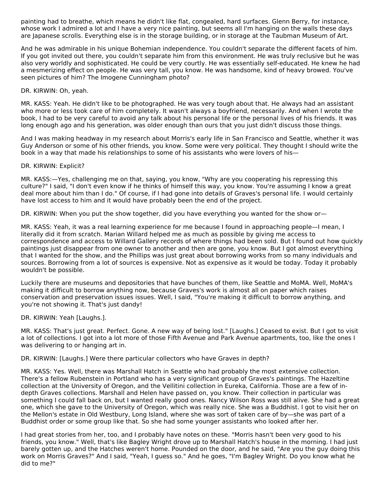painting had to breathe, which means he didn't like flat, congealed, hard surfaces. Glenn Berry, for instance, whose work I admired a lot and I have a very nice painting, but seems all I'm hanging on the walls these days are Japanese scrolls. Everything else is in the storage building, or in storage at the Taubman Museum of Art.

And he was admirable in his unique Bohemian independence. You couldn't separate the different facets of him. If you got invited out there, you couldn't separate him from this environment. He was truly reclusive but he was also very worldly and sophisticated. He could be very courtly. He was essentially self-educated. He knew he had a mesmerizing effect on people. He was very tall, you know. He was handsome, kind of heavy browed. You've seen pictures of him? The Imogene Cunningham photo?

#### DR. KIRWIN: Oh, yeah.

MR. KASS: Yeah. He didn't like to be photographed. He was very tough about that. He always had an assistant who more or less took care of him completely. It wasn't always a boyfriend, necessarily. And when I wrote the book, I had to be very careful to avoid any talk about his personal life or the personal lives of his friends. It was long enough ago and his generation, was older enough than ours that you just didn't discuss those things.

And I was making headway in my research about Morris's early life in San Francisco and Seattle, whether it was Guy Anderson or some of his other friends, you know. Some were very political. They thought I should write the book in a way that made his relationships to some of his assistants who were lovers of his—

#### DR. KIRWIN: Explicit?

MR. KASS:—Yes, challenging me on that, saying, you know, "Why are you cooperating his repressing this culture?" I said, "I don't even know if he thinks of himself this way, you know. You're assuming I know a great deal more about him than I do." Of course, if I had gone into details of Graves's personal life. I would certainly have lost access to him and it would have probably been the end of the project.

DR. KIRWIN: When you put the show together, did you have everything you wanted for the show or—

MR. KASS: Yeah, it was a real learning experience for me because I found in approaching people—I mean, I literally did it from scratch. Marian Willard helped me as much as possible by giving me access to correspondence and access to Willard Gallery records of where things had been sold. But I found out how quickly paintings just disappear from one owner to another and then are gone, you know. But I got almost everything that I wanted for the show, and the Phillips was just great about borrowing works from so many individuals and sources. Borrowing from a lot of sources is expensive. Not as expensive as it would be today. Today it probably wouldn't be possible.

Luckily there are museums and depositories that have bunches of them, like Seattle and MoMA. Well, MoMA's making it difficult to borrow anything now, because Graves's work is almost all on paper which raises conservation and preservation issues issues. Well, I said, "You're making it difficult to borrow anything, and you're not showing it. That's just dandy!

#### DR. KIRWIN: Yeah [Laughs.].

MR. KASS: That's just great. Perfect. Gone. A new way of being lost." [Laughs.] Ceased to exist. But I got to visit a lot of collections. I got into a lot more of those Fifth Avenue and Park Avenue apartments, too, like the ones I was delivering to or hanging art in.

DR. KIRWIN: [Laughs.] Were there particular collectors who have Graves in depth?

MR. KASS: Yes. Well, there was Marshall Hatch in Seattle who had probably the most extensive collection. There's a fellow Rubenstein in Portland who has a very significant group of Graves's paintings. The Hazeltine collection at the University of Oregon, and the Vellitini collection in Eureka, California. Those are a few of indepth Graves collections. Marshall and Helen have passed on, you know. Their collection in particular was something I could fall back on, but I wanted really good ones. Nancy Wilson Ross was still alive. She had a great one, which she gave to the University of Oregon, which was really nice. She was a Buddhist. I got to visit her on the Mellon's estate in Old Westbury, Long Island, where she was sort of taken care of by—she was part of a Buddhist order or some group like that. So she had some younger assistants who looked after her.

I had great stories from her, too, and I probably have notes on these. "Morris hasn't been very good to his friends, you know." Well, that's like Bagley Wright drove up to Marshall Hatch's house in the morning. I had just barely gotten up, and the Hatches weren't home. Pounded on the door, and he said, "Are you the guy doing this work on Morris Graves?" And I said, "Yeah, I guess so." And he goes, "I'm Bagley Wright. Do you know what he did to me?"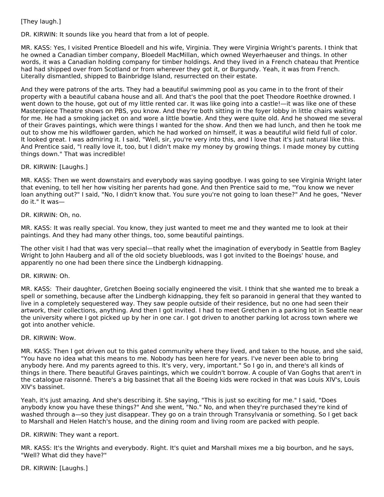# [They laugh.]

DR. KIRWIN: It sounds like you heard that from a lot of people.

MR. KASS: Yes, I visited Prentice Bloedell and his wife, Virginia. They were Virginia Wright's parents. I think that he owned a Canadian timber company, Bloedell MacMillan, which owned Weyerhaeuser and things. In other words, it was a Canadian holding company for timber holdings. And they lived in a French chateau that Prentice had had shipped over from Scotland or from wherever they got it, or Burgundy. Yeah, it was from French. Literally dismantled, shipped to Bainbridge Island, resurrected on their estate.

And they were patrons of the arts. They had a beautiful swimming pool as you came in to the front of their property with a beautiful cabana house and all. And that's the pool that the poet Theodore Roethke drowned. I went down to the house, got out of my little rented car. It was like going into a castle!—it was like one of these Masterpiece Theatre shows on PBS, you know. And they're both sitting in the foyer lobby in little chairs waiting for me. He had a smoking jacket on and wore a little bowtie. And they were quite old. And he showed me several of their Graves paintings, which were things I wanted for the show. And then we had lunch, and then he took me out to show me his wildflower garden, which he had worked on himself, it was a beautiful wild field full of color. It looked great. I was admiring it. I said, "Well, sir, you're very into this, and I love that it's just natural like this. And Prentice said, "I really love it, too, but I didn't make my money by growing things. I made money by cutting things down." That was incredible!

#### DR. KIRWIN: [Laughs.]

MR. KASS: Then we went downstairs and everybody was saying goodbye. I was going to see Virginia Wright later that evening, to tell her how visiting her parents had gone. And then Prentice said to me, "You know we never loan anything out?" I said, "No, I didn't know that. You sure you're not going to loan these?" And he goes, "Never do it." It was—

DR. KIRWIN: Oh, no.

MR. KASS: It was really special. You know, they just wanted to meet me and they wanted me to look at their paintings. And they had many other things, too, some beautiful paintings.

The other visit I had that was very special—that really whet the imagination of everybody in Seattle from Bagley Wright to John Hauberg and all of the old society bluebloods, was I got invited to the Boeings' house, and apparently no one had been there since the Lindbergh kidnapping.

#### DR. KIRWIN: Oh.

MR. KASS: Their daughter, Gretchen Boeing socially engineered the visit. I think that she wanted me to break a spell or something, because after the Lindbergh kidnapping, they felt so paranoid in general that they wanted to live in a completely sequestered way. They saw people outside of their residence, but no one had seen their artwork, their collections, anything. And then I got invited. I had to meet Gretchen in a parking lot in Seattle near the university where I got picked up by her in one car. I got driven to another parking lot across town where we got into another vehicle.

#### DR. KIRWIN: Wow.

MR. KASS: Then I got driven out to this gated community where they lived, and taken to the house, and she said, "You have no idea what this means to me. Nobody has been here for years. I've never been able to bring anybody here. And my parents agreed to this. It's very, very, important." So I go in, and there's all kinds of things in there. There beautiful Graves paintings, which we couldn't borrow. A couple of Van Goghs that aren't in the catalogue raisonné. There's a big bassinet that all the Boeing kids were rocked in that was Louis XIV's, Louis XIV's bassinet.

Yeah, it's just amazing. And she's describing it. She saying, "This is just so exciting for me." I said, "Does anybody know you have these things?" And she went, "No." No, and when they're purchased they're kind of washed through a—so they just disappear. They go on a train through Transylvania or something. So I get back to Marshall and Helen Hatch's house, and the dining room and living room are packed with people.

#### DR. KIRWIN: They want a report.

MR. KASS: It's the Wrights and everybody. Right. It's quiet and Marshall mixes me a big bourbon, and he says, "Well? What did they have?"

DR. KIRWIN: [Laughs.]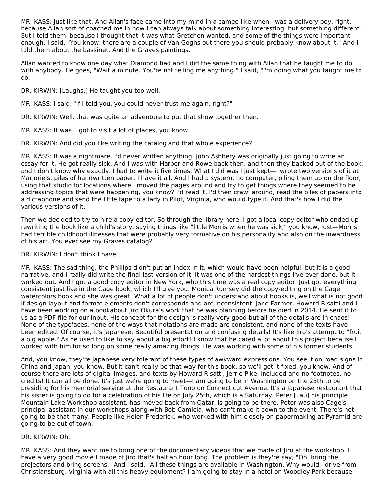MR. KASS: Just like that. And Allan's face came into my mind in a cameo like when I was a delivery boy, right, because Allan sort of coached me in how I can always talk about something interesting, but something different. But I told them, because I thought that it was what Gretchen wanted, and some of the things were important enough. I said, "You know, there are a couple of Van Goghs out there you should probably know about it." And I told them about the bassinet. And the Graves paintings.

Allan wanted to know one day what Diamond had and I did the same thing with Allan that he taught me to do with anybody. He goes, "Wait a minute. You're not telling me anything." I said, "I'm doing what you taught me to do."

DR. KIRWIN: [Laughs.] He taught you too well.

MR. KASS: I said, "If I told you, you could never trust me again, right?"

DR. KIRWIN: Well, that was quite an adventure to put that show together then.

MR. KASS: It was. I got to visit a lot of places, you know.

DR. KIRWIN: And did you like writing the catalog and that whole experience?

MR. KASS: It was a nightmare. I'd never written anything. John Ashbery was originally just going to write an essay for it. He got really sick. And I was with Harper and Rowe back then, and then they backed out of the book, and I don't know why exactly. I had to write it five times. What I did was I just kept—I wrote two versions of it at Marjorie's, piles of handwritten paper. I have it all. And I had a system, no computer, piling them up on the floor, using that studio for locations where I moved the pages around and try to get things where they seemed to be addressing topics that were happening, you know? I'd read it, I'd then crawl around, read the piles of papers into a dictaphone and send the little tape to a lady in Pilot, Virginia, who would type it. And that's how I did the various versions of it.

Then we decided to try to hire a copy editor. So through the library here, I got a local copy editor who ended up rewriting the book like a child's story, saying things like "little Morris when he was sick," you know, just—Morris had terrible childhood illnesses that were probably very formative on his personality and also on the inwardness of his art. You ever see my Graves catalog?

DR. KIRWIN: I don't think I have.

MR. KASS: The sad thing, the Phillips didn't put an index in it, which would have been helpful, but it is a good narrative, and I really did write the final last version of it. It was one of the hardest things I've ever done, but it worked out. And I got a good copy editor in New York, who this time was a real copy editor. Just got everything consistent just like in the Cage book, which I'll give you. Monica Rumsey did the copy-editing on the Cage watercolors book and she was great! What a lot of people don't understand about books is, well what is not good if design layout and format elements don't corresponds and are inconsistent. Jane Farmer, Howard Risatti and I have been working on a bookabout Jiro Okura's work that he was planning before he died in 2014. He sent it to us as a PDF file for our input. His concept for the design is really very good but all of the details are in chaos! None of the typefaces, none of the ways that notations are made are consistent, and none of the texts have been edited. Of course, it's Japanese. Beautiful presentation and confusing details! It's like Jiro's attempt to "fruit a big apple." As he used to like to say about a big effort! I know that he cared a lot about this project because I worked with him for so long on some really amazing things. He was working with some of his former students.

And, you know, they're Japanese very tolerant of these types of awkward expressions. You see it on road signs in China and Japan, you know. But it can't really be that way for this book, so we'll get it fixed, you know. And of course there are lots of digital images, and texts by Howard Risatti, Jerrie Pike, included and no footnotes, no credits! It can all be done. It's just we're going to meet—I am going to be in Washington on the 25th to be presiding for his memorial service at the Restaurant Tono on Connecticut Avenue. It's a Japanese restaurant that his sister is going to do for a celebration of his life on July 25th, which is a Saturday. Peter [Lau] his principle Mountain Lake Workshop assistant, has moved back from Qatar, is going to be there. Peter was also Cage's principal assistant in our workshops along with Bob Camicia, who can't make it down to the event. There's not going to be that many. People like Helen Frederick, who worked with him closely on papermaking at Pyramid are going to be out of town.

# DR. KIRWIN: Oh.

MR. KASS: And they want me to bring one of the documentary videos that we made of Jiro at the workshop. I have a very good movie I made of Jiro that's half an hour long. The problem is they're say, "Oh, bring the projectors and bring screens." And I said, "All these things are available in Washington. Why would I drive from Christiansburg, Virginia with all this heavy equipment? I am going to stay in a hotel on Woodley Park because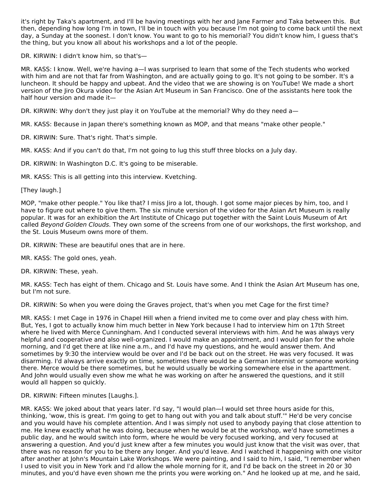it's right by Taka's apartment, and I'll be having meetings with her and Jane Farmer and Taka between this. But then, depending how long I'm in town, I'll be in touch with you because I'm not going to come back until the next day, a Sunday at the soonest. I don't know. You want to go to his memorial? You didn't know him, I guess that's the thing, but you know all about his workshops and a lot of the people.

DR. KIRWIN: I didn't know him, so that's—

MR. KASS: I know. Well, we're having a—I was surprised to learn that some of the Tech students who worked with him and are not that far from Washington, and are actually going to go. It's not going to be somber. It's a luncheon. It should be happy and upbeat. And the video that we are showing is on YouTube! We made a short version of the Jiro Okura video for the Asian Art Museum in San Francisco. One of the assistants here took the half hour version and made it—

DR. KIRWIN: Why don't they just play it on YouTube at the memorial? Why do they need a—

MR. KASS: Because in Japan there's something known as MOP, and that means "make other people."

DR. KIRWIN: Sure. That's right. That's simple.

MR. KASS: And if you can't do that, I'm not going to lug this stuff three blocks on a July day.

DR. KIRWIN: In Washington D.C. It's going to be miserable.

MR. KASS: This is all getting into this interview. Kvetching.

[They laugh.]

MOP, "make other people." You like that? I miss Jiro a lot, though. I got some major pieces by him, too, and I have to figure out where to give them. The six minute version of the video for the Asian Art Museum is really popular. It was for an exhibition the Art Institute of Chicago put together with the Saint Louis Museum of Art called Beyond Golden Clouds. They own some of the screens from one of our workshops, the first workshop, and the St. Louis Museum owns more of them.

DR. KIRWIN: These are beautiful ones that are in here.

MR. KASS: The gold ones, yeah.

DR. KIRWIN: These, yeah.

MR. KASS: Tech has eight of them. Chicago and St. Louis have some. And I think the Asian Art Museum has one, but I'm not sure.

DR. KIRWIN: So when you were doing the Graves project, that's when you met Cage for the first time?

MR. KASS: I met Cage in 1976 in Chapel Hill when a friend invited me to come over and play chess with him. But, Yes, I got to actually know him much better in New York because I had to interview him on 17th Street where he lived with Merce Cunningham. And I conducted several interviews with him. And he was always very helpful and cooperative and also well-organized. I would make an appointment, and I would plan for the whole morning, and I'd get there at like nine a.m., and I'd have my questions, and he would answer them. And sometimes by 9:30 the interview would be over and I'd be back out on the street. He was very focused. It was disarming. I'd always arrive exactly on time, sometimes there would be a German internist or someone working there. Merce would be there sometimes, but he would usually be working somewhere else in the aparttment. And John would usually even show me what he was working on after he answered the questions, and it still would all happen so quickly.

DR. KIRWIN: Fifteen minutes [Laughs.].

MR. KASS: We joked about that years later. I'd say, "I would plan—I would set three hours aside for this, thinking, 'wow, this is great. I'm going to get to hang out with you and talk about stuff.'" He'd be very concise and you would have his complete attention. And I was simply not used to anybody paying that close attention to me. He knew exactly what he was doing, because when he would be at the workshop, we'd have sometimes a public day, and he would switch into form, where he would be very focused working, and very focused at answering a question. And you'd just knew after a few minutes you would just know that the visit was over, that there was no reason for you to be there any longer. And you'd leave. And I watched it happening with one visitor after another at John's Mountain Lake Workshops. We were painting, and I said to him, I said, "I remember when I used to visit you in New York and I'd allow the whole morning for it, and I'd be back on the street in 20 or 30 minutes, and you'd have even shown me the prints you were working on." And he looked up at me, and he said,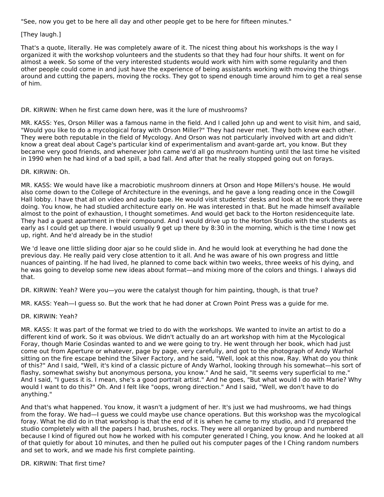"See, now you get to be here all day and other people get to be here for fifteen minutes."

## [They laugh.]

That's a quote, literally. He was completely aware of it. The nicest thing about his workshops is the way I organized it with the workshop volunteers and the students so that they had four hour shifts. It went on for almost a week. So some of the very interested students would work with him with some regularity and then other people could come in and just have the experience of being assistants working with moving the things around and cutting the papers, moving the rocks. They got to spend enough time around him to get a real sense of him.

#### DR. KIRWIN: When he first came down here, was it the lure of mushrooms?

MR. KASS: Yes, Orson Miller was a famous name in the field. And I called John up and went to visit him, and said, "Would you like to do a mycological foray with Orson Miller?" They had never met. They both knew each other. They were both reputable in the field of Mycology. And Orson was not particularly involved with art and didn't know a great deal about Cage's particular kind of experimentalism and avant-garde art, you know. But they became very good friends, and whenever John came we'd all go mushroom hunting until the last time he visited in 1990 when he had kind of a bad spill, a bad fall. And after that he really stopped going out on forays.

#### DR. KIRWIN: Oh.

MR. KASS: We would have like a macrobiotic mushroom dinners at Orson and Hope Millers's house. He would also come down to the College of Architecture in the evenings, and he gave a long reading once in the Cowgill Hall lobby. I have that all on video and audio tape. He would visit students' desks and look at the work they were doing. You know, he had studied architecture early on. He was interested in that. But he made himself available almost to the point of exhaustion, I thought sometimes. And would get back to the Horton residencequite late. They had a guest apartment in their compound. And I would drive up to the Horton Studio with the students as early as I could get up there. I would usually 9 get up there by 8:30 in the morning, which is the time I now get up, right. And he'd already be in the studio!

We 'd leave one little sliding door ajar so he could slide in. And he would look at everything he had done the previous day. He really paid very close attention to it all. And he was aware of his own progress and little nuances of painting. If he had lived, he planned to come back within two weeks, three weeks of his dying, and he was going to develop some new ideas about format—and mixing more of the colors and things. I always did that.

DR. KIRWIN: Yeah? Were you—you were the catalyst though for him painting, though, is that true?

MR. KASS: Yeah—I guess so. But the work that he had doner at Crown Point Press was a guide for me.

#### DR. KIRWIN: Yeah?

MR. KASS: It was part of the format we tried to do with the workshops. We wanted to invite an artist to do a different kind of work. So it was obvious. We didn't actually do an art workshop with him at the Mycological Foray, though Marie Cosindas wanted to and we were going to try. He went through her book, which had just come out from Aperture or whatever, page by page, very carefully, and got to the photograph of Andy Warhol sitting on the fire escape behind the Silver Factory, and he said, "Well, look at this now, Ray. What do you think of this?" And I said, "Well, it's kind of a classic picture of Andy Warhol, looking through his somewhat—his sort of flashy, somewhat swishy but anonymous persona, you know." And he said, "It seems very superficial to me." And I said, "I guess it is. I mean, she's a good portrait artist." And he goes, "But what would I do with Marie? Why would I want to do this?" Oh. And I felt like "oops, wrong direction." And I said, "Well, we don't have to do anything."

And that's what happened. You know, it wasn't a judgment of her. It's just we had mushrooms, we had things from the foray. We had—I guess we could maybe use chance operations. But this workshop was the mycological foray. What he did do in that workshop is that the end of it is when he came to my studio, and I'd prepared the studio completely with all the papers I had, brushes, rocks. They were all organized by group and numbered because I kind of figured out how he worked with his computer generated I Ching, you know. And he looked at all of that quietly for about 10 minutes, and then he pulled out his computer pages of the I Ching random numbers and set to work, and we made his first complete painting.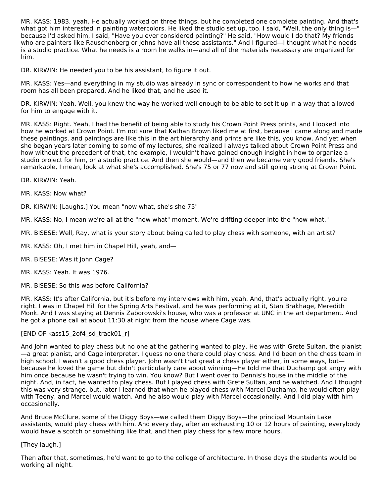MR. KASS: 1983, yeah. He actually worked on three things, but he completed one complete painting. And that's what got him interested in painting watercolors. He liked the studio set up, too. I said, "Well, the only thing is—" because I'd asked him, I said, "Have you ever considered painting?" He said, "How would I do that? My friends who are painters like Rauschenberg or Johns have all these assistants." And I figured—I thought what he needs is a studio practice. What he needs is a room he walks in—and all of the materials necessary are organized for him.

DR. KIRWIN: He needed you to be his assistant, to figure it out.

MR. KASS: Yes—and everything in my studio was already in sync or correspondent to how he works and that room has all been prepared. And he liked that, and he used it.

DR. KIRWIN: Yeah. Well, you knew the way he worked well enough to be able to set it up in a way that allowed for him to engage with it.

MR. KASS: Right. Yeah, I had the benefit of being able to study his Crown Point Press prints, and I looked into how he worked at Crown Point. I'm not sure that Kathan Brown liked me at first, because I came along and made these paintings, and paintings are like this in the art hierarchy and prints are like this, you know. And yet when she began years later coming to some of my lectures, she realized I always talked about Crown Point Press and how without the precedent of that, the example, I wouldn't have gained enough insight in how to organize a studio project for him, or a studio practice. And then she would—and then we became very good friends. She's remarkable, I mean, look at what she's accomplished. She's 75 or 77 now and still going strong at Crown Point.

DR. KIRWIN: Yeah.

MR. KASS: Now what?

DR. KIRWIN: [Laughs.] You mean "now what, she's she 75"

MR. KASS: No, I mean we're all at the "now what" moment. We're drifting deeper into the "now what."

MR. BISESE: Well, Ray, what is your story about being called to play chess with someone, with an artist?

MR. KASS: Oh, I met him in Chapel Hill, yeah, and—

MR. BISESE: Was it John Cage?

MR. KASS: Yeah. It was 1976.

MR. BISESE: So this was before California?

MR. KASS: It's after California, but it's before my interviews with him, yeah. And, that's actually right, you're right. I was in Chapel Hill for the Spring Arts Festival, and he was performing at it, Stan Brakhage, Meredith Monk. And I was staying at Dennis Zaborowski's house, who was a professor at UNC in the art department. And he got a phone call at about 11:30 at night from the house where Cage was.

# [END OF kass15\_2of4\_sd\_track01\_r]

And John wanted to play chess but no one at the gathering wanted to play. He was with Grete Sultan, the pianist —a great pianist, and Cage interpreter. I guess no one there could play chess. And I'd been on the chess team in high school. I wasn't a good chess player. John wasn't that great a chess player either, in some ways, but because he loved the game but didn't particularly care about winning—He told me that Duchamp got angry with him once because he wasn't trying to win. You know? But I went over to Dennis's house in the middle of the night. And, in fact, he wanted to play chess. But I played chess with Grete Sultan, and he watched. And I thought this was very strange, but, later I learned that when he played chess with Marcel Duchamp, he would often play with Teeny, and Marcel would watch. And he also would play with Marcel occasionally. And I did play with him occasionally.

And Bruce McClure, some of the Diggy Boys—we called them Diggy Boys—the principal Mountain Lake assistants, would play chess with him. And every day, after an exhausting 10 or 12 hours of painting, everybody would have a scotch or something like that, and then play chess for a few more hours.

# [They laugh.]

Then after that, sometimes, he'd want to go to the college of architecture. In those days the students would be working all night.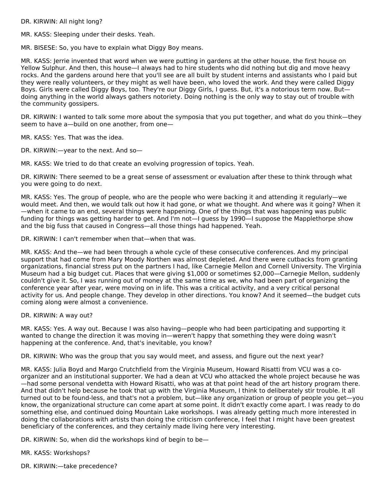DR. KIRWIN: All night long?

MR. KASS: Sleeping under their desks. Yeah.

MR. BISESE: So, you have to explain what Diggy Boy means.

MR. KASS: Jerrie invented that word when we were putting in gardens at the other house, the first house on Yellow Sulphur. And then, this house—I always had to hire students who did nothing but dig and move heavy rocks. And the gardens around here that you'll see are all built by student interns and assistants who I paid but they were really volunteers, or they might as well have been, who loved the work. And they were called Diggy Boys. Girls were called Diggy Boys, too. They're our Diggy Girls, I guess. But, it's a notorious term now. But doing anything in the world always gathers notoriety. Doing nothing is the only way to stay out of trouble with the community gossipers.

DR. KIRWIN: I wanted to talk some more about the symposia that you put together, and what do you think—they seem to have a—build on one another, from one—

MR. KASS: Yes. That was the idea.

DR. KIRWIN:—year to the next. And so—

MR. KASS: We tried to do that create an evolving progression of topics. Yeah.

DR. KIRWIN: There seemed to be a great sense of assessment or evaluation after these to think through what you were going to do next.

MR. KASS: Yes. The group of people, who are the people who were backing it and attending it regularly—we would meet. And then, we would talk out how it had gone, or what we thought. And where was it going? When it —when it came to an end, several things were happening. One of the things that was happening was public funding for things was getting harder to get. And I'm not—I guess by 1990—I suppose the Mapplethorpe show and the big fuss that caused in Congress—all those things had happened. Yeah.

DR. KIRWIN: I can't remember when that—when that was.

MR. KASS: And the—we had been through a whole cycle of these consecutive conferences. And my principal support that had come from Mary Moody Northen was almost depleted. And there were cutbacks from granting organizations, financial stress put on the partners I had, like Carnegie Mellon and Cornell University. The Virginia Museum had a big budget cut. Places that were giving \$1,000 or sometimes \$2,000—Carnegie Mellon, suddenly couldn't give it. So, I was running out of money at the same time as we, who had been part of organizing the conference year after year, were moving on in life. This was a critical activity, and a very critical personal activity for us. And people change. They develop in other directions. You know? And it seemed—the budget cuts coming along were almost a convenience.

DR. KIRWIN: A way out?

MR. KASS: Yes. A way out. Because I was also having—people who had been participating and supporting it wanted to change the direction it was moving in—weren't happy that something they were doing wasn't happening at the conference. And, that's inevitable, you know?

DR. KIRWIN: Who was the group that you say would meet, and assess, and figure out the next year?

MR. KASS: Julia Boyd and Margo Crutchfield from the Virginia Museum, Howard Risatti from VCU was a coorganizer and an institutional supporter. We had a dean at VCU who attacked the whole project because he was —had some personal vendetta with Howard Risatti, who was at that point head of the art history program there. And that didn't help because he took that up with the Virginia Museum, I think to deliberately stir trouble. It all turned out to be found-less, and that's not a problem, but—like any organization or group of people you get—you know, the organizational structure can come apart at some point. It didn't exactly come apart. I was ready to do something else, and continued doing Mountain Lake workshops. I was already getting much more interested in doing the collaborations with artists than doing the criticism conference, I feel that I might have been greatest beneficiary of the conferences, and they certainly made living here very interesting.

DR. KIRWIN: So, when did the workshops kind of begin to be—

MR. KASS: Workshops?

DR. KIRWIN:—take precedence?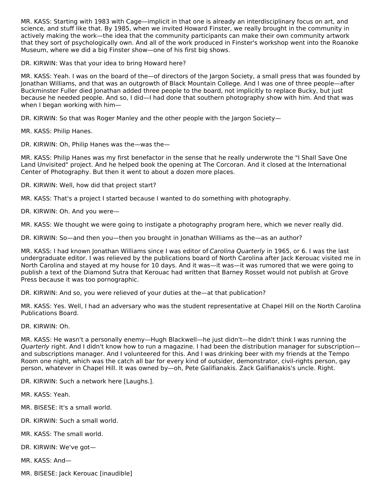MR. KASS: Starting with 1983 with Cage—implicit in that one is already an interdisciplinary focus on art, and science, and stuff like that. By 1985, when we invited Howard Finster, we really brought in the community in actively making the work—the idea that the community participants can make their own community artwork that they sort of psychologically own. And all of the work produced in Finster's workshop went into the Roanoke Museum, where we did a big Finster show—one of his first big shows.

DR. KIRWIN: Was that your idea to bring Howard here?

MR. KASS: Yeah. I was on the board of the—of directors of the Jargon Society, a small press that was founded by Jonathan Williams, and that was an outgrowth of Black Mountain College. And I was one of three people—after Buckminster Fuller died Jonathan added three people to the board, not implicitly to replace Bucky, but just because he needed people. And so, I did—I had done that southern photography show with him. And that was when I began working with him—

DR. KIRWIN: So that was Roger Manley and the other people with the Jargon Society—

MR. KASS: Philip Hanes.

DR. KIRWIN: Oh, Philip Hanes was the—was the—

MR. KASS: Philip Hanes was my first benefactor in the sense that he really underwrote the "I Shall Save One Land Unvisited" project. And he helped book the opening at The Corcoran. And it closed at the International Center of Photography. But then it went to about a dozen more places.

DR. KIRWIN: Well, how did that project start?

MR. KASS: That's a project I started because I wanted to do something with photography.

DR. KIRWIN: Oh. And you were—

MR. KASS: We thought we were going to instigate a photography program here, which we never really did.

DR. KIRWIN: So—and then you—then you brought in Jonathan Williams as the—as an author?

MR. KASS: I had known Jonathan Williams since I was editor of Carolina Quarterly in 1965, or 6. I was the last undergraduate editor. I was relieved by the publications board of North Carolina after Jack Kerouac visited me in North Carolina and stayed at my house for 10 days. And it was—it was—it was rumored that we were going to publish a text of the Diamond Sutra that Kerouac had written that Barney Rosset would not publish at Grove Press because it was too pornographic.

DR. KIRWIN: And so, you were relieved of your duties at the—at that publication?

MR. KASS: Yes. Well, I had an adversary who was the student representative at Chapel Hill on the North Carolina Publications Board.

DR. KIRWIN: Oh.

MR. KASS: He wasn't a personally enemy—Hugh Blackwell—he just didn't—he didn't think I was running the Quarterly right. And I didn't know how to run a magazine. I had been the distribution manager for subscription and subscriptions manager. And I volunteered for this. And I was drinking beer with my friends at the Tempo Room one night, which was the catch all bar for every kind of outsider, demonstrator, civil-rights person, gay person, whatever in Chapel Hill. It was owned by—oh, Pete Galifianakis. Zack Galifianakis's uncle. Right.

DR. KIRWIN: Such a network here [Laughs.].

MR. KASS: Yeah.

MR. BISESE: It's a small world.

DR. KIRWIN: Such a small world.

MR. KASS: The small world.

DR. KIRWIN: We've got—

MR. KASS: And—

MR. BISESE: Jack Kerouac [inaudible]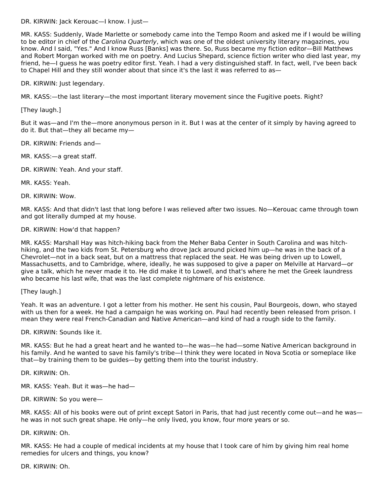DR. KIRWIN: Jack Kerouac—I know. I just—

MR. KASS: Suddenly, Wade Marlette or somebody came into the Tempo Room and asked me if I would be willing to be editor in chief of the Carolina Quarterly, which was one of the oldest university literary magazines, you know. And I said, "Yes." And I know Russ [Banks] was there. So, Russ became my fiction editor—Bill Matthews and Robert Morgan worked with me on poetry. And Lucius Shepard, science fiction writer who died last year, my friend, he—I guess he was poetry editor first. Yeah. I had a very distinguished staff. In fact, well, I've been back to Chapel Hill and they still wonder about that since it's the last it was referred to as-

DR. KIRWIN: Just legendary.

MR. KASS:—the last literary—the most important literary movement since the Fugitive poets. Right?

[They laugh.]

But it was—and I'm the—more anonymous person in it. But I was at the center of it simply by having agreed to do it. But that—they all became my—

DR. KIRWIN: Friends and—

MR. KASS:—a great staff.

DR. KIRWIN: Yeah. And your staff.

MR. KASS: Yeah.

DR. KIRWIN: Wow.

MR. KASS: And that didn't last that long before I was relieved after two issues. No—Kerouac came through town and got literally dumped at my house.

#### DR. KIRWIN: How'd that happen?

MR. KASS: Marshall Hay was hitch-hiking back from the Meher Baba Center in South Carolina and was hitchhiking, and the two kids from St. Petersburg who drove Jack around picked him up—he was in the back of a Chevrolet—not in a back seat, but on a mattress that replaced the seat. He was being driven up to Lowell, Massachusetts, and to Cambridge, where, ideally, he was supposed to give a paper on Melville at Harvard—or give a talk, which he never made it to. He did make it to Lowell, and that's where he met the Greek laundress who became his last wife, that was the last complete nightmare of his existence.

[They laugh.]

Yeah. It was an adventure. I got a letter from his mother. He sent his cousin, Paul Bourgeois, down, who stayed with us then for a week. He had a campaign he was working on. Paul had recently been released from prison. I mean they were real French-Canadian and Native American—and kind of had a rough side to the family.

DR. KIRWIN: Sounds like it.

MR. KASS: But he had a great heart and he wanted to—he was—he had—some Native American background in his family. And he wanted to save his family's tribe—I think they were located in Nova Scotia or someplace like that—by training them to be guides—by getting them into the tourist industry.

DR. KIRWIN: Oh.

MR. KASS: Yeah. But it was—he had—

DR. KIRWIN: So you were—

MR. KASS: All of his books were out of print except Satori in Paris, that had just recently come out—and he was he was in not such great shape. He only—he only lived, you know, four more years or so.

DR. KIRWIN: Oh.

MR. KASS: He had a couple of medical incidents at my house that I took care of him by giving him real home remedies for ulcers and things, you know?

DR. KIRWIN: Oh.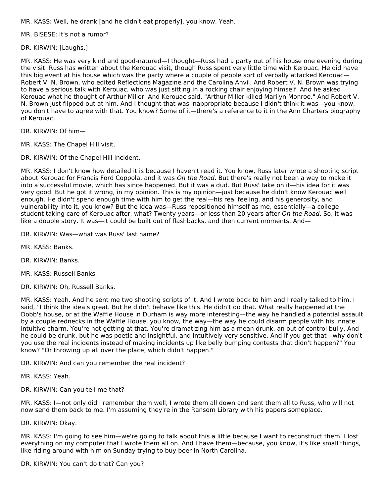MR. KASS: Well, he drank [and he didn't eat properly], you know. Yeah.

MR. BISESE: It's not a rumor?

DR. KIRWIN: [Laughs.]

MR. KASS: He was very kind and good-natured—I thought—Russ had a party out of his house one evening during the visit. Russ has written about the Kerouac visit, though Russ spent very little time with Kerouac. He did have this big event at his house which was the party where a couple of people sort of verbally attacked Kerouac— Robert V. N. Brown, who edited Reflections Magazine and the Carolina Anvil. And Robert V. N. Brown was trying to have a serious talk with Kerouac, who was just sitting in a rocking chair enjoying himself. And he asked Kerouac what he thought of Arthur Miller. And Kerouac said, "Arthur Miller killed Marilyn Monroe." And Robert V. N. Brown just flipped out at him. And I thought that was inappropriate because I didn't think it was—you know, you don't have to agree with that. You know? Some of it—there's a reference to it in the Ann Charters biography of Kerouac.

DR. KIRWIN: Of him—

MR. KASS: The Chapel Hill visit.

DR. KIRWIN: Of the Chapel Hill incident.

MR. KASS: I don't know how detailed it is because I haven't read it. You know, Russ later wrote a shooting script about Kerouac for Francis Ford Coppola, and it was On the Road. But there's really not been a way to make it into a successful movie, which has since happened. But it was a dud. But Russ' take on it—his idea for it was very good. But he got it wrong, in my opinion. This is my opinion—just because he didn't know Kerouac well enough. He didn't spend enough time with him to get the real—his real feeling, and his generosity, and vulnerability into it, you know? But the idea was—Russ repositioned himself as me, essentially—a college student taking care of Kerouac after, what? Twenty years—or less than 20 years after On the Road. So, it was like a double story. It was—it could be built out of flashbacks, and then current moments. And—

DR. KIRWIN: Was—what was Russ' last name?

MR. KASS: Banks.

DR. KIRWIN: Banks.

MR. KASS: Russell Banks.

DR. KIRWIN: Oh, Russell Banks.

MR. KASS: Yeah. And he sent me two shooting scripts of it. And I wrote back to him and I really talked to him. I said, "I think the idea's great. But he didn't behave like this. He didn't do that. What really happened at the Dobb's house, or at the Waffle House in Durham is way more interesting—the way he handled a potential assault by a couple rednecks in the Waffle House, you know, the way—the way he could disarm people with his innate intuitive charm. You're not getting at that. You're dramatizing him as a mean drunk, an out of control bully. And he could be drunk, but he was poetic and insightful, and intuitively very sensitive. And if you get that—why don't you use the real incidents instead of making incidents up like belly bumping contests that didn't happen?" You know? "Or throwing up all over the place, which didn't happen."

DR. KIRWIN: And can you remember the real incident?

MR. KASS: Yeah.

DR. KIRWIN: Can you tell me that?

MR. KASS: I—not only did I remember them well, I wrote them all down and sent them all to Russ, who will not now send them back to me. I'm assuming they're in the Ransom Library with his papers someplace.

DR. KIRWIN: Okay.

MR. KASS: I'm going to see him—we're going to talk about this a little because I want to reconstruct them. I lost everything on my computer that I wrote them all on. And I have them—because, you know, it's like small things, like riding around with him on Sunday trying to buy beer in North Carolina.

DR. KIRWIN: You can't do that? Can you?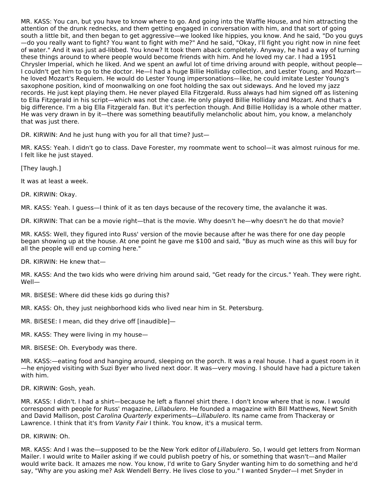MR. KASS: You can, but you have to know where to go. And going into the Waffle House, and him attracting the attention of the drunk rednecks, and them getting engaged in conversation with him, and that sort of going south a little bit, and then began to get aggressive—we looked like hippies, you know. And he said, "Do you guys —do you really want to fight? You want to fight with me?" And he said, "Okay, I'll fight you right now in nine feet of water." And it was just ad-libbed. You know? It took them aback completely. Anyway, he had a way of turning these things around to where people would become friends with him. And he loved my car. I had a 1951 Chrysler Imperial, which he liked. And we spent an awful lot of time driving around with people, without people— I couldn't get him to go to the doctor. He—I had a huge Billie Holliday collection, and Lester Young, and Mozart he loved Mozart's Requiem. He would do Lester Young impersonations—like, he could imitate Lester Young's saxophone position, kind of moonwalking on one foot holding the sax out sideways. And he loved my jazz records. He just kept playing them. He never played Ella Fitzgerald. Russ always had him signed off as listening to Ella Fitzgerald in his script—which was not the case. He only played Billie Holliday and Mozart. And that's a big difference. I'm a big Ella Fitzgerald fan. But it's perfection though. And Billie Holliday is a whole other matter. He was very drawn in by it—there was something beautifully melancholic about him, you know, a melancholy that was just there.

DR. KIRWIN: And he just hung with you for all that time? Just—

MR. KASS: Yeah. I didn't go to class. Dave Forester, my roommate went to school—it was almost ruinous for me. I felt like he just stayed.

[They laugh.]

It was at least a week.

DR. KIRWIN: Okay.

MR. KASS: Yeah. I guess—I think of it as ten days because of the recovery time, the avalanche it was.

DR. KIRWIN: That can be a movie right—that is the movie. Why doesn't he—why doesn't he do that movie?

MR. KASS: Well, they figured into Russ' version of the movie because after he was there for one day people began showing up at the house. At one point he gave me \$100 and said, "Buy as much wine as this will buy for all the people will end up coming here."

DR. KIRWIN: He knew that—

MR. KASS: And the two kids who were driving him around said, "Get ready for the circus." Yeah. They were right. Well—

MR. BISESE: Where did these kids go during this?

MR. KASS: Oh, they just neighborhood kids who lived near him in St. Petersburg.

MR. BISESE: I mean, did they drive off [inaudible]—

MR. KASS: They were living in my house—

MR. BISESE: Oh. Everybody was there.

MR. KASS:—eating food and hanging around, sleeping on the porch. It was a real house. I had a guest room in it —he enjoyed visiting with Suzi Byer who lived next door. It was—very moving. I should have had a picture taken with him.

DR. KIRWIN: Gosh, yeah.

MR. KASS: I didn't. I had a shirt—because he left a flannel shirt there. I don't know where that is now. I would correspond with people for Russ' magazine, Lillabulero. He founded a magazine with Bill Matthews, Newt Smith and David Mallison, post Carolina Quarterly experiments—Lillabulero. Its name came from Thackeray or Lawrence. I think that it's from Vanity Fair I think. You know, it's a musical term.

DR. KIRWIN: Oh.

MR. KASS: And I was the—supposed to be the New York editor of Lillabulero. So, I would get letters from Norman Mailer. I would write to Mailer asking if we could publish poetry of his, or something that wasn't—and Mailer would write back. It amazes me now. You know, I'd write to Gary Snyder wanting him to do something and he'd say, "Why are you asking me? Ask Wendell Berry. He lives close to you." I wanted Snyder—I met Snyder in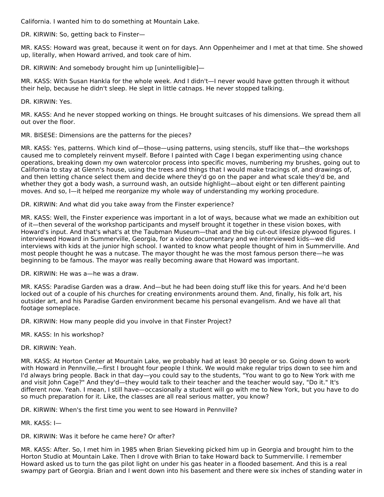California. I wanted him to do something at Mountain Lake.

DR. KIRWIN: So, getting back to Finster—

MR. KASS: Howard was great, because it went on for days. Ann Oppenheimer and I met at that time. She showed up, literally, when Howard arrived, and took care of him.

DR. KIRWIN: And somebody brought him up [unintelligible]—

MR. KASS: With Susan Hankla for the whole week. And I didn't—I never would have gotten through it without their help, because he didn't sleep. He slept in little catnaps. He never stopped talking.

DR. KIRWIN: Yes.

MR. KASS: And he never stopped working on things. He brought suitcases of his dimensions. We spread them all out over the floor.

MR. BISESE: Dimensions are the patterns for the pieces?

MR. KASS: Yes, patterns. Which kind of—those—using patterns, using stencils, stuff like that—the workshops caused me to completely reinvent myself. Before I painted with Cage I began experimenting using chance operations, breaking down my own watercolor process into specific moves, numbering my brushes, going out to California to stay at Glenn's house, using the trees and things that I would make tracings of, and drawings of, and then letting chance select them and decide where they'd go on the paper and what scale they'd be, and whether they got a body wash, a surround wash, an outside highlight—about eight or ten different painting moves. And so, I—it helped me reorganize my whole way of understanding my working procedure.

DR. KIRWIN: And what did you take away from the Finster experience?

MR. KASS: Well, the Finster experience was important in a lot of ways, because what we made an exhibition out of it—then several of the workshop participants and myself brought it together in these vision boxes, with Howard's input. And that's what's at the Taubman Museum—that and the big cut-out lifesize plywood figures. I interviewed Howard in Summerville, Georgia, for a video documentary and we interviewed kids—we did interviews with kids at the junior high school. I wanted to know what people thought of him in Summerville. And most people thought he was a nutcase. The mayor thought he was the most famous person there—he was beginning to be famous. The mayor was really becoming aware that Howard was important.

DR. KIRWIN: He was a—he was a draw.

MR. KASS: Paradise Garden was a draw. And—but he had been doing stuff like this for years. And he'd been locked out of a couple of his churches for creating environments around them. And, finally, his folk art, his outsider art, and his Paradise Garden environment became his personal evangelism. And we have all that footage someplace.

DR. KIRWIN: How many people did you involve in that Finster Project?

MR. KASS: In his workshop?

DR. KIRWIN: Yeah.

MR. KASS: At Horton Center at Mountain Lake, we probably had at least 30 people or so. Going down to work with Howard in Pennville,—first I brought four people I think. We would make regular trips down to see him and I'd always bring people. Back in that day—you could say to the students, "You want to go to New York with me and visit John Cage?" And they'd—they would talk to their teacher and the teacher would say, "Do it." It's different now. Yeah. I mean, I still have—occasionally a student will go with me to New York, but you have to do so much preparation for it. Like, the classes are all real serious matter, you know?

DR. KIRWIN: When's the first time you went to see Howard in Pennville?

MR. KASS: I—

DR. KIRWIN: Was it before he came here? Or after?

MR. KASS: After. So, I met him in 1985 when Brian Sieveking picked him up in Georgia and brought him to the Horton Studio at Mountain Lake. Then I drove with Brian to take Howard back to Summerville. I remember Howard asked us to turn the gas pilot light on under his gas heater in a flooded basement. And this is a real swampy part of Georgia. Brian and I went down into his basement and there were six inches of standing water in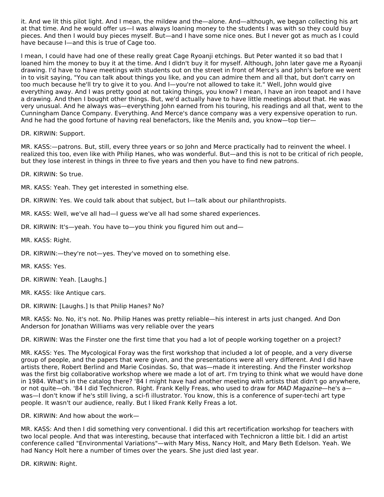it. And we lit this pilot light. And I mean, the mildew and the—alone. And—although, we began collecting his art at that time. And he would offer us—I was always loaning money to the students I was with so they could buy pieces. And then I would buy pieces myself. But—and I have some nice ones. But I never got as much as I could have because I—and this is true of Cage too.

I mean, I could have had one of these really great Cage Ryoanji etchings. But Peter wanted it so bad that I loaned him the money to buy it at the time. And I didn't buy it for myself. Although, John later gave me a Ryoanji drawing. I'd have to have meetings with students out on the street in front of Merce's and John's before we went in to visit saying, "You can talk about things you like, and you can admire them and all that, but don't carry on too much because he'll try to give it to you. And I—you're not allowed to take it." Well, John would give everything away. And I was pretty good at not taking things, you know? I mean, I have an iron teapot and I have a drawing. And then I bought other things. But, we'd actually have to have little meetings about that. He was very unusual. And he always was—everything John earned from his touring, his readings and all that, went to the Cunningham Dance Company. Everything. And Merce's dance company was a very expensive operation to run. And he had the good fortune of having real benefactors, like the Menils and, you know—top tier—

DR. KIRWIN: Support.

MR. KASS:—patrons. But, still, every three years or so John and Merce practically had to reinvent the wheel. I realized this too, even like with Philip Hanes, who was wonderful. But—and this is not to be critical of rich people, but they lose interest in things in three to five years and then you have to find new patrons.

DR. KIRWIN: So true.

MR. KASS: Yeah. They get interested in something else.

DR. KIRWIN: Yes. We could talk about that subject, but I—talk about our philanthropists.

MR. KASS: Well, we've all had—I guess we've all had some shared experiences.

DR. KIRWIN: It's—yeah. You have to—you think you figured him out and—

MR. KASS: Right.

DR. KIRWIN:—they're not—yes. They've moved on to something else.

MR. KASS: Yes.

DR. KIRWIN: Yeah. [Laughs.]

MR. KASS: like Antique cars.

DR. KIRWIN: [Laughs.] Is that Philip Hanes? No?

MR. KASS: No. No, it's not. No. Philip Hanes was pretty reliable—his interest in arts just changed. And Don Anderson for Jonathan Williams was very reliable over the years

DR. KIRWIN: Was the Finster one the first time that you had a lot of people working together on a project?

MR. KASS: Yes. The Mycological Foray was the first workshop that included a lot of people, and a very diverse group of people, and the papers that were given, and the presentations were all very different. And I did have artists there, Robert Berlind and Marie Cosindas. So, that was—made it interesting. And the Finster workshop was the first big collaborative workshop where we made a lot of art. I'm trying to think what we would have done in 1984. What's in the catalog there? '84 I might have had another meeting with artists that didn't go anywhere, or not quite—oh. '84 I did Technicron. Right. Frank Kelly Freas, who used to draw for MAD Magazine—he's a was—I don't know if he's still living, a sci-fi illustrator. You know, this is a conference of super-techi art type people. It wasn't our audience, really. But I liked Frank Kelly Freas a lot.

DR. KIRWIN: And how about the work—

MR. KASS: And then I did something very conventional. I did this art recertification workshop for teachers with two local people. And that was interesting, because that interfaced with Technicron a little bit. I did an artist conference called "Environmental Variations"—with Mary Miss, Nancy Holt, and Mary Beth Edelson. Yeah. We had Nancy Holt here a number of times over the years. She just died last year.

DR. KIRWIN: Right.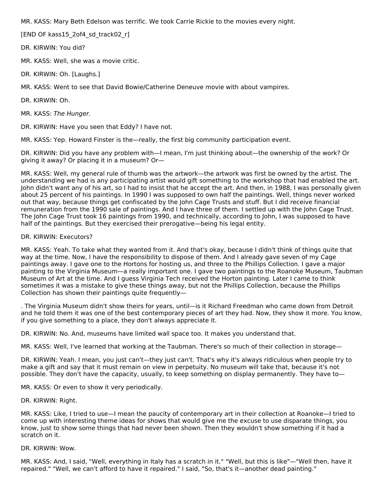MR. KASS: Mary Beth Edelson was terrific. We took Carrie Rickie to the movies every night.

[END OF kass15\_2of4\_sd\_track02\_r]

DR. KIRWIN: You did?

MR. KASS: Well, she was a movie critic.

DR. KIRWIN: Oh. [Laughs.]

MR. KASS: Went to see that David Bowie/Catherine Deneuve movie with about vampires.

DR. KIRWIN: Oh.

MR. KASS: The Hunger.

DR. KIRWIN: Have you seen that Eddy? I have not.

MR. KASS: Yep. Howard Finster is the—really, the first big community participation event.

DR. KIRWIN: Did you have any problem with—I mean, I'm just thinking about—the ownership of the work? Or giving it away? Or placing it in a museum? Or—

MR. KASS: Well, my general rule of thumb was the artwork—the artwork was first be owned by the artist. The understanding we had is any participating artist would gift something to the workshop that had enabled the art. John didn't want any of his art, so I had to insist that he accept the art. And then, in 1988, I was personally given about 25 percent of his paintings. In 1990 I was supposed to own half the paintings. Well, things never worked out that way, because things get confiscated by the John Cage Trusts and stuff. But I did receive financial remuneration from the 1990 sale of paintings. And I have three of them. I settled up with the John Cage Trust. The John Cage Trust took 16 paintings from 1990, and technically, according to John, I was supposed to have half of the paintings. But they exercised their prerogative—being his legal entity.

## DR. KIRWIN: Executors?

MR. KASS: Yeah. To take what they wanted from it. And that's okay, because I didn't think of things quite that way at the time. Now, I have the responsibility to dispose of them. And I already gave seven of my Cage paintings away. I gave one to the Hortons for hosting us, and three to the Phillips Collection. I gave a major painting to the Virginia Museum—a really important one. I gave two paintings to the Roanoke Museum, Taubman Museum of Art at the time. And I guess Virginia Tech received the Horton painting. Later I came to think sometimes it was a mistake to give these things away, but not the Phillips Collection, because the Phillips Collection has shown their paintings quite frequently—

. The Virginia Museum didn't show theirs for years, until—is it Richard Freedman who came down from Detroit and he told them it was one of the best contemporary pieces of art they had. Now, they show it more. You know, if you give something to a place, they don't always appreciate it.

DR. KIRWIN: No. And, museums have limited wall space too. It makes you understand that.

MR. KASS: Well, I've learned that working at the Taubman. There's so much of their collection in storage—

DR. KIRWIN: Yeah. I mean, you just can't—they just can't. That's why it's always ridiculous when people try to make a gift and say that it must remain on view in perpetuity. No museum will take that, because it's not possible. They don't have the capacity, usually, to keep something on display permanently. They have to—

MR. KASS: Or even to show it very periodically.

DR. KIRWIN: Right.

MR. KASS: Like, I tried to use—I mean the paucity of contemporary art in their collection at Roanoke—I tried to come up with interesting theme ideas for shows that would give me the excuse to use disparate things, you know, just to show some things that had never been shown. Then they wouldn't show something if it had a scratch on it.

#### DR. KIRWIN: Wow.

MR. KASS: And, I said, "Well, everything in Italy has a scratch in it." "Well, but this is like"—"Well then, have it repaired." "Well, we can't afford to have it repaired." I said, "So, that's it—another dead painting."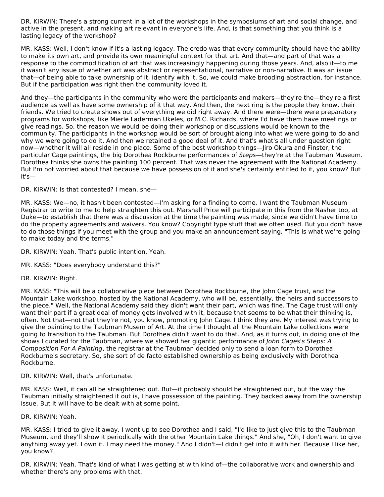DR. KIRWIN: There's a strong current in a lot of the workshops in the symposiums of art and social change, and active in the present, and making art relevant in everyone's life. And, is that something that you think is a lasting legacy of the workshop?

MR. KASS: Well, I don't know if it's a lasting legacy. The credo was that every community should have the ability to make its own art, and provide its own meaningful context for that art. And that—and part of that was a response to the commodification of art that was increasingly happening during those years. And, also it—to me it wasn't any issue of whether art was abstract or representational, narrative or non-narrative. It was an issue that—of being able to take ownership of it, identify with it. So, we could make brooding abstraction, for instance. But if the participation was right then the community loved it.

And they—the participants in the community who were the participants and makers—they're the—they're a first audience as well as have some ownership of it that way. And then, the next ring is the people they know, their friends. We tried to create shows out of everything we did right away. And there were—there were preparatory programs for workshops, like Mierle Laderman Ukeles, or M.C. Richards, where I'd have them have meetings or give readings. So, the reason we would be doing their workshop or discussions would be known to the community. The participants in the workshop would be sort of brought along into what we were going to do and why we were going to do it. And then we retained a good deal of it. And that's what's all under question right now—whether it will all reside in one place. Some of the best workshop things—Jiro Okura and Finster, the particular Cage paintings, the big Dorothea Rockburne performances of Steps—they're at the Taubman Museum. Dorothea thinks she owns the painting 100 percent. That was never the agreement with the National Academy. But I'm not worried about that because we have possession of it and she's certainly entitled to it, you know? But it's—

# DR. KIRWIN: Is that contested? I mean, she—

MR. KASS: We—no, it hasn't been contested—I'm asking for a finding to come. I want the Taubman Museum Registrar to write to me to help straighten this out. Marshall Price will participate in this from the Nasher too, at Duke—to establish that there was a discussion at the time the painting was made, since we didn't have time to do the property agreements and waivers. You know? Copyright type stuff that we often used. But you don't have to do those things if you meet with the group and you make an announcement saying, "This is what we're going to make today and the terms."

DR. KIRWIN: Yeah. That's public intention. Yeah.

MR. KASS: "Does everybody understand this?"

DR. KIRWIN: Right.

MR. KASS: "This will be a collaborative piece between Dorothea Rockburne, the John Cage trust, and the Mountain Lake workshop, hosted by the National Academy, who will be, essentially, the heirs and successors to the piece." Well, the National Academy said they didn't want their part, which was fine. The Cage trust will only want their part if a great deal of money gets involved with it, because that seems to be what their thinking is, often. Not that—not that they're not, you know, promoting John Cage. I think they are. My interest was trying to give the painting to the Taubman Musem of Art. At the time I thought all the Mountain Lake collections were going to transition to the Taubman. But Dorothea didn't want to do that. And, as it turns out, in doing one of the shows I curated for the Taubman, where we showed her gigantic performance of John Cages's Steps: A Composition For A Painting, the registrar at the Taubman decided only to send a loan form to Dorothea Rockburne's secretary. So, she sort of de facto established ownership as being exclusively with Dorothea Rockburne.

DR. KIRWIN: Well, that's unfortunate.

MR. KASS: Well, it can all be straightened out. But—it probably should be straightened out, but the way the Taubman initially straightened it out is, I have possession of the painting. They backed away from the ownership issue. But it will have to be dealt with at some point.

DR. KIRWIN: Yeah.

MR. KASS: I tried to give it away. I went up to see Dorothea and I said, "I'd like to just give this to the Taubman Museum, and they'll show it periodically with the other Mountain Lake things." And she, "Oh, I don't want to give anything away yet. I own it. I may need the money." And I didn't—I didn't get into it with her. Because I like her, you know?

DR. KIRWIN: Yeah. That's kind of what I was getting at with kind of—the collaborative work and ownership and whether there's any problems with that.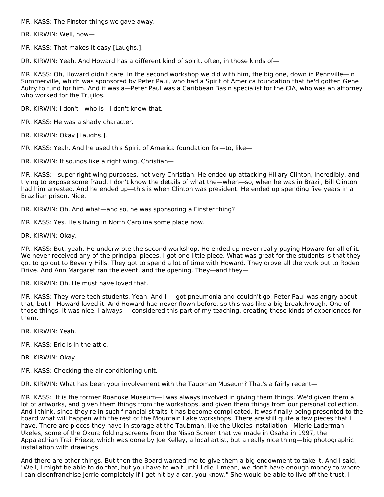MR. KASS: The Finster things we gave away.

DR. KIRWIN: Well, how—

MR. KASS: That makes it easy [Laughs.].

DR. KIRWIN: Yeah. And Howard has a different kind of spirit, often, in those kinds of—

MR. KASS: Oh, Howard didn't care. In the second workshop we did with him, the big one, down in Pennville—in Summerville, which was sponsored by Peter Paul, who had a Spirit of America foundation that he'd gotten Gene Autry to fund for him. And it was a—Peter Paul was a Caribbean Basin specialist for the CIA, who was an attorney who worked for the Trujilos.

DR. KIRWIN: I don't—who is—I don't know that.

MR. KASS: He was a shady character.

DR. KIRWIN: Okay [Laughs.].

MR. KASS: Yeah. And he used this Spirit of America foundation for—to, like—

DR. KIRWIN: It sounds like a right wing, Christian—

MR. KASS:—super right wing purposes, not very Christian. He ended up attacking Hillary Clinton, incredibly, and trying to expose some fraud. I don't know the details of what the—when—so, when he was in Brazil, Bill Clinton had him arrested. And he ended up—this is when Clinton was president. He ended up spending five years in a Brazilian prison. Nice.

DR. KIRWIN: Oh. And what—and so, he was sponsoring a Finster thing?

MR. KASS: Yes. He's living in North Carolina some place now.

DR. KIRWIN: Okay.

MR. KASS: But, yeah. He underwrote the second workshop. He ended up never really paying Howard for all of it. We never received any of the principal pieces. I got one little piece. What was great for the students is that they got to go out to Beverly Hills. They got to spend a lot of time with Howard. They drove all the work out to Rodeo Drive. And Ann Margaret ran the event, and the opening. They—and they—

DR. KIRWIN: Oh. He must have loved that.

MR. KASS: They were tech students. Yeah. And I—I got pneumonia and couldn't go. Peter Paul was angry about that, but I—Howard loved it. And Howard had never flown before, so this was like a big breakthrough. One of those things. It was nice. I always—I considered this part of my teaching, creating these kinds of experiences for them.

DR. KIRWIN: Yeah.

MR. KASS: Eric is in the attic.

DR. KIRWIN: Okay.

MR. KASS: Checking the air conditioning unit.

DR. KIRWIN: What has been your involvement with the Taubman Museum? That's a fairly recent—

MR. KASS: It is the former Roanoke Museum—I was always involved in giving them things. We'd given them a lot of artworks, and given them things from the workshops, and given them things from our personal collection. And I think, since they're in such financial straits it has become complicated, it was finally being presented to the board what will happen with the rest of the Mountain Lake workshops. There are still quite a few pieces that I have. There are pieces they have in storage at the Taubman, like the Ukeles installation—Mierle Laderman Ukeles, some of the Okura folding screens from the Nisso Screen that we made in Osaka in 1997, the Appalachian Trail Frieze, which was done by Joe Kelley, a local artist, but a really nice thing—big photographic installation with drawings.

And there are other things. But then the Board wanted me to give them a big endowment to take it. And I said, "Well, I might be able to do that, but you have to wait until I die. I mean, we don't have enough money to where I can disenfranchise Jerrie completely if I get hit by a car, you know." She would be able to live off the trust, I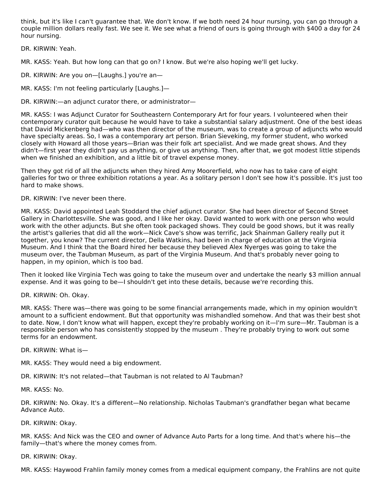think, but it's like I can't guarantee that. We don't know. If we both need 24 hour nursing, you can go through a couple million dollars really fast. We see it. We see what a friend of ours is going through with \$400 a day for 24 hour nursing.

DR. KIRWIN: Yeah.

MR. KASS: Yeah. But how long can that go on? I know. But we're also hoping we'll get lucky.

DR. KIRWIN: Are you on—[Laughs.] you're an—

MR. KASS: I'm not feeling particularly [Laughs.]—

DR. KIRWIN:—an adjunct curator there, or administrator—

MR. KASS: I was Adjunct Curator for Southeastern Contemporary Art for four years. I volunteered when their contemporary curator quit because he would have to take a substantial salary adjustment. One of the best ideas that David Mickenberg had—who was then director of the museum, was to create a group of adjuncts who would have specialty areas. So, I was a contemporary art person. Brian Sieveking, my former student, who worked closely with Howard all those years—Brian was their folk art specialist. And we made great shows. And they didn't—first year they didn't pay us anything, or give us anything. Then, after that, we got modest little stipends when we finished an exhibition, and a little bit of travel expense money.

Then they got rid of all the adjuncts when they hired Amy Moorerfield, who now has to take care of eight galleries for two or three exhibition rotations a year. As a solitary person I don't see how it's possible. It's just too hard to make shows.

DR. KIRWIN: I've never been there.

MR. KASS: David appointed Leah Stoddard the chief adjunct curator. She had been director of Second Street Gallery in Charlottesville. She was good, and I like her okay. David wanted to work with one person who would work with the other adjuncts. But she often took packaged shows. They could be good shows, but it was really the artist's galleries that did all the work—Nick Cave's show was terrific, Jack Shainman Gallery really put it together, you know? The current director, Della Watkins, had been in charge of education at the Virginia Museum. And I think that the Board hired her because they believed Alex Nyerges was going to take the museum over, the Taubman Museum, as part of the Virginia Museum. And that's probably never going to happen, in my opinion, which is too bad.

Then it looked like Virginia Tech was going to take the museum over and undertake the nearly \$3 million annual expense. And it was going to be—I shouldn't get into these details, because we're recording this.

DR. KIRWIN: Oh. Okay.

MR. KASS: There was—there was going to be some financial arrangements made, which in my opinion wouldn't amount to a sufficient endowment. But that opportunity was mishandled somehow. And that was their best shot to date. Now, I don't know what will happen, except they're probably working on it—I'm sure—Mr. Taubman is a responsible person who has consistently stopped by the museum . They're probably trying to work out some terms for an endowment.

DR. KIRWIN: What is—

MR. KASS: They would need a big endowment.

DR. KIRWIN: It's not related—that Taubman is not related to Al Taubman?

MR. KASS: No.

DR. KIRWIN: No. Okay. It's a different—No relationship. Nicholas Taubman's grandfather began what became Advance Auto.

DR. KIRWIN: Okay.

MR. KASS: And Nick was the CEO and owner of Advance Auto Parts for a long time. And that's where his—the family—that's where the money comes from.

DR. KIRWIN: Okay.

MR. KASS: Haywood Frahlin family money comes from a medical equipment company, the Frahlins are not quite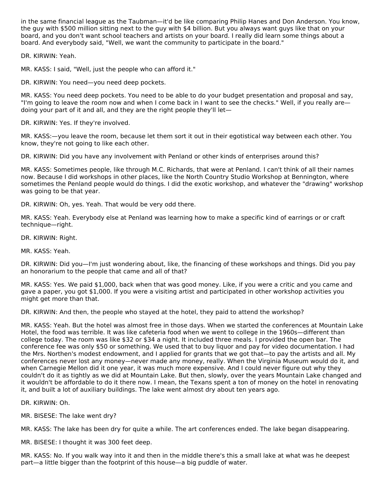in the same financial league as the Taubman—it'd be like comparing Philip Hanes and Don Anderson. You know, the guy with \$500 million sitting next to the guy with \$4 billion. But you always want guys like that on your board, and you don't want school teachers and artists on your board. I really did learn some things about a board. And everybody said, "Well, we want the community to participate in the board."

DR. KIRWIN: Yeah.

MR. KASS: I said, "Well, just the people who can afford it."

DR. KIRWIN: You need—you need deep pockets.

MR. KASS: You need deep pockets. You need to be able to do your budget presentation and proposal and say, "I'm going to leave the room now and when I come back in I want to see the checks." Well, if you really are doing your part of it and all, and they are the right people they'll let—

DR. KIRWIN: Yes. If they're involved.

MR. KASS:—you leave the room, because let them sort it out in their egotistical way between each other. You know, they're not going to like each other.

DR. KIRWIN: Did you have any involvement with Penland or other kinds of enterprises around this?

MR. KASS: Sometimes people, like through M.C. Richards, that were at Penland. I can't think of all their names now. Because I did workshops in other places, like the North Country Studio Workshop at Bennington, where sometimes the Penland people would do things. I did the exotic workshop, and whatever the "drawing" workshop was going to be that year.

DR. KIRWIN: Oh, yes. Yeah. That would be very odd there.

MR. KASS: Yeah. Everybody else at Penland was learning how to make a specific kind of earrings or or craft technique—right.

DR. KIRWIN: Right.

MR. KASS: Yeah.

DR. KIRWIN: Did you—I'm just wondering about, like, the financing of these workshops and things. Did you pay an honorarium to the people that came and all of that?

MR. KASS: Yes. We paid \$1,000, back when that was good money. Like, if you were a critic and you came and gave a paper, you got \$1,000. If you were a visiting artist and participated in other workshop activities you might get more than that.

DR. KIRWIN: And then, the people who stayed at the hotel, they paid to attend the workshop?

MR. KASS: Yeah. But the hotel was almost free in those days. When we started the conferences at Mountain Lake Hotel, the food was terrible. It was like cafeteria food when we went to college in the 1960s—different than college today. The room was like \$32 or \$34 a night. It included three meals. I provided the open bar. The conference fee was only \$50 or something. We used that to buy liquor and pay for video documentation. I had the Mrs. Northen's modest endowment, and I applied for grants that we got that—to pay the artists and all. My conferences never lost any money—never made any money, really. When the Virginia Museum would do it, and when Carnegie Mellon did it one year, it was much more expensive. And I could never figure out why they couldn't do it as tightly as we did at Mountain Lake. But then, slowly, over the years Mountain Lake changed and it wouldn't be affordable to do it there now. I mean, the Texans spent a ton of money on the hotel in renovating it, and built a lot of auxiliary buildings. The lake went almost dry about ten years ago.

DR. KIRWIN: Oh.

MR. BISESE: The lake went dry?

MR. KASS: The lake has been dry for quite a while. The art conferences ended. The lake began disappearing.

MR. BISESE: I thought it was 300 feet deep.

MR. KASS: No. If you walk way into it and then in the middle there's this a small lake at what was he deepest part—a little bigger than the footprint of this house—a big puddle of water.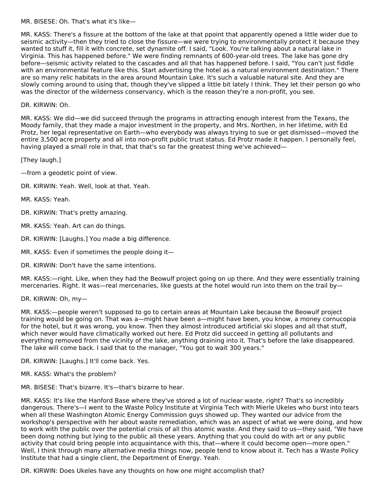MR. BISESE: Oh. That's what it's like—

MR. KASS: There's a fissure at the bottom of the lake at that ppoint that apparently opened a little wider due to seismic activity—then they tried to close the fissure—we were trying to environmentally protect it because they wanted to stuff it, fill it with concrete, set dynamite off. I said, "Look. You're talking about a natural lake in Virginia. This has happened before." We were finding remnants of 600-year-old trees. The lake has gone dry before—seismic activity related to the cascades and all that has happened before. I said, "You can't just fiddle with an environmental feature like this. Start advertising the hotel as a natural environment destination." There are so many relic habitats in the area around Mountain Lake. It's such a valuable natural site. And they are slowly coming around to using that, though they've slipped a little bit lately I think. They let their person go who was the director of the wilderness conservancy, which is the reason they're a non-profit, you see.

# DR. KIRWIN: Oh.

MR. KASS: We did—we did succeed through the programs in attracting enough interest from the Texans, the Moody family, that they made a major investment in the property, and Mrs. Northen, in her lifetime, with Ed Protz, her legal representative on Earth—who everybody was always trying to sue or get dismissed—moved the entire 3,500 acre property and all into non-profit public trust status. Ed Protz made it happen. I personally feel, having played a small role in that, that that's so far the greatest thing we've achieved—

[They laugh.]

—from a geodetic point of view.

DR. KIRWIN: Yeah. Well, look at that. Yeah.

MR. KASS: Yeah.

DR. KIRWIN: That's pretty amazing.

MR. KASS: Yeah. Art can do things.

DR. KIRWIN: [Laughs.] You made a big difference.

MR. KASS: Even if sometimes the people doing it—

DR. KIRWIN: Don't have the same intentions.

MR. KASS:—right. Like, when they had the Beowulf project going on up there. And they were essentially training mercenaries. Right. It was—real mercenaries, like guests at the hotel would run into them on the trail by—

#### DR. KIRWIN: Oh, my—

MR. KASS:—people weren't supposed to go to certain areas at Mountain Lake because the Beowulf project training would be going on. That was a—might have been a—might have been, you know, a money cornucopia for the hotel, but it was wrong, you know. Then they almost introduced artificial ski slopes and all that stuff, which never would have climatically worked out here. Ed Protz did succeed in getting all pollutants and everything removed from the vicinity of the lake, anything draining into it. That's before the lake disappeared. The lake will come back. I said that to the manager, "You got to wait 300 years."

DR. KIRWIN: [Laughs.] It'll come back. Yes.

MR. KASS: What's the problem?

MR. BISESE: That's bizarre. It's—that's bizarre to hear.

MR. KASS: It's like the Hanford Base where they've stored a lot of nuclear waste, right? That's so incredibly dangerous. There's—I went to the Waste Policy Institute at Virginia Tech with Mierle Ukeles who burst into tears when all these Washington Atomic Energy Commission guys showed up. They wanted our advice from the workshop's perspective with her about waste remediation, which was an aspect of what we were doing, and how to work with the public over the potential crisis of all this atomic waste. And they said to us—they said, "We have been doing nothing but lying to the public all these years. Anything that you could do with art or any public activity that could bring people into acquaintance with this, that—where it could become open—more open." Well, I think through many alternative media things now, people tend to know about it. Tech has a Waste Policy Institute that had a single client, the Department of Energy. Yeah.

DR. KIRWIN: Does Ukeles have any thoughts on how one might accomplish that?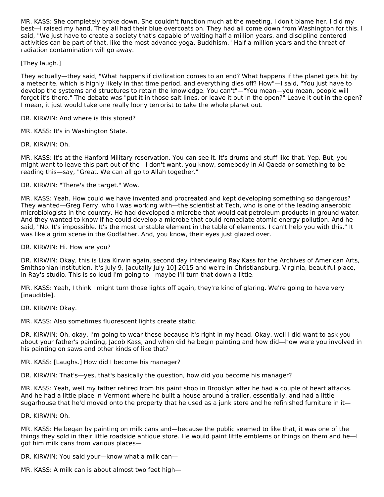MR. KASS: She completely broke down. She couldn't function much at the meeting. I don't blame her. I did my best—I raised my hand. They all had their blue overcoats on. They had all come down from Washington for this. I said, "We just have to create a society that's capable of waiting half a million years, and discipline centered activities can be part of that, like the most advance yoga, Buddhism." Half a million years and the threat of radiation contamination will go away.

[They laugh.]

They actually—they said, "What happens if civilization comes to an end? What happens if the planet gets hit by a meteorite, which is highly likely in that time period, and everything dies off? How"—I said, "You just have to develop the systems and structures to retain the knowledge. You can't"—"You mean—you mean, people will forget it's there." The debate was "put it in those salt lines, or leave it out in the open?" Leave it out in the open? I mean, it just would take one really loony terrorist to take the whole planet out.

DR. KIRWIN: And where is this stored?

MR. KASS: It's in Washington State.

DR. KIRWIN: Oh.

MR. KASS: It's at the Hanford Military reservation. You can see it. It's drums and stuff like that. Yep. But, you might want to leave this part out of the—I don't want, you know, somebody in Al Qaeda or something to be reading this—say, "Great. We can all go to Allah together."

DR. KIRWIN: "There's the target." Wow.

MR. KASS: Yeah. How could we have invented and procreated and kept developing something so dangerous? They wanted—Greg Ferry, who I was working with—the scientist at Tech, who is one of the leading anaerobic microbiologists in the country. He had developed a microbe that would eat petroleum products in ground water. And they wanted to know if he could develop a microbe that could remediate atomic energy pollution. And he said, "No. It's impossible. It's the most unstable element in the table of elements. I can't help you with this." It was like a grim scene in the Godfather. And, you know, their eyes just glazed over.

DR. KIRWIN: Hi. How are you?

DR. KIRWIN: Okay, this is Liza Kirwin again, second day interviewing Ray Kass for the Archives of American Arts, Smithsonian Institution. It's July 9, [acutally July 10] 2015 and we're in Christiansburg, Virginia, beautiful place, in Ray's studio. This is so loud I'm going to—maybe I'll turn that down a little.

MR. KASS: Yeah, I think I might turn those lights off again, they're kind of glaring. We're going to have very [inaudible].

DR. KIRWIN: Okay.

MR. KASS: Also sometimes fluorescent lights create static.

DR. KIRWIN: Oh, okay. I'm going to wear these because it's right in my head. Okay, well I did want to ask you about your father's painting, Jacob Kass, and when did he begin painting and how did—how were you involved in his painting on saws and other kinds of like that?

MR. KASS: [Laughs.] How did I become his manager?

DR. KIRWIN: That's—yes, that's basically the question, how did you become his manager?

MR. KASS: Yeah, well my father retired from his paint shop in Brooklyn after he had a couple of heart attacks. And he had a little place in Vermont where he built a house around a trailer, essentially, and had a little sugarhouse that he'd moved onto the property that he used as a junk store and he refinished furniture in it—

DR. KIRWIN: Oh.

MR. KASS: He began by painting on milk cans and—because the public seemed to like that, it was one of the things they sold in their little roadside antique store. He would paint little emblems or things on them and he—I got him milk cans from various places—

DR. KIRWIN: You said your—know what a milk can—

MR. KASS: A milk can is about almost two feet high—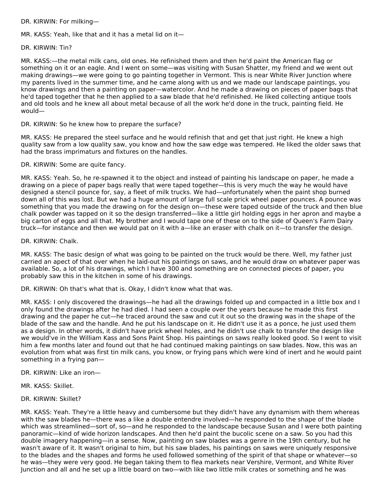DR. KIRWIN: For milking—

MR. KASS: Yeah, like that and it has a metal lid on it—

DR. KIRWIN: Tin?

MR. KASS:—the metal milk cans, old ones. He refinished them and then he'd paint the American flag or something on it or an eagle. And I went on some—was visiting with Susan Shatter, my friend and we went out making drawings—we were going to go painting together in Vermont. This is near White River Junction where my parents lived in the summer time, and he came along with us and we made our landscape paintings, you know drawings and then a painting on paper—watercolor. And he made a drawing on pieces of paper bags that he'd taped together that he then applied to a saw blade that he'd refinished. He liked collecting antique tools and old tools and he knew all about metal because of all the work he'd done in the truck, painting field. He would—

DR. KIRWIN: So he knew how to prepare the surface?

MR. KASS: He prepared the steel surface and he would refinish that and get that just right. He knew a high quality saw from a low quality saw, you know and how the saw edge was tempered. He liked the older saws that had the brass imprimaturs and fixtures on the handles.

DR. KIRWIN: Some are quite fancy.

MR. KASS: Yeah. So, he re-spawned it to the object and instead of painting his landscape on paper, he made a drawing on a piece of paper bags really that were taped together—this is very much the way he would have designed a stencil pounce for, say, a fleet of milk trucks. We had—unfortunately when the paint shop burned down all of this was lost. But we had a huge amount of large full scale prick wheel paper pounces. A pounce was something that you made the drawing on for the design on—these were taped outside of the truck and then blue chalk powder was tapped on it so the design transferred—like a little girl holding eggs in her apron and maybe a big carton of eggs and all that. My brother and I would tape one of these on to the side of Queen's Farm Dairy truck—for instance and then we would pat on it with a—like an eraser with chalk on it—to transfer the design.

DR. KIRWIN: Chalk.

MR. KASS: The basic design of what was going to be painted on the truck would be there. Well, my father just carried an apect of that over when he laid-out his paintings on saws, and he would draw on whatever paper was available. So, a lot of his drawings, which I have 300 and something are on connected pieces of paper, you probably saw this in the kitchen in some of his drawings.

DR. KIRWIN: Oh that's what that is. Okay, I didn't know what that was.

MR. KASS: I only discovered the drawings—he had all the drawings folded up and compacted in a little box and I only found the drawings after he had died. I had seen a couple over the years because he made this first drawing and the paper he cut—he traced around the saw and cut it out so the drawing was in the shape of the blade of the saw and the handle. And he put his landscape on it. He didn't use it as a ponce, he just used them as a design. In other words, it didn't have prick wheel holes, and he didn't use chalk to transfer the design like we would've in the William Kass and Sons Paint Shop. His paintings on saws really looked good. So I went to visit him a few months later and found out that he had continued making paintings on saw blades. Now, this was an evolution from what was first tin milk cans, you know, or frying pans which were kind of inert and he would paint something in a frying pan—

DR. KIRWIN: Like an iron—

MR. KASS: Skillet.

DR. KIRWIN: Skillet?

MR. KASS: Yeah. They're a little heavy and cumbersome but they didn't have any dynamism with them whereas with the saw blades he—there was a like a double entendre involved—he responded to the shape of the blade which was streamlined—sort of, so—and he responded to the landscape because Susan and I were both painting panoramic—kind of wide horizon landscapes. And then he'd paint the bucolic scene on a saw. So you had this double imagery happening—in a sense. Now, painting on saw blades was a genre in the 19th century, but he wasn't aware of it. It wasn't original to him, but his saw blades, his paintings on saws were uniquely responsive to the blades and the shapes and forms he used followed something of the spirit of that shape or whatever—so he was—they were very good. He began taking them to flea markets near Vershire, Vermont, and White River Junction and all and he set up a little board on two—with like two little milk crates or something and he was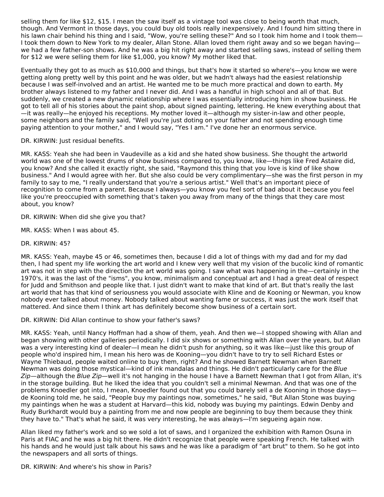selling them for like \$12, \$15. I mean the saw itself as a vintage tool was close to being worth that much, though. And Vermont in those days, you could buy old tools really inexpensively. And I found him sitting there in his lawn chair behind his thing and I said, "Wow, you're selling these?" And so I took him home and I took them— I took them down to New York to my dealer, Allan Stone. Allan loved them right away and so we began having we had a few father-son shows. And he was a big hit right away and started selling saws, instead of selling them for \$12 we were selling them for like \$1,000, you know? My mother liked that.

Eventually they got to as much as \$10,000 and things, but that's how it started so where's—you know we were getting along pretty well by this point and he was older, but we hadn't always had the easiest relationship because I was self-involved and an artist. He wanted me to be much more practical and down to earth. My brother always listened to my father and I never did. And I was a handful in high school and all of that. But suddenly, we created a new dynamic relationship where I was essentially introducing him in show business. He got to tell all of his stories about the paint shop, about signed painting, lettering. He knew everything about that —it was really—he enjoyed his receptions. My mother loved it—although my sister-in-law and other people, some neighbors and the family said, "Well you're just doting on your father and not spending enough time paying attention to your mother," and I would say, "Yes I am." I've done her an enormous service.

DR. KIRWIN: Just residual benefits.

MR. KASS: Yeah she had been in Vaudeville as a kid and she hated show business. She thought the artworld world was one of the lowest drums of show business compared to, you know, like—things like Fred Astaire did, you know? And she called it exactly right, she said, "Raymond this thing that you love is kind of like show business." And I would agree with her. But she also could be very complimentary—she was the first person in my family to say to me, "I really understand that you're a serious artist." Well that's an important piece of recognition to come from a parent. Because I always—you know you feel sort of bad about it because you feel like you're preoccupied with something that's taken you away from many of the things that they care most about, you know?

DR. KIRWIN: When did she give you that?

- MR. KASS: When I was about 45.
- DR. KIRWIN: 45?

MR. KASS: Yeah, maybe 45 or 46, sometimes then, because I did a lot of things with my dad and for my dad then, I had spent my life working the art world and I knew very well that my vision of the bucolic kind of romantic art was not in step with the direction the art world was going. I saw what was happening in the—certainly in the 1970's, it was the last of the "isms", you know, minimalism and conceptual art and I had a great deal of respect for Judd and Smithson and people like that. I just didn't want to make that kind of art. But that's really the last art world that has that kind of seriousness you would associate with Kline and de Kooning or Newman, you know nobody ever talked about money. Nobody talked about wanting fame or success, it was just the work itself that mattered. And since them I think art has definitely become show business of a certain sort.

DR. KIRWIN: Did Allan continue to show your father's saws?

MR. KASS: Yeah, until Nancy Hoffman had a show of them, yeah. And then we—I stopped showing with Allan and began showing with other galleries periodically. I did six shows or something with Allan over the years, but Allan was a very interesting kind of dealer—I mean he didn't push for anything, so it was like—just like this group of people who'd inspired him, I mean his hero was de Kooning—you didn't have to try to sell Richard Estes or Wayne Thiebaud, people waited online to buy them, right? And he showed Barnett Newman when Barnett Newman was doing those mystical—kind of ink mandalas and things. He didn't particularly care for the Blue Zip—although the Blue Zip—well it's not hanging in the house I have a Barnett Newman that I got from Allan, it's in the storage building. But he liked the idea that you couldn't sell a minimal Newman. And that was one of the problems Knoedler got into, I mean, Knoedler found out that you could barely sell a de Kooning in those days de Kooning told me, he said, "People buy my paintings now, sometimes," he said, "But Allan Stone was buying my paintings when he was a student at Harvard—this kid, nobody was buying my paintings. Edwin Denby and Rudy Burkhardt would buy a painting from me and now people are beginning to buy them because they think they have to." That's what he said, it was very interesting, he was always—I'm segueing again now.

Allan liked my father's work and so we sold a lot of saws, and I organized the exhibition with Ramon Osuna in Paris at FIAC and he was a big hit there. He didn't recognize that people were speaking French. He talked with his hands and he would just talk about his saws and he was like a paradigm of "art brut" to them. So he got into the newspapers and all sorts of things.

DR. KIRWIN: And where's his show in Paris?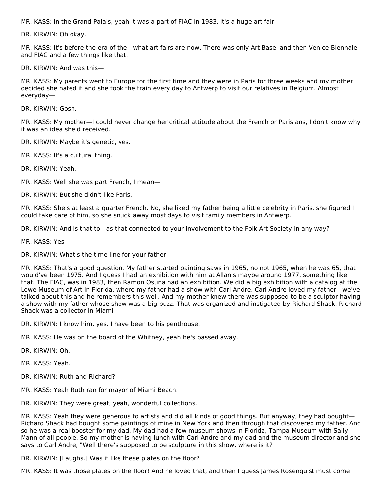MR. KASS: In the Grand Palais, yeah it was a part of FIAC in 1983, it's a huge art fair—

DR. KIRWIN: Oh okay.

MR. KASS: It's before the era of the—what art fairs are now. There was only Art Basel and then Venice Biennale and FIAC and a few things like that.

DR. KIRWIN: And was this—

MR. KASS: My parents went to Europe for the first time and they were in Paris for three weeks and my mother decided she hated it and she took the train every day to Antwerp to visit our relatives in Belgium. Almost everyday—

DR. KIRWIN: Gosh.

MR. KASS: My mother—I could never change her critical attitude about the French or Parisians, I don't know why it was an idea she'd received.

DR. KIRWIN: Maybe it's genetic, yes.

MR. KASS: It's a cultural thing.

DR. KIRWIN: Yeah.

MR. KASS: Well she was part French, I mean—

DR. KIRWIN: But she didn't like Paris.

MR. KASS: She's at least a quarter French. No, she liked my father being a little celebrity in Paris, she figured I could take care of him, so she snuck away most days to visit family members in Antwerp.

DR. KIRWIN: And is that to—as that connected to your involvement to the Folk Art Society in any way?

MR. KASS: Yes—

DR. KIRWIN: What's the time line for your father—

MR. KASS: That's a good question. My father started painting saws in 1965, no not 1965, when he was 65, that would've been 1975. And I guess I had an exhibition with him at Allan's maybe around 1977, something like that. The FIAC, was in 1983, then Ramon Osuna had an exhibition. We did a big exhibition with a catalog at the Lowe Museum of Art in Florida, where my father had a show with Carl Andre. Carl Andre loved my father—we've talked about this and he remembers this well. And my mother knew there was supposed to be a sculptor having a show with my father whose show was a big buzz. That was organized and instigated by Richard Shack. Richard Shack was a collector in Miami—

DR. KIRWIN: I know him, yes. I have been to his penthouse.

MR. KASS: He was on the board of the Whitney, yeah he's passed away.

DR. KIRWIN: Oh.

MR. KASS: Yeah.

DR. KIRWIN: Ruth and Richard?

MR. KASS: Yeah Ruth ran for mayor of Miami Beach.

DR. KIRWIN: They were great, yeah, wonderful collections.

MR. KASS: Yeah they were generous to artists and did all kinds of good things. But anyway, they had bought— Richard Shack had bought some paintings of mine in New York and then through that discovered my father. And so he was a real booster for my dad. My dad had a few museum shows in Florida, Tampa Museum with Sally Mann of all people. So my mother is having lunch with Carl Andre and my dad and the museum director and she says to Carl Andre, "Well there's supposed to be sculpture in this show, where is it?

DR. KIRWIN: [Laughs.] Was it like these plates on the floor?

MR. KASS: It was those plates on the floor! And he loved that, and then I guess James Rosenquist must come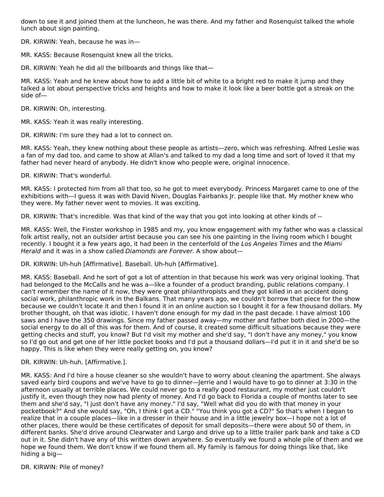down to see it and joined them at the luncheon, he was there. And my father and Rosenquist talked the whole lunch about sign painting.

DR. KIRWIN: Yeah, because he was in—

MR. KASS: Because Rosenquist knew all the tricks.

DR. KIRWIN: Yeah he did all the billboards and things like that—

MR. KASS: Yeah and he knew about how to add a little bit of white to a bright red to make it jump and they talked a lot about perspective tricks and heights and how to make it look like a beer bottle got a streak on the side of—

DR. KIRWIN: Oh, interesting.

MR. KASS: Yeah it was really interesting.

DR. KIRWIN: I'm sure they had a lot to connect on.

MR. KASS: Yeah, they knew nothing about these people as artists—zero, which was refreshing. Alfred Leslie was a fan of my dad too, and came to show at Allan's and talked to my dad a long time and sort of loved it that my father had never heard of anybody. He didn't know who people were, original innocence.

DR. KIRWIN: That's wonderful.

MR. KASS: I protected him from all that too, so he got to meet everybody. Princess Margaret came to one of the exhibitions with—I guess it was with David Niven, Douglas Fairbanks Jr. people like that. My mother knew who they were. My father never went to movies. It was exciting.

DR. KIRWIN: That's incredible. Was that kind of the way that you got into looking at other kinds of --

MR. KASS: Well, the Finster workshop in 1985 and my, you know engagement with my father who was a classical folk artist really, not an outsider artist because you can see his one painting in the living room which I bought recently. I bought it a few years ago, it had been in the centerfold of the Los Angeles Times and the Miami Herald and it was in a show called Diamonds are Forever. A show about-

DR. KIRWIN: Uh-huh [Affirmative]. Baseball. Uh-huh [Affirmative].

MR. KASS: Baseball. And he sort of got a lot of attention in that because his work was very original looking. That had belonged to the McCalls and he was a—like a founder of a product branding, public relations company. I can't remember the name of it now, they were great philanthropists and they got killed in an accident doing social work, philanthropic work in the Balkans. That many years ago, we couldn't borrow that piece for the show because we couldn't locate it and then I found it in an online auction so I bought it for a few thousand dollars. My brother thought, oh that was idiotic. I haven't done enough for my dad in the past decade. I have almost 100 saws and I have the 350 drawings. Since my father passed away—my mother and father both died in 2000—the social energy to do all of this was for them. And of course, it created some difficult situations because they were getting checks and stuff, you know? But I'd visit my mother and she'd say, "I don't have any money," you know so I'd go out and get one of her little pocket books and I'd put a thousand dollars—I'd put it in it and she'd be so happy. This is like when they were really getting on, you know?

DR. KIRWIN: Uh-huh. [Affirmative.].

MR. KASS: And I'd hire a house cleaner so she wouldn't have to worry about cleaning the apartment. She always saved early bird coupons and we've have to go to dinner—Jerrie and I would have to go to dinner at 3:30 in the afternoon usually at terrible places. We could never go to a really good restaurant, my mother just couldn't justify it, even though they now had plenty of money. And I'd go back to Florida a couple of months later to see them and she'd say, "I just don't have any money." I'd say, "Well what did you do with that money in your pocketbook?" And she would say, "Oh, I think I got a CD." "You think you got a CD?" So that's when I began to realize that in a couple places—like in a dresser in their house and in a little jewelry box—I hope not a lot of other places, there would be these certificates of deposit for small deposits—there were about 50 of them, in different banks. She'd drive around Clearwater and Largo and drive up to a little trailer park bank and take a CD out in it. She didn't have any of this written down anywhere. So eventually we found a whole pile of them and we hope we found them. We don't know if we found them all. My family is famous for doing things like that, like hiding a big—

DR. KIRWIN: Pile of money?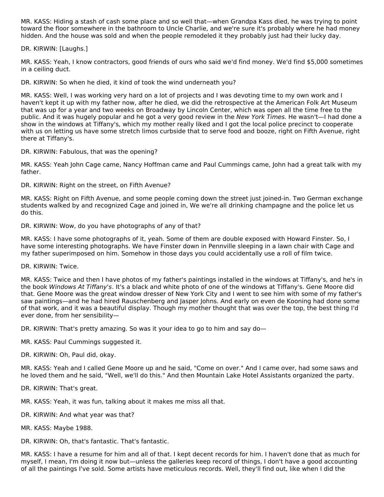MR. KASS: Hiding a stash of cash some place and so well that—when Grandpa Kass died, he was trying to point toward the floor somewhere in the bathroom to Uncle Charlie, and we're sure it's probably where he had money hidden. And the house was sold and when the people remodeled it they probably just had their lucky day.

DR. KIRWIN: [Laughs.]

MR. KASS: Yeah, I know contractors, good friends of ours who said we'd find money. We'd find \$5,000 sometimes in a ceiling duct.

DR. KIRWIN: So when he died, it kind of took the wind underneath you?

MR. KASS: Well, I was working very hard on a lot of projects and I was devoting time to my own work and I haven't kept it up with my father now, after he died, we did the retrospective at the American Folk Art Museum that was up for a year and two weeks on Broadway by Lincoln Center, which was open all the time free to the public. And it was hugely popular and he got a very good review in the New York Times. He wasn't—I had done a show in the windows at Tiffany's, which my mother really liked and I got the local police precinct to cooperate with us on letting us have some stretch limos curbside that to serve food and booze, right on Fifth Avenue, right there at Tiffany's.

DR. KIRWIN: Fabulous, that was the opening?

MR. KASS: Yeah John Cage came, Nancy Hoffman came and Paul Cummings came, John had a great talk with my father.

DR. KIRWIN: Right on the street, on Fifth Avenue?

MR. KASS: Right on Fifth Avenue, and some people coming down the street just joined-in. Two German exchange students walked by and recognized Cage and joined in, We we're all drinking champagne and the police let us do this.

DR. KIRWIN: Wow, do you have photographs of any of that?

MR. KASS: I have some photographs of it, yeah. Some of them are double exposed with Howard Finster. So, I have some interesting photographs. We have Finster down in Pennville sleeping in a lawn chair with Cage and my father superimposed on him. Somehow in those days you could accidentally use a roll of film twice.

DR. KIRWIN: Twice.

MR. KASS: Twice and then I have photos of my father's paintings installed in the windows at Tiffany's, and he's in the book Windows At Tiffany's. It's a black and white photo of one of the windows at Tiffany's. Gene Moore did that. Gene Moore was the great window dresser of New York City and I went to see him with some of my father's saw paintings—and he had hired Rauschenberg and Jasper Johns. And early on even de Kooning had done some of that work, and it was a beautiful display. Though my mother thought that was over the top, the best thing I'd ever done, from her sensibility—

DR. KIRWIN: That's pretty amazing. So was it your idea to go to him and say do—

MR. KASS: Paul Cummings suggested it.

DR. KIRWIN: Oh, Paul did, okay.

MR. KASS: Yeah and I called Gene Moore up and he said, "Come on over." And I came over, had some saws and he loved them and he said, "Well, we'll do this." And then Mountain Lake Hotel Assistants organized the party.

DR. KIRWIN: That's great.

MR. KASS: Yeah, it was fun, talking about it makes me miss all that.

DR. KIRWIN: And what year was that?

MR. KASS: Maybe 1988.

DR. KIRWIN: Oh, that's fantastic. That's fantastic.

MR. KASS: I have a resume for him and all of that. I kept decent records for him. I haven't done that as much for myself, I mean, I'm doing it now but—unless the galleries keep record of things, I don't have a good accounting of all the paintings I've sold. Some artists have meticulous records. Well, they'll find out, like when I did the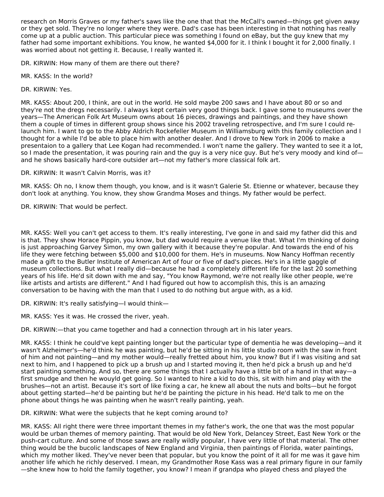research on Morris Graves or my father's saws like the one that that the McCall's owned—things get given away or they get sold. They're no longer where they were. Dad's case has been interesting in that nothing has really come up at a public auction. This particular piece was something I found on eBay, but the guy knew that my father had some important exhibitions. You know, he wanted \$4,000 for it. I think I bought it for 2,000 finally. I was worried about not getting it. Because, I really wanted it.

DR. KIRWIN: How many of them are there out there?

MR. KASS: In the world?

DR. KIRWIN: Yes.

MR. KASS: About 200, I think, are out in the world. He sold maybe 200 saws and I have about 80 or so and they're not the dregs necessarily. I always kept certain very good things back. I gave some to museums over the years—The American Folk Art Museum owns about 16 pieces, drawings and paintings, and they have shown them a couple of times in different group shows since his 2002 traveling retrospective, and I'm sure I could relaunch him. I want to go to the Abby Aldrich Rockefeller Museum in Williamsburg with this family collection and I thought for a while I'd be able to place him with another dealer. And I drove to New York in 2006 to make a presentaion to a gallery that Lee Kogan had recommended. I won't name the gallery. They wanted to see it a lot, so I made the presentation, it was pouring rain and the guy is a very nice guy. But he's very moody and kind of and he shows basically hard-core outsider art—not my father's more classical folk art.

DR. KIRWIN: It wasn't Calvin Morris, was it?

MR. KASS: Oh no, I know them though, you know, and is it wasn't Galerie St. Etienne or whatever, because they don't look at anything. You know, they show Grandma Moses and things. My father would be perfect.

DR. KIRWIN: That would be perfect.

MR. KASS: Well you can't get access to them. It's really interesting, I've gone in and said my father did this and is that. They show Horace Pippin, you know, but dad would require a venue like that. What I'm thinking of doing is just approaching Garvey Simon, my own gallery with it because they're popular. And towards the end of his life they were fetching between \$5,000 and \$10,000 for them. He's in museums. Now Nancy Hoffman recently made a gift to the Butler Institute of American Art of four or five of dad's pieces. He's in a little gaggle of museum collections. But what I really did—because he had a completely different life for the last 20 something years of his life. He'd sit down with me and say, "You know Raymond, we're not really like other people, we're like artists and artists are different." And I had figured out how to accomplish this, this is an amazing conversation to be having with the man that I used to do nothing but argue with, as a kid.

DR. KIRWIN: It's really satisfying—I would think—

MR. KASS: Yes it was. He crossed the river, yeah.

DR. KIRWIN:—that you came together and had a connection through art in his later years.

MR. KASS: I think he could've kept painting longer but the particular type of dementia he was developing—and it wasn't Alzheimer's—he'd think he was painting, but he'd be sitting in his little studio room with the saw in front of him and not painting—and my mother would—really fretted about him, you know? But if I was visiting and sat next to him, and I happened to pick up a brush up and I started moving it, then he'd pick a brush up and he'd start painting something. And so, there are some things that I actually have a little bit of a hand in that way—a first smudge and then he wouyld get going. So I wanted to hire a kid to do this, sit with him and play with the brushes—not an artist. Because it's sort of like fixing a car, he knew all about the nuts and bolts—but he forgot about getting started—he'd be painting but he'd be painting the picture in his head. He'd talk to me on the phone about things he was painting when he wasn't really painting, yeah.

DR. KIRWIN: What were the subjects that he kept coming around to?

MR. KASS: All right there were three important themes in my father's work, the one that was the most popular would be urban themes of memory painting. That would be old New York, Delancey Street, East New York or the push-cart culture. And some of those saws are really wildly popular, I have very little of that material. The other thing would be the bucolic landscapes of New England and Virginia, then paintings of Florida, water paintings, which my mother liked. They've never been that popular, but you know the point of it all for me was it gave him another life which he richly deserved. I mean, my Grandmother Rose Kass was a real primary figure in our family —she knew how to hold the family together, you know? I mean if grandpa who played chess and played the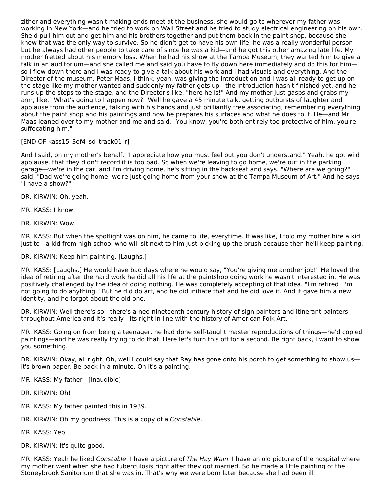zither and everything wasn't making ends meet at the business, she would go to wherever my father was working in New York—and he tried to work on Wall Street and he tried to study electrical engineering on his own. She'd pull him out and get him and his brothers together and put them back in the paint shop, because she knew that was the only way to survive. So he didn't get to have his own life, he was a really wonderful person but he always had other people to take care of since he was a kid—and he got this other amazing late life. My mother fretted about his memory loss. When he had his show at the Tampa Museum, they wanted him to give a talk in an auditorium—and she called me and said you have to fly down here immediately and do this for him so I flew down there and I was ready to give a talk about his work and I had visuals and everything. And the Director of the museum, Peter Maas, I think, yeah, was giving the introduction and I was all ready to get up on the stage like my mother wanted and suddenly my father gets up—the introduction hasn't finished yet, and he runs up the steps to the stage, and the Director's like, "here he is!" And my mother just gasps and grabs my arm, like, "What's going to happen now?" Well he gave a 45 minute talk, getting outbursts of laughter and applause from the audience, talking with his hands and just brilliantly free associating, remembering everything about the paint shop and his paintings and how he prepares his surfaces and what he does to it. He—and Mr. Maas leaned over to my mother and me and said, "You know, you're both entirely too protective of him, you're suffocating him."

# [END OF kass15\_3of4\_sd\_track01\_r]

And I said, on my mother's behalf, "I appreciate how you must feel but you don't understand." Yeah, he got wild applause, that they didn't record it is too bad. So when we're leaving to go home, we're out in the parking garage—we're in the car, and I'm driving home, he's sitting in the backseat and says. "Where are we going?" I said, "Dad we're going home, we're just going home from your show at the Tampa Museum of Art." And he says "I have a show?"

DR. KIRWIN: Oh, yeah.

MR. KASS: I know.

DR. KIRWIN: Wow.

MR. KASS: But when the spotlight was on him, he came to life, everytime. It was like, I told my mother hire a kid just to—a kid from high school who will sit next to him just picking up the brush because then he'll keep painting.

DR. KIRWIN: Keep him painting. [Laughs.]

MR. KASS: [Laughs.] He would have bad days where he would say, "You're giving me another job!" He loved the idea of retiring after the hard work he did all his life at the paintshop doing work he wasn't interested in. He was positively challenged by the idea of doing nothing. He was completely accepting of that idea. "I'm retired! I'm not going to do anything." But he did do art, and he did initiate that and he did love it. And it gave him a new identity, and he forgot about the old one.

DR. KIRWIN: Well there's so—there's a neo-nineteenth century history of sign painters and itinerant painters throughout America and it's really—its right in line with the history of American Folk Art.

MR. KASS: Going on from being a teenager, he had done self-taught master reproductions of things—he'd copied paintings—and he was really trying to do that. Here let's turn this off for a second. Be right back, I want to show you something.

DR. KIRWIN: Okay, all right. Oh, well I could say that Ray has gone onto his porch to get something to show usit's brown paper. Be back in a minute. Oh it's a painting.

MR. KASS: My father—[inaudible]

DR. KIRWIN: Oh!

MR. KASS: My father painted this in 1939.

DR. KIRWIN: Oh my goodness. This is a copy of a Constable.

MR. KASS: Yep.

DR. KIRWIN: It's quite good.

MR. KASS: Yeah he liked Constable. I have a picture of The Hay Wain. I have an old picture of the hospital where my mother went when she had tuberculosis right after they got married. So he made a little painting of the Stoneybrook Sanitorium that she was in. That's why we were born later because she had been ill.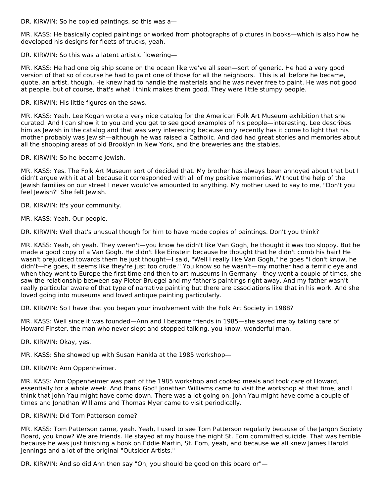DR. KIRWIN: So he copied paintings, so this was a—

MR. KASS: He basically copied paintings or worked from photographs of pictures in books—which is also how he developed his designs for fleets of trucks, yeah.

DR. KIRWIN: So this was a latent artistic flowering—

MR. KASS: He had one big ship scene on the ocean like we've all seen—sort of generic. He had a very good version of that so of course he had to paint one of those for all the neighbors. This is all before he became, quote, an artist, though. He knew had to handle the materials and he was never free to paint. He was not good at people, but of course, that's what I think makes them good. They were little stumpy people.

DR. KIRWIN: His little figures on the saws.

MR. KASS: Yeah. Lee Kogan wrote a very nice catalog for the American Folk Art Museum exhibition that she curated. And I can show it to you and you get to see good examples of his people—interesting. Lee describes him as Jewish in the catalog and that was very interesting because only recently has it come to light that his mother probably was Jewish—although he was raised a Catholic. And dad had great stories and memories about all the shopping areas of old Brooklyn in New York, and the breweries ans the stables.

DR. KIRWIN: So he became Jewish.

MR. KASS: Yes. The Folk Art Museum sort of decided that. My brother has always been annoyed about that but I didn't argue with it at all because it corresponded with all of my positive memories. Without the help of the Jewish families on our street I never would've amounted to anything. My mother used to say to me, "Don't you feel Jewish?" She felt Jewish.

DR. KIRWIN: It's your community.

MR. KASS: Yeah. Our people.

DR. KIRWIN: Well that's unusual though for him to have made copies of paintings. Don't you think?

MR. KASS: Yeah, oh yeah. They weren't—you know he didn't like Van Gogh, he thought it was too sloppy. But he made a good copy of a Van Gogh. He didn't like Einstein because he thought that he didn't comb his hair! He wasn't prejudiced towards them he just thought—I said, "Well I really like Van Gogh," he goes "I don't know, he didn't—he goes, it seems like they're just too crude." You know so he wasn't—my mother had a terrific eye and when they went to Europe the first time and then to art museums in Germany—they went a couple of times, she saw the relationship between say Pieter Bruegel and my father's paintings right away. And my father wasn't really particular aware of that type of narrative painting but there are associations like that in his work. And she loved going into museums and loved antique painting particularly.

DR. KIRWIN: So I have that you began your involvement with the Folk Art Society in 1988?

MR. KASS: Well since it was founded—Ann and I became friends in 1985—she saved me by taking care of Howard Finster, the man who never slept and stopped talking, you know, wonderful man.

DR. KIRWIN: Okay, yes.

MR. KASS: She showed up with Susan Hankla at the 1985 workshop—

DR. KIRWIN: Ann Oppenheimer.

MR. KASS: Ann Oppenheimer was part of the 1985 workshop and cooked meals and took care of Howard, essentially for a whole week. And thank God! Jonathan Williams came to visit the workshop at that time, and I think that John Yau might have come down. There was a lot going on, John Yau might have come a couple of times and Jonathan Williams and Thomas Myer came to visit periodically.

### DR. KIRWIN: Did Tom Patterson come?

MR. KASS: Tom Patterson came, yeah. Yeah, I used to see Tom Patterson regularly because of the Jargon Society Board, you know? We are friends. He stayed at my house the night St. Eom committed suicide. That was terrible because he was just finishing a book on Eddie Martin, St. Eom, yeah, and because we all knew James Harold Jennings and a lot of the original "Outsider Artists."

DR. KIRWIN: And so did Ann then say "Oh, you should be good on this board or"—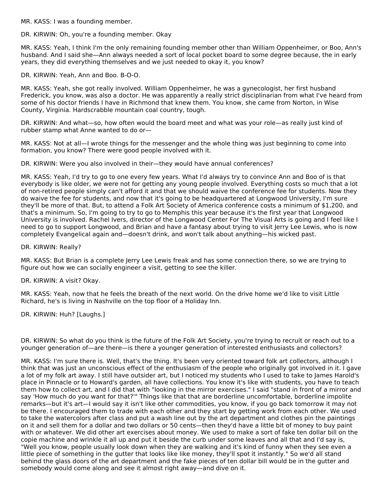MR. KASS: I was a founding member.

DR. KIRWIN: Oh, you're a founding member. Okay

MR. KASS: Yeah, I think I'm the only remaining founding member other than William Oppenheimer, or Boo, Ann's husband. And I said she—Ann always needed a sort of local pocket board to some degree because, the in early years, they did everything themselves and we just needed to okay it, you know?

DR. KIRWIN: Yeah, Ann and Boo. B-O-O.

MR. KASS: Yeah, she got really involved. William Oppenheimer, he was a gynecologist, her first husband Frederick, you know, was also a doctor. He was apparently a really strict disciplinarian from what I've heard from some of his doctor friends I have in Richmond that knew them. You know, she came from Norton, in Wise County, Virginia. Hardscrabble mountain coal country, tough.

DR. KIRWIN: And what—so, how often would the board meet and what was your role—as really just kind of rubber stamp what Anne wanted to do or—

MR. KASS: Not at all—I wrote things for the messenger and the whole thing was just beginning to come into formation, you know? There were good people involved with it.

DR. KIRWIN: Were you also involved in their—they would have annual conferences?

MR. KASS: Yeah, I'd try to go to one every few years. What I'd always try to convince Ann and Boo of is that everybody is like older, we were not for getting any young people involved. Everything costs so much that a lot of non-retired people simply can't afford it and that we should waive the conference fee for students. Now they do waive the fee for students, and now that it's going to be headquartered at Longwood University, I'm sure they'll be more of that. But, to attend a Folk Art Society of America conference costs a minimum of \$1,200, and that's a minimum. So, I'm going to try to go to Memphis this year because it's the first year that Longwood University is involved. Rachel Ivers, director of the Longwood Center For The Visual Arts is going and I feel like I need to go to support Longwood, and Brian and have a fantasy about trying to visit Jerry Lee Lewis, who is now completely Evangelical again and—doesn't drink, and won't talk about anything—his wicked past.

DR. KIRWIN: Really?

MR. KASS: But Brian is a complete Jerry Lee Lewis freak and has some connection there, so we are trying to figure out how we can socially engineer a visit, getting to see the killer.

DR. KIRWIN: A visit? Okay.

MR. KASS: Yeah, now that he feels the breath of the next world. On the drive home we'd like to visit Little Richard, he's is living in Nashville on the top floor of a Holiday Inn.

DR. KIRWIN: Huh? [Laughs.]

DR. KIRWIN: So what do you think is the future of the Folk Art Society, you're trying to recruit or reach out to a younger generation of—are there—is there a younger generation of interested enthusiasts and collectors?

MR. KASS: I'm sure there is. Well, that's the thing. It's been very oriented toward folk art collectors, although I think that was just an unconscious effect of the enthusiasm of the people who originally got involved in it. I gave a lot of my folk art away. I still have outsider art, but I noticed my students who I used to take to James Harold's place in Pinnacle or to Howard's garden, all have collections. You know it's like with students, you have to teach them how to collect art, and I did that with "looking in the mirror exercises." I said "stand in front of a mirror and say 'How much do you want for that?'" Things like that that are borderline uncomfortable, borderline impolite remarks—but it's art—I would say it isn't like other commodities, you know, if you go back tomorrow it may not be there. I encouraged them to trade with each other and they start by getting work from each other. We used to take the watercolors after class and put a wash line out by the art department and clothes pin the paintings on it and sell them for a dollar and two dollars or 50 cents—then they'd have a little bit of money to buy paint with or whatever. We did other art exercises about money. We used to make a sort of fake ten dollar bill on the copie machine and wrinkle it all up and put it beside the curb under some leaves and all that and I'd say is, "Well you know, people usually look down when they are walking and it's kind of funny when they see even a little piece of something in the gutter that looks like like money, they'll spot it instantly." So we'd all stand behind the glass doors of the art department and the fake pieces of ten dollar bill would be in the gutter and somebody would come along and see it almost right away—and dive on it.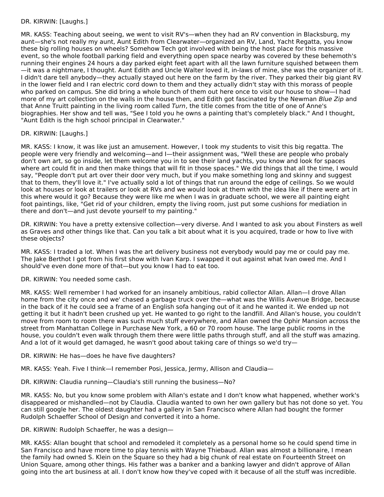## DR. KIRWIN: [Laughs.]

MR. KASS: Teaching about seeing, we went to visit RV's—when they had an RV convention in Blacksburg, my aunt—she's not really my aunt, Aunt Edith from Clearwater—organized an RV, Land, Yacht Regatta, you know these big rolling houses on wheels? Somehow Tech got involved with being the host place for this massive event, so the whole football parking field and everything open space nearby was covered by these behemoth's running their engines 24 hours a day parked eight feet apart with all the lawn furniture squished between them —it was a nightmare, I thought. Aunt Edith and Uncle Walter loved it, in-laws of mine, she was the organizer of it. I didn't dare tell anybody—they actually stayed out here on the farm by the river. They parked their big giant RV in the lower field and I ran electric cord down to them and they actually didn't stay with this morass of people who parked on campus. She did bring a whole bunch of them out here once to visit our house to show—I had more of my art collection on the walls in the house then, and Edith got fascinated by the Newman Blue Zip and that Anne Truitt painting in the living room called Turn, the title comes from the title of one of Anne's biographies. Her show and tell was, "See I told you he owns a painting that's completely black." And I thought, "Aunt Edith is the high school principal in Clearwater."

### DR. KIRWIN: [Laughs.]

MR. KASS: I know, it was like just an amusement. However, I took my students to visit this big regatta. The people were very friendly and welcoming—and I—their assignment was, "Well these are people who probaly don't own art, so go inside, let them welcome you in to see their land yachts, you know and look for spaces where art could fit in and then make things that will fit in those spaces." We did things that all the time, I would say, "People don't put art over their door very much, but if you make something long and skinny and suggest that to them, they'll love it." I've actually sold a lot of things that run around the edge of ceilings. So we would look at houses or look at trailers or look at RVs and we would look at them with the idea like if there were art in this where would it go? Because they were like me when I was in graduate school, we were all painting eight foot paintings, like, "Get rid of your children, empty the living room, just put some cushions for mediation in there and don't—and just devote yourself to my painting."

DR. KIRWIN: You have a pretty extensive collection—very diverse. And I wanted to ask you about Finsters as well as Graves and other things like that. Can you talk a bit about what it is you acquired, trade or how to live with these objects?

MR. KASS: I traded a lot. When I was the art delivery business not everybody would pay me or could pay me. The Jake Berthot I got from his first show with Ivan Karp. I swapped it out against what Ivan owed me. And I should've even done more of that—but you know I had to eat too.

DR. KIRWIN: You needed some cash.

MR. KASS: Well remember I had worked for an insanely ambitious, rabid collector Allan. Allan—I drove Allan home from the city once and we' chased a garbage truck over the—what was the Willis Avenue Bridge, because in the back of it he could see a frame of an English sofa hanging out of it and he wanted it. We ended up not getting it but it hadn't been crushed up yet. He wanted to go right to the landfill. And Allan's house, you couldn't move from room to room there was such much stuff everywhere, and Allan owned the Ophir Mansion across the street from Manhattan College in Purchase New York, a 60 or 70 room house. The large public rooms in the house, you couldn't even walk through them there were little paths through stuff, and all the stuff was amazing. And a lot of it would get damaged, he wasn't good about taking care of things so we'd try—

DR. KIRWIN: He has—does he have five daughters?

MR. KASS: Yeah. Five I think—I remember Posi, Jessica, Jermy, Allison and Claudia—

DR. KIRWIN: Claudia running—Claudia's still running the business—No?

MR. KASS: No, but you know some problem with Allan's estate and I don't know what happened, whether work's disappeared or mishandled—not by Claudia. Claudia wanted to own her own gallery but has not done so yet. You can still google her. The oldest daughter had a gallery in San Francisco where Allan had bought the former Rudolph Schaeffer School of Design and converted it into a home.

DR. KIRWIN: Rudolph Schaeffer, he was a design—

MR. KASS: Allan bought that school and remodeled it completely as a personal home so he could spend time in San Francisco and have more time to play tennis with Wayne Thiebaud. Allan was almost a billionaire, I mean the family had owned S. Klein on the Square so they had a big chunk of real estate on Fourteenth Street on Union Square, among other things. His father was a banker and a banking lawyer and didn't approve of Allan going into the art business at all. I don't know how they've coped with it because of all the stuff was incredible.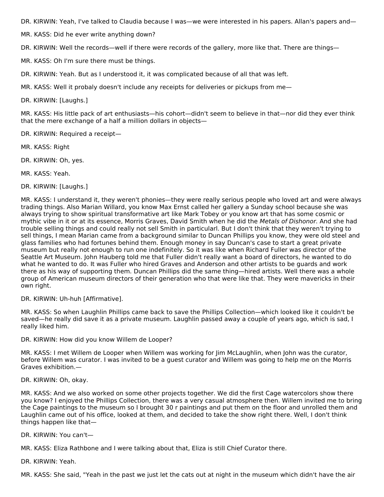DR. KIRWIN: Yeah, I've talked to Claudia because I was—we were interested in his papers. Allan's papers and—

MR. KASS: Did he ever write anything down?

DR. KIRWIN: Well the records—well if there were records of the gallery, more like that. There are things—

MR. KASS: Oh I'm sure there must be things.

DR. KIRWIN: Yeah. But as I understood it, it was complicated because of all that was left.

MR. KASS: Well it probaly doesn't include any receipts for deliveries or pickups from me—

DR. KIRWIN: [Laughs.]

MR. KASS: His little pack of art enthusiasts—his cohort—didn't seem to believe in that—nor did they ever think that the mere exchange of a half a million dollars in objects—

DR. KIRWIN: Required a receipt—

MR. KASS: Right

DR. KIRWIN: Oh, yes.

MR. KASS: Yeah.

DR. KIRWIN: [Laughs.]

MR. KASS: I understand it, they weren't phonies—they were really serious people who loved art and were always trading things. Also Marian Willard, you know Max Ernst called her gallery a Sunday school because she was always trying to show spiritual transformative art like Mark Tobey or you know art that has some cosmic or mythic vibe in it or at its essence, Morris Graves, David Smith when he did the Metals of Dishonor. And she had trouble selling things and could really not sell Smith in particularl. But I don't think that they weren't trying to sell things, I mean Marian came from a background similar to Duncan Phillips you know, they were old steel and glass families who had fortunes behind them. Enough money in say Duncan's case to start a great private museum but really not enough to run one indefinitely. So it was like when Richard Fuller was director of the Seattle Art Museum. John Hauberg told me that Fuller didn't really want a board of directors, he wanted to do what he wanted to do. It was Fuller who hired Graves and Anderson and other artists to be guards and work there as his way of supporting them. Duncan Phillips did the same thing—hired artists. Well there was a whole group of American museum directors of their generation who that were like that. They were mavericks in their own right.

DR. KIRWIN: Uh-huh [Affirmative].

MR. KASS: So when Laughlin Phillips came back to save the Phillips Collection—which looked like it couldn't be saved—he really did save it as a private museum. Laughlin passed away a couple of years ago, which is sad, I really liked him.

DR. KIRWIN: How did you know Willem de Looper?

MR. KASS: I met Willem de Looper when Willem was working for Jim McLaughlin, when John was the curator, before Willem was curator. I was invited to be a guest curator and Willem was going to help me on the Morris Graves exhibition.—

DR. KIRWIN: Oh, okay.

MR. KASS: And we also worked on some other projects together. We did the first Cage watercolors show there you know? I enjoyed the Phillips Collection, there was a very casual atmosphere then. Willem invited me to bring the Cage paintings to the museum so I brought 30 r paintings and put them on the floor and unrolled them and Laughlin came out of his office, looked at them, and decided to take the show right there. Well, I don't think things happen like that—

DR. KIRWIN: You can't—

MR. KASS: Eliza Rathbone and I were talking about that, Eliza is still Chief Curator there.

DR. KIRWIN: Yeah.

MR. KASS: She said, "Yeah in the past we just let the cats out at night in the museum which didn't have the air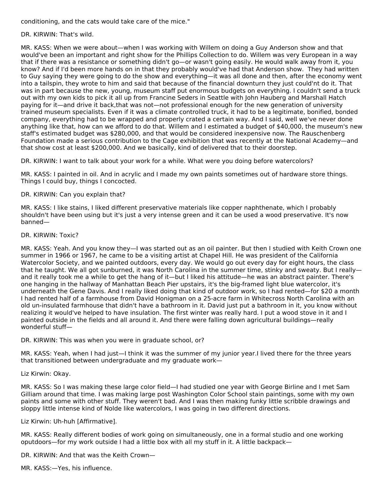conditioning, and the cats would take care of the mice."

DR. KIRWIN: That's wild.

MR. KASS: When we were about—when I was working with Willem on doing a Guy Anderson show and that would've been an important and right show for the Phillips Collection to do. Willem was very European in a way that if there was a resistance or something didn't go—or wasn't going easily. He would walk away from it, you know? And if I'd been more hands on in that they probably would've had that Anderson show. They had written to Guy saying they were going to do the show and everything—it was all done and then, after the economy went into a tailspin, they wrote to him and said that because of the financial downturn they just could'nt do it. That was in part because the new, young, museum staff put enormous budgets on everything. I couldn't send a truck out with my own kids to pick it all up from Francine Seders in Seattle with John Hauberg and Marshall Hatch paying for it—and drive it back,that was not—not professional enough for the new generation of university trained museum specialists. Even if it was a climate controlled truck, it had to be a legitimate, bonified, bonded company, everything had to be wrapped and properly crated a certain way. And I said, well we've never done anything like that, how can we afford to do that. Willem and I estimated a budget of \$40,000, the museum's new staff's estimated budget was \$280,000, and that would be considered inexpensive now. The Rauschenberg Foundation made a serious contribution to the Cage exhibition that was recently at the National Academy—and that show cost at least \$200,000. And we basically, kind of delivered that to their doorstep.

DR. KIRWIN: I want to talk about your work for a while. What were you doing before watercolors?

MR. KASS: I painted in oil. And in acrylic and I made my own paints sometimes out of hardware store things. Things I could buy, things I concocted.

DR. KIRWIN: Can you explain that?

MR. KASS: I like stains, I liked different preservative materials like copper naphthenate, which I probably shouldn't have been using but it's just a very intense green and it can be used a wood preservative. It's now banned—

DR. KIRWIN: Toxic?

MR. KASS: Yeah. And you know they—I was started out as an oil painter. But then I studied with Keith Crown one summer in 1966 or 1967, he came to be a visiting artist at Chapel Hill. He was president of the California Watercolor Society, and we painted outdoors, every day. We would go out every day for eight hours, the class that he taught. We all got sunburned, it was North Carolina in the summer time, stinky and sweaty. But I really and it really took me a while to get the hang of it—but I liked his attitude—he was an abstract painter. There's one hanging in the hallway of Manhattan Beach Pier upstairs, it's the big-framed light blue watercolor, it's underneath the Gene Davis. And I really liked doing that kind of outdoor work, so I had rented—for \$20 a month I had rented half of a farmhouse from David Honigman on a 25-acre farm in Whitecross North Carolina with an old un-insulated farmhouse that didn't have a bathroom in it. David just put a bathroom in it, you know without realizing it would've helped to have insulation. The first winter was really hard. I put a wood stove in it and I painted outside in the fields and all around it. And there were falling down agricultural buildings—really wonderful stuff—

DR. KIRWIN: This was when you were in graduate school, or?

MR. KASS: Yeah, when I had just—I think it was the summer of my junior year.I lived there for the three years that transitioned between undergraduate and my graduate work—

Liz Kirwin: Okay.

MR. KASS: So I was making these large color field—I had studied one year with George Birline and I met Sam Gilliam around that time. I was making large post Washington Color School stain paintings, some with my own paints and some with other stuff. They weren't bad. And I was then making funky little scribble drawings and sloppy little intense kind of Nolde like watercolors, I was going in two different directions.

Liz Kirwin: Uh-huh [Affirmative].

MR. KASS: Really different bodies of work going on simultaneously, one in a formal studio and one working oputdoors—for my work outside I had a little box with all my stuff in it. A little backpack—

DR. KIRWIN: And that was the Keith Crown—

MR. KASS:—Yes, his influence.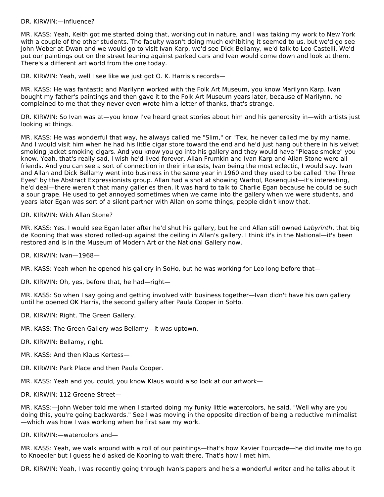#### DR. KIRWIN:—influence?

MR. KASS: Yeah, Keith got me started doing that, working out in nature, and I was taking my work to New York with a couple of the other students. The faculty wasn't doing much exhibiting it seemed to us, but we'd go see John Weber at Dwan and we would go to visit Ivan Karp, we'd see Dick Bellamy, we'd talk to Leo Castelli. We'd put our paintings out on the street leaning against parked cars and Ivan would come down and look at them. There's a different art world from the one today.

DR. KIRWIN: Yeah, well I see like we just got O. K. Harris's records—

MR. KASS: He was fantastic and Marilynn worked with the Folk Art Museum, you know Marilynn Karp. Ivan bought my father's paintings and then gave it to the Folk Art Museum years later, because of Marilynn, he complained to me that they never even wrote him a letter of thanks, that's strange.

DR. KIRWIN: So Ivan was at—you know I've heard great stories about him and his generosity in—with artists just looking at things.

MR. KASS: He was wonderful that way, he always called me "Slim," or "Tex, he never called me by my name. And I would visit him when he had his little cigar store toward the end and he'd just hang out there in his velvet smoking jacket smoking cigars. And you know you go into his gallery and they would have "Please smoke" you know. Yeah, that's really sad, I wish he'd lived forever. Allan Frumkin and Ivan Karp and Allan Stone were all friends. And you can see a sort of connection in their interests, Ivan being the most eclectic, I would say. Ivan and Allan and Dick Bellamy went into business in the same year in 1960 and they used to be called "the Three Eyes" by the Abstract Expressionists group. Allan had a shot at showing Warhol, Rosenquist—it's interesting, he'd deal—there weren't that many galleries then, it was hard to talk to Charlie Egan because he could be such a sour grape. He used to get annoyed sometimes when we came into the gallery when we were students, and years later Egan was sort of a silent partner with Allan on some things, people didn't know that.

DR. KIRWIN: With Allan Stone?

MR. KASS: Yes. I would see Egan later after he'd shut his gallery, but he and Allan still owned Labyrinth, that big de Kooning that was stored rolled-up against the ceiling in Allan's gallery. I think it's in the National—it's been restored and is in the Museum of Modern Art or the National Gallery now.

DR. KIRWIN: Ivan—1968—

MR. KASS: Yeah when he opened his gallery in SoHo, but he was working for Leo long before that—

DR. KIRWIN: Oh, yes, before that, he had—right—

MR. KASS: So when I say going and getting involved with business together—Ivan didn't have his own gallery until he opened OK Harris, the second gallery after Paula Cooper in SoHo.

DR. KIRWIN: Right. The Green Gallery.

MR. KASS: The Green Gallery was Bellamy—it was uptown.

DR. KIRWIN: Bellamy, right.

- MR. KASS: And then Klaus Kertess—
- DR. KIRWIN: Park Place and then Paula Cooper.

MR. KASS: Yeah and you could, you know Klaus would also look at our artwork—

DR. KIRWIN: 112 Greene Street—

MR. KASS:—John Weber told me when I started doing my funky little watercolors, he said, "Well why are you doing this, you're going backwards." See I was moving in the opposite direction of being a reductive minimalist —which was how I was working when he first saw my work.

DR. KIRWIN:—watercolors and—

MR. KASS: Yeah, we walk around with a roll of our paintings—that's how Xavier Fourcade—he did invite me to go to Knoedler but I guess he'd asked de Kooning to wait there. That's how I met him.

DR. KIRWIN: Yeah, I was recently going through Ivan's papers and he's a wonderful writer and he talks about it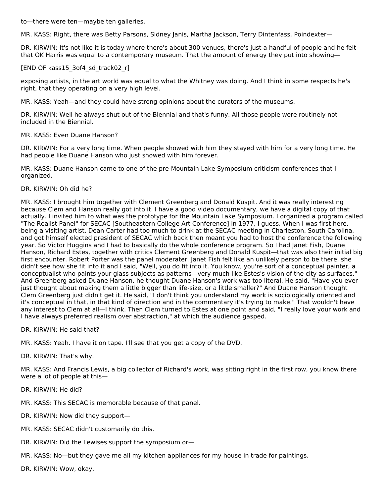to—there were ten—maybe ten galleries.

MR. KASS: Right, there was Betty Parsons, Sidney Janis, Martha Jackson, Terry Dintenfass, Poindexter—

DR. KIRWIN: It's not like it is today where there's about 300 venues, there's just a handful of people and he felt that OK Harris was equal to a contemporary museum. That the amount of energy they put into showing—

### [END OF kass15\_3of4\_sd\_track02\_r]

exposing artists, in the art world was equal to what the Whitney was doing. And I think in some respects he's right, that they operating on a very high level.

MR. KASS: Yeah—and they could have strong opinions about the curators of the museums.

DR. KIRWIN: Well he always shut out of the Biennial and that's funny. All those people were routinely not included in the Biennial.

### MR. KASS: Even Duane Hanson?

DR. KIRWIN: For a very long time. When people showed with him they stayed with him for a very long time. He had people like Duane Hanson who just showed with him forever.

MR. KASS: Duane Hanson came to one of the pre-Mountain Lake Symposium criticism conferences that I organized.

### DR. KIRWIN: Oh did he?

MR. KASS: I brought him together with Clement Greenberg and Donald Kuspit. And it was really interesting because Clem and Hanson really got into it. I have a good video documentary, we have a digital copy of that actually. I invited him to what was the prototype for the Mountain Lake Symposium. I organized a program called "The Realist Panel" for SECAC [Southeastern College Art Conference] in 1977, I guess. When I was first here, being a visiting artist, Dean Carter had too much to drink at the SECAC meeting in Charleston, South Carolina, and got himself elected president of SECAC which back then meant you had to host the conference the following year. So Victor Huggins and I had to basically do the whole conference program. So I had Janet Fish, Duane Hanson, Richard Estes, together with critics Clement Greenberg and Donald Kuspit—that was also their initial big first encounter. Robert Porter was the panel moderater. Janet Fish felt like an unlikely person to be there, she didn't see how she fit into it and I said, "Well, you do fit into it. You know, you're sort of a conceptual painter, a conceptualist who paints your glass subjects as patterns—very much like Estes's vision of the city as surfaces." And Greenberg asked Duane Hanson, he thought Duane Hanson's work was too literal. He said, "Have you ever just thought about making them a little bigger than life-size, or a little smaller?" And Duane Hanson thought Clem Greenberg just didn't get it. He said, "I don't think you understand my work is sociologically oriented and it's conceptual in that, in that kind of direction and in the commentary it's trying to make." That wouldn't have any interest to Clem at all—I think. Then Clem turned to Estes at one point and said, "I really love your work and I have always preferred realism over abstraction," at which the audience gasped.

DR. KIRWIN: He said that?

MR. KASS: Yeah. I have it on tape. I'll see that you get a copy of the DVD.

DR. KIRWIN: That's why.

MR. KASS: And Francis Lewis, a big collector of Richard's work, was sitting right in the first row, you know there were a lot of people at this—

DR. KIRWIN: He did?

MR. KASS: This SECAC is memorable because of that panel.

- DR. KIRWIN: Now did they support—
- MR. KASS: SECAC didn't customarily do this.
- DR. KIRWIN: Did the Lewises support the symposium or—

MR. KASS: No—but they gave me all my kitchen appliances for my house in trade for paintings.

DR. KIRWIN: Wow, okay.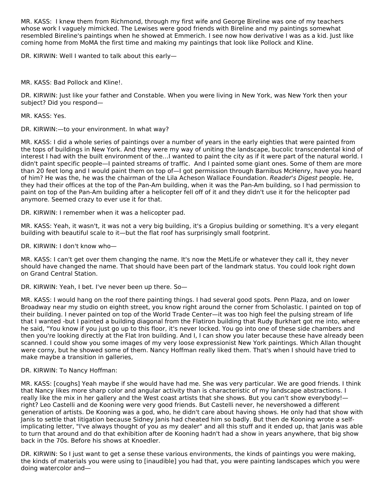MR. KASS: I knew them from Richmond, through my first wife and George Bireline was one of my teachers whose work I vaguely mimicked. The Lewises were good friends with Bireline and my paintings somewhat resembled Bireline's paintings when he showed at Emmerich. I see now how derivative I was as a kid. Just like coming home from MoMA the first time and making my paintings that look like Pollock and Kline.

DR. KIRWIN: Well I wanted to talk about this early—

MR. KASS: Bad Pollock and Kline!.

DR. KIRWIN: Just like your father and Constable. When you were living in New York, was New York then your subject? Did you respond—

MR. KASS: Yes.

DR. KIRWIN:—to your environment. In what way?

MR. KASS: I did a whole series of paintings over a number of years in the early eighties that were painted from the tops of buildings in New York. And they were my way of uniting the landscape, bucolic transcendental kind of interest I had with the built environment of the…I wanted to paint the city as if it were part of the natural world. I didn't paint specific people—I painted streams of traffic. And I painted some giant ones. Some of them are more than 20 feet long and I would paint them on top of—I got permission through Barnibus McHenry, have you heard of him? He was the, he was the chairman of the Lila Acheson Wallace Foundation. Reader's Digest people. He, they had their offices at the top of the Pan-Am building, when it was the Pan-Am building, so I had permission to paint on top of the Pan-Am building after a helicopter fell off of it and they didn't use it for the helicopter pad anymore. Seemed crazy to ever use it for that.

DR. KIRWIN: I remember when it was a helicopter pad.

MR. KASS: Yeah, it wasn't, it was not a very big building, it's a Gropius building or something. It's a very elegant building with beautiful scale to it—but the flat roof has surprisingly small footprint.

DR. KIRWIN: I don't know who—

MR. KASS: I can't get over them changing the name. It's now the MetLife or whatever they call it, they never should have changed the name. That should have been part of the landmark status. You could look right down on Grand Central Station.

DR. KIRWIN: Yeah, I bet. I've never been up there. So—

MR. KASS: I would hang on the roof there painting things. I had several good spots. Penn Plaza, and on lower Broadway near my studio on eighth street, you know right around the corner from Scholastic. I painted on top of their building. I never painted on top of the World Trade Center—it was too high feel the pulsing stream of life that I wanted -but I painted a building diagonal from the Flatiron building that Rudy Burkhart got me into, where he said, "You know if you just go up to this floor, it's never locked. You go into one of these side chambers and then you're looking directly at the Flat Iron building. And I, I can show you later because these have already been scanned. I could show you some images of my very loose expressionist New York paintings. Which Allan thought were corny, but he showed some of them. Nancy Hoffman really liked them. That's when I should have tried to make maybe a transition in galleries,

### DR. KIRWIN: To Nancy Hoffman:

MR. KASS: [coughs] Yeah maybe if she would have had me. She was very particular. We are good friends. I think that Nancy likes more sharp color and angular activity than is characteristic of my landscape abstractions. I really like the mix in her gallery and the West coast artists that she shows. But you can't show everybody! right? Leo Castelli and de Kooning were very good friends. But Castelli never, he nevershowed a different generation of artists. De Kooning was a god, who, he didn't care about having shows. He only had that show with Janis to settle that litigation because Sidney Janis had cheated him so badly. But then de Kooning wrote a selfimplicating letter, "I've always thought of you as my dealer" and all this stuff and it ended up, that Janis was able to turn that around and do that exhibition after de Kooning hadn't had a show in years anywhere, that big show back in the 70s. Before his shows at Knoedler.

DR. KIRWIN: So I just want to get a sense these various environments, the kinds of paintings you were making, the kinds of materials you were using to [inaudible] you had that, you were painting landscapes which you were doing watercolor and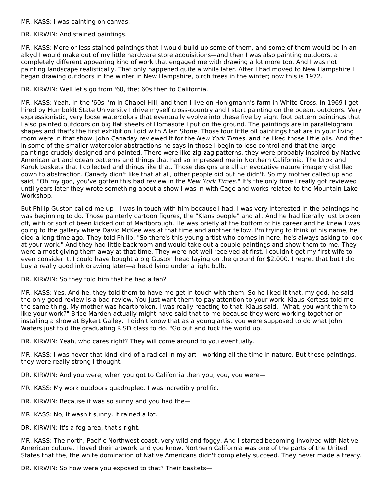MR. KASS: I was painting on canvas.

#### DR. KIRWIN: And stained paintings.

MR. KASS: More or less stained paintings that I would build up some of them, and some of them would be in an alkyd I would make out of my little hardware store acquisitions—and then I was also painting outdoors, a completely different appearing kind of work that engaged me with drawing a lot more too. And I was not painting landscape realistically. That only happened quite a while later. After I had moved to New Hampshire I began drawing outdoors in the winter in New Hampshire, birch trees in the winter; now this is 1972.

### DR. KIRWIN: Well let's go from '60, the; 60s then to California.

MR. KASS: Yeah. In the '60s I'm in Chapel Hill, and then I live on Honigmann's farm in White Cross. In 1969 I get hired by Humboldt State University I drive myself cross-country and I start painting on the ocean, outdoors. Very expressionistic, very loose watercolors that eventually evolve into these five by eight foot pattern paintings that I also painted outdoors on big flat sheets of Homasote I put on the ground. The paintings are in parallelogram shapes and that's the first exhibition I did with Allan Stone. Those four little oil paintings that are in your living room were in that show. John Canaday reviewed it for the New York Times, and he liked those little oils. And then in some of the smaller watercolor abstractions he says in those I begin to lose control and that the large paintings crudely designed and painted. There were like zig-zag patterns, they were probably inspired by Native American art and ocean patterns and things that had so impressed me in Northern California. The Urok and Karuk baskets that I collected and things like that. Those designs are all an evocative nature imagery distilled down to abstraction. Canady didn't like that at all, other people did but he didn't. So my mother called up and said, "Oh my god, you've gotten this bad review in the New York Times." It's the only time I really got reviewed until years later they wrote something about a show I was in with Cage and works related to the Mountain Lake Workshop.

But Philip Guston called me up—I was in touch with him because I had, I was very interested in the paintings he was beginning to do. Those painterly cartoon figures, the "Klans people" and all. And he had literally just broken off, with or sort of been kicked out of Marlborough. He was briefly at the bottom of his career and he knew I was going to the gallery where David McKee was at that time and another fellow, I'm trying to think of his name, he died a long time ago. They told Philip, "So there's this young artist who comes in here, he's always asking to look at your work." And they had little backroom and would take out a couple paintings and show them to me. They were almost giving them away at that time. They were not well received at first. I couldn't get my first wife to even consider it. I could have bought a big Guston head laying on the ground for \$2,000. I regret that but I did buy a really good ink drawing later—a head lying under a light bulb.

DR. KIRWIN: So they told him that he had a fan?

MR. KASS: Yes. And he, they told them to have me get in touch with them. So he liked it that, my god, he said the only good review is a bad review. You just want them to pay attention to your work. Klaus Kertess told me the same thing. My mother was heartbroken, I was really reacting to that. Klaus said, "What, you want them to like your work?" Brice Marden actually might have said that to me because they were working together on installing a show at Bykert Galley. I didn't know that as a young artist you were supposed to do what John Waters just told the graduating RISD class to do. "Go out and fuck the world up."

DR. KIRWIN: Yeah, who cares right? They will come around to you eventually.

MR. KASS: I was never that kind kind of a radical in my art—working all the time in nature. But these paintings, they were really strong I thought.

DR. KIRWIN: And you were, when you got to California then you, you, you were—

- MR. KASS: My work outdoors quadrupled. I was incredibly prolific.
- DR. KIRWIN: Because it was so sunny and you had the—
- MR. KASS: No, it wasn't sunny. It rained a lot.
- DR. KIRWIN: It's a fog area, that's right.

MR. KASS: The north, Pacific Northwest coast, very wild and foggy. And I started becoming involved with Native American culture. I loved their artwork and you know, Northern California was one of the parts of the United States that the, the white domination of Native Americans didn't completely succeed. They never made a treaty.

DR. KIRWIN: So how were you exposed to that? Their baskets—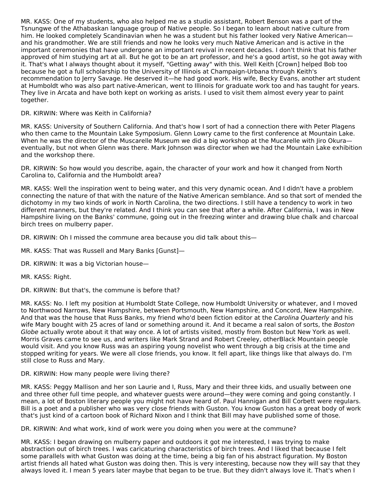MR. KASS: One of my students, who also helped me as a studio assistant, Robert Benson was a part of the Tsnungwe of the Athabaskan language group of Native people. So I began to learn about native culture from him. He looked completely Scandinavian when he was a student but his father looked very Native American and his grandmother. We are still friends and now he looks very much Native American and is active in the important ceremonies that have undergone an important revival in recent decades. I don't think that his father approved of him studying art at all. But he got to be an art professor, and he's a good artist, so he got away with it. That's what I always thought about it myself, "Getting away" with this. Well Keith [Crown] helped Bob too because he got a full scholarship to the University of Illinois at Champaign-Urbana through Keith's recommendation to Jerry Savage. He deserved it—he had good work. His wife, Becky Evans, another art student at Humboldt who was also part native-American, went to Illinois for graduate work too and has taught for years. They live in Arcata and have both kept on working as arists. I used to visit them almost every year to paint together.

## DR. KIRWIN: Where was Keith in California?

MR. KASS: University of Southern California. And that's how I sort of had a connection there with Peter Plagens who then came to the Mountain Lake Symposium. Glenn Lowry came to the first conference at Mountain Lake. When he was the director of the Muscarelle Museum we did a big workshop at the Mucarelle with Jiro Okuraeventually, but not when Glenn was there. Mark Johnson was director when we had the Mountain Lake exhibition and the workshop there.

DR. KIRWIN: So how would you describe, again, the character of your work and how it changed from North Carolina to, California and the Humboldt area?

MR. KASS: Well the inspiration went to being water, and this very dynamic ocean. And I didn't have a problem connecting the nature of that with the nature of the Native American semblance. And so that sort of mended the dichotomy in my two kinds of work in North Carolina, the two directions. I still have a tendency to work in two different manners, but they're related. And I think you can see that after a while. After California, I was in New Hampshire living on the Banks' commune, going out in the freezing winter and drawing blue chalk and charcoal birch trees on mulberry paper.

DR. KIRWIN: Oh I missed the commune area because you did talk about this—

- MR. KASS: That was Russell and Mary Banks [Gunst]—
- DR. KIRWIN: It was a big Victorian house—
- MR. KASS: Right.

DR. KIRWIN: But that's, the commune is before that?

MR. KASS: No. I left my position at Humboldt State College, now Humboldt University or whatever, and I moved to Northwood Narrows, New Hampshire, between Portsmouth, New Hampshire, and Concord, New Hampshire. And that was the house that Russ Banks, my friend who'd been fiction editor at the Carolina Quarterly and his wife Mary bought with 25 acres of land or something around it. And it became a real salon of sorts, the Boston Globe actually wrote about it that way once. A lot of artists visited, mostly from Boston but New York as well. Morris Graves came to see us, and writers like Mark Strand and Robert Creeley, otherBlack Mountain people would visit. And you know Russ was an aspiring young novelist who went through a big crisis at the time and stopped writing for years. We were all close friends, you know. It fell apart, like things like that always do. I'm still close to Russ and Mary.

### DR. KIRWIN: How many people were living there?

MR. KASS: Peggy Mallison and her son Laurie and I, Russ, Mary and their three kids, and usually between one and three other full time people, and whatever guests were around—they were coming and going constantly. I mean, a lot of Boston literary people you might not have heard of. Paul Hannigan and Bill Corbett were regulars. Bill is a poet and a publisher who was very close friends with Guston. You know Guston has a great body of work that's just kind of a cartoon book of Richard Nixon and I think that Bill may have published some of those.

DR. KIRWIN: And what work, kind of work were you doing when you were at the commune?

MR. KASS: I began drawing on mulberry paper and outdoors it got me interested, I was trying to make abstraction out of birch trees. I was caricaturing characteristics of birch trees. And I liked that because I felt some parallels with what Guston was doing at the time, being a big fan of his abstract figuration. My Boston artist friends all hated what Guston was doing then. This is very interesting, because now they will say that they always loved it. I mean 5 years later maybe that began to be true. But they didn't always love it. That's when I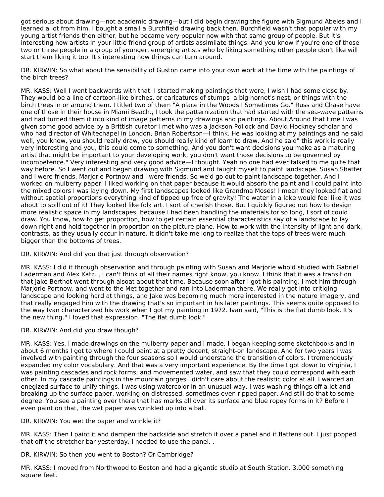got serious about drawing—not academic drawing—but I did begin drawing the figure with Sigmund Abeles and I learned a lot from him. I bought a small a Burchfield drawing back then. Burchfield wasn't that popular with my young artist friends then either, but he became very popular now with that same group of people. But it's interesting how artists in your little friend group of artists assimilate things. And you know if you're one of those two or three people in a group of younger, emerging artists who by liking something other people don't like will start them liking it too. It's interesting how things can turn around.

DR. KIRWIN: So what about the sensibility of Guston came into your own work at the time with the paintings of the birch trees?

MR. KASS: Well I went backwards with that. I started making paintings that were, I wish I had some close by. They would be a line of cartoon-like birches, or caricatures of stumps a big hornet's nest, or things with the birch trees in or around them. I titled two of them "A place in the Woods I Sometimes Go." Russ and Chase have one of those in their house in Miami Beach., I took the patternization that had started with the sea-wave patterns and had turned them it into kind of image patterns in my drawings and paintings. About Around that time I was given some good advice by a Brittish curator I met who was a Jackson Pollock and David Hockney scholar and who had director of Whitechapel in London, Brian Robertson—I think. He was looking at my paintings and he said well, you know, you should really draw, you should really kind of learn to draw. And he said" this work is really very interesting and you, this could come to something. And you don't want decisions you make as a maturing artist that might be important to your developing work, you don't want those decisions to be governed by incompetence." Very interesting and very good advice—I thought. Yeah no one had ever talked to me quite that way before. So I went out and began drawing with Sigmund and taught myself to paint landscape. Susan Shatter and I were friends. Marjorie Portnow and I were friends. So we'd go out to paint landscape together. And I worked on mulberry paper, I liked working on that paper because it would absorb the paint and I could paint into the mixed colors I was laying down. My first landscapes looked like Grandma Moses! I mean they looked flat and without spatial proportions everything kind of tipped up free of gravity! The water in a lake would feel like it was about to spill out of it! They looked like folk art. I sort of cherish those. But I quickly figured out how to design more realistic space in my landscapes, because I had been handling the materials for so long, I sort of could draw. You know, how to get proportion, how to get certain essential characteristics say of a landscape to lay down right and hold together in proportion on the picture plane. How to work with the intensity of light and dark, contrasts, as they usually occur in nature. It didn't take me long to realize that the tops of trees were much bigger than the bottoms of trees.

# DR. KIRWIN: And did you that just through observation?

MR. KASS: I did it through observation and through painting with Susan and Marjorie who'd studied with Gabriel Laderman and Alex Katz. , I can't think of all their names right know, you know. I think that it was a transition that Jake Berthot went through alsoat about that time. Because soon after I got his painting, I met him through Marjorie Portnow, and went to the Met together and ran into Laderman there. We really got into critiqing landscape and looking hard at things, and Jake was becoming much more interested in the nature imagery, and that really engaged him with the drawing that's so important in his later paintings. This seems quite opposed to the way Ivan characterized his work when I got my painting in 1972. Ivan said, "This is the flat dumb look. It's the new thing." I loved that expression. "The flat dumb look."

# DR. KIRWIN: And did you draw though?

MR. KASS: Yes. I made drawings on the mulberry paper and I made, I began keeping some sketchbooks and in about 6 months I got to where I could paint at a pretty decent, straight-on landscape. And for two years I was involved with painting through the four seasons so I would understand the transition of colors. I tremendously expanded my color vocabulary. And that was a very important experience. By the time I got down to Virginia, I was painting cascades and rock forms, and movemented water, and saw that they could correspond with each other. In my cascade paintings in the mountain gorges I didn't care about the realistic color at all. I wanted an enegized surface to unify things, I was using watercolor in an unusual way, I was washing things off a lot and breaking up the surface paper, working on distressed, sometimes even ripped paper. And still do that to some degree. You see a painting over there that has marks all over its surface and blue ropey forms in it? Before I even paint on that, the wet paper was wrinkled up into a ball.

DR. KIRWIN: You wet the paper and wrinkle it?

MR. KASS: Then I paint it and dampen the backside and stretch it over a panel and it flattens out. I just popped that off the stretcher bar yesterday, I needed to use the panel. .

DR. KIRWIN: So then you went to Boston? Or Cambridge?

MR. KASS: I moved from Northwood to Boston and had a gigantic studio at South Station. 3,000 something square feet.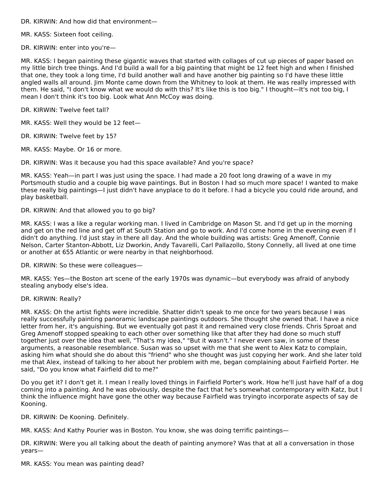DR. KIRWIN: And how did that environment—

MR. KASS: Sixteen foot ceiling.

DR. KIRWIN: enter into you're—

MR. KASS: I began painting these gigantic waves that started with collages of cut up pieces of paper based on my little birch tree things. And I'd build a wall for a big painting that might be 12 feet high and when I finished that one, they took a long time, I'd build another wall and have another big painting so I'd have these little angled walls all around. Jim Monte came down from the Whitney to look at them. He was really impressed with them. He said, "I don't know what we would do with this? It's like this is too big." I thought—It's not too big, I mean I don't think it's too big. Look what Ann McCoy was doing.

DR. KIRWIN: Twelve feet tall?

MR. KASS: Well they would be 12 feet—

DR. KIRWIN: Twelve feet by 15?

MR. KASS: Maybe. Or 16 or more.

DR. KIRWIN: Was it because you had this space available? And you're space?

MR. KASS: Yeah—in part I was just using the space. I had made a 20 foot long drawing of a wave in my Portsmouth studio and a couple big wave paintings. But in Boston I had so much more space! I wanted to make these really big paintings—I just didn't have anyplace to do it before. I had a bicycle you could ride around, and play basketball.

DR. KIRWIN: And that allowed you to go big?

MR. KASS: I was a like a regular working man. I lived in Cambridge on Mason St. and I'd get up in the morning and get on the red line and get off at South Station and go to work. And I'd come home in the evening even if I didn't do anything. I'd just stay in there all day. And the whole building was artists: Greg Amenoff, Connie Nelson, Carter Stanton-Abbott, Liz Dworkin, Andy Tavarelli, Carl Pallazollo, Stony Connelly, all lived at one time or another at 655 Atlantic or were nearby in that neighborhood.

DR. KIRWIN: So these were colleagues—

MR. KASS: Yes—the Boston art scene of the early 1970s was dynamic—but everybody was afraid of anybody stealing anybody else's idea.

DR. KIRWIN: Really?

MR. KASS: Oh the artist fights were incredible. Shatter didn't speak to me once for two years because I was really successfully painting panoramic landscape paintings outdoors. She thought she owned that. I have a nice letter from her, it's anguishing. But we eventually got past it and remained very close friends. Chris Sproat and Greg Amenoff stopped speaking to each other over something like that after they had done so much stuff together just over the idea that well, "That's my idea," "But it wasn't." I never even saw, in some of these arguments, a reasonable resemblance. Susan was so upset with me that she went to Alex Katz to complain, asking him what should she do about this "friend" who she thought was just copying her work. And she later told me that Alex, instead of talking to her about her problem with me, began complaining about Fairfield Porter. He said, "Do you know what Fairfield did to me?"

Do you get it? I don't get it. I mean I really loved things in Fairfield Porter's work. How he'll just have half of a dog coming into a painting. And he was obviously, despite the fact that he's somewhat contemporary with Katz, but I think the influence might have gone the other way because Fairfield was tryingto incorporate aspects of say de Kooning.

DR. KIRWIN: De Kooning. Definitely.

MR. KASS: And Kathy Pourier was in Boston. You know, she was doing terrific paintings—

DR. KIRWIN: Were you all talking about the death of painting anymore? Was that at all a conversation in those years—

MR. KASS: You mean was painting dead?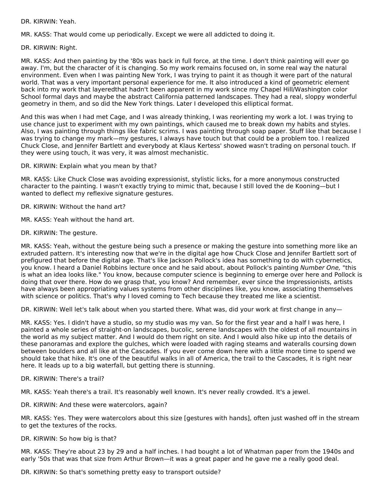DR. KIRWIN: Yeah.

MR. KASS: That would come up periodically. Except we were all addicted to doing it.

DR. KIRWIN: Right.

MR. KASS: And then painting by the '80s was back in full force, at the time. I don't think painting will ever go away. I'm, but the character of it is changing. So my work remains focused on, in some real way the natural environment. Even when I was painting New York, I was trying to paint it as though it were part of the natural world. That was a very important personal experience for me. It also introduced a kind of geometric element back into my work that layeredthat hadn't been apparent in my work since my Chapel Hill/Washington color School formal days and maybe the abstract California patterned landscapes. They had a real, sloppy wonderful geometry in them, and so did the New York things. Later I developed this elliptical format.

And this was when I had met Cage, and I was already thinking, I was reorienting my work a lot. I was trying to use chance just to experiment with my own paintings, which caused me to break down my habits and styles. Also, I was painting through things like fabric scrims. I was painting through soap paper. Stuff like that because I was trying to change my mark—my gestures, I always have touch but that could be a problem too. I realized Chuck Close, and Jennifer Bartlett and everybody at Klaus Kertess' showed wasn't trading on personal touch. If they were using touch, it was very, it was almost mechanistic.

DR. KIRWIN: Explain what you mean by that?

MR. KASS: Like Chuck Close was avoiding expressionist, stylistic licks, for a more anonymous constructed character to the painting. I wasn't exactly trying to mimic that, because I still loved the de Kooning—but I wanted to deflect my reflexive signature gestures.

DR. KIRWIN: Without the hand art?

MR. KASS: Yeah without the hand art.

DR. KIRWIN: The gesture.

MR. KASS: Yeah, without the gesture being such a presence or making the gesture into something more like an extruded pattern. It's interesting now that we're in the digital age how Chuck Close and Jennifer Bartlett sort of prefigured that before the digital age. That's like Jackson Pollock's idea has something to do with cybernetics, you know. I heard a Daniel Robbins lecture once and he said about, about Pollock's painting Number One, "this is what an idea looks like." You know, because computer science is beginning to emerge over here and Pollock is doing that over there. How do we grasp that, you know? And remember, ever since the Impressionists, artists have always been appropriating values systems from other disciplines like, you know, associating themselves with science or politics. That's why I loved coming to Tech because they treated me like a scientist.

DR. KIRWIN: Well let's talk about when you started there. What was, did your work at first change in any—

MR. KASS: Yes. I didn't have a studio, so my studio was my van. So for the first year and a half I was here, I painted a whole series of straight-on landscapes, bucolic, serene landscapes with the oldest of all mountains in the world as my subject matter. And I would do them right on site. And I would also hike up into the details of these panoramas and explore the gulches, which were loaded with raging steams and wateralls coursing down between boulders and all like at the Cascades. If you ever come down here with a little more time to spend we should take that hike. It's one of the beautiful walks in all of America, the trail to the Cascades, it is right near here. It leads up to a big waterfall, but getting there is stunning.

DR. KIRWIN: There's a trail?

MR. KASS: Yeah there's a trail. It's reasonably well known. It's never really crowded. It's a jewel.

DR. KIRWIN: And these were watercolors, again?

MR. KASS: Yes. They were watercolors about this size [gestures with hands], often just washed off in the stream to get the textures of the rocks.

DR. KIRWIN: So how big is that?

MR. KASS: They're about 23 by 29 and a half inches. I had bought a lot of Whatman paper from the 1940s and early '50s that was that size from Arthur Brown—it was a great paper and he gave me a really good deal.

DR. KIRWIN: So that's something pretty easy to transport outside?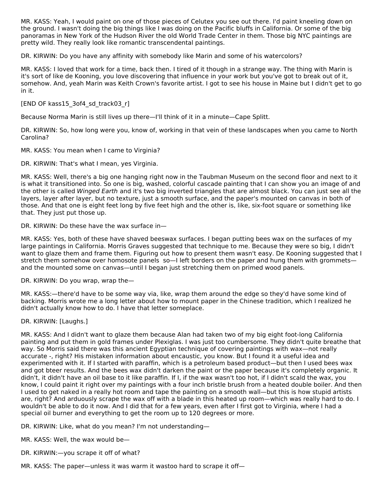MR. KASS: Yeah, I would paint on one of those pieces of Celutex you see out there. I'd paint kneeling down on the ground. I wasn't doing the big things like I was doing on the Pacific bluffs in California. Or some of the big panoramas in New York of the Hudson River the old World Trade Center in them. Those big NYC paintings are pretty wild. They really look like romantic transcendental paintings.

DR. KIRWIN: Do you have any affinity with somebody like Marin and some of his watercolors?

MR. KASS: I loved that work for a time, back then. I tired of it though in a strange way. The thing with Marin is it's sort of like de Kooning, you love discovering that influence in your work but you've got to break out of it, somehow. And, yeah Marin was Keith Crown's favorite artist. I got to see his house in Maine but I didn't get to go in it.

[END OF kass15\_3of4\_sd\_track03\_r]

Because Norma Marin is still lives up there—I'll think of it in a minute—Cape Splitt.

DR. KIRWIN: So, how long were you, know of, working in that vein of these landscapes when you came to North Carolina?

MR. KASS: You mean when I came to Virginia?

DR. KIRWIN: That's what I mean, yes Virginia.

MR. KASS: Well, there's a big one hanging right now in the Taubman Museum on the second floor and next to it is what it transitioned into. So one is big, washed, colorful cascade painting that I can show you an image of and the other is called Winged Earth and it's two big inverted triangles that are almost black. You can just see all the layers, layer after layer, but no texture, just a smooth surface, and the paper's mounted on canvas in both of those. And that one is eight feet long by five feet high and the other is, like, six-foot square or something like that. They just put those up.

DR. KIRWIN: Do these have the wax surface in—

MR. KASS: Yes, both of these have shaved beeswax surfaces. I began putting bees wax on the surfaces of my large paintings in California. Morris Graves suggested that technique to me. Because they were so big, I didn't want to glaze them and frame them. Figuring out how to present them wasn't easy. De Kooning suggested that I stretch them somehow over homosote panels so—I left borders on the paper and hung them with grommets and the mounted some on canvas—until I began just stretching them on primed wood panels.

DR. KIRWIN: Do you wrap, wrap the—

MR. KASS:—there'd have to be some way via, like, wrap them around the edge so they'd have some kind of backing. Morris wrote me a long letter about how to mount paper in the Chinese tradition, which I realized he didn't actually know how to do. I have that letter someplace.

DR. KIRWIN: [Laughs.]

MR. KASS: And I didn't want to glaze them because Alan had taken two of my big eight foot-long California painting and put them in gold frames under Plexiglas. I was just too cumbersome. They didn't quite breathe that way. So Morris said there was this ancient Egyptian technique of covering paintings with wax—not really accurate -, right? His mistaken information about encaustic, you know. But I found it a useful idea and experimented with it. If I started with paraffin, which is a petroleum based product—but then I used bees wax and got bteer results. And the bees wax didn't darken the paint or the paper because it's completely organic. It didn't, it didn't have an oil base to it like paraffin. If I, if the wax wasn't too hot, if I didn't scald the wax, you know, I could paint it right over my paintings with a four inch bristle brush from a heated double boiler. And then I used to get naked in a really hot room and tape the painting on a smooth wall—but this is how stupid artists are, right? And arduously scrape the wax off with a blade in this heated up room—which was really hard to do. I wouldn't be able to do it now. And I did that for a few years, even after I first got to Virginia, where I had a special oil burner and everything to get the room up to 120 degrees or more.

DR. KIRWIN: Like, what do you mean? I'm not understanding—

MR. KASS: Well, the wax would be—

DR. KIRWIN:—you scrape it off of what?

MR. KASS: The paper—unless it was warm it wastoo hard to scrape it off—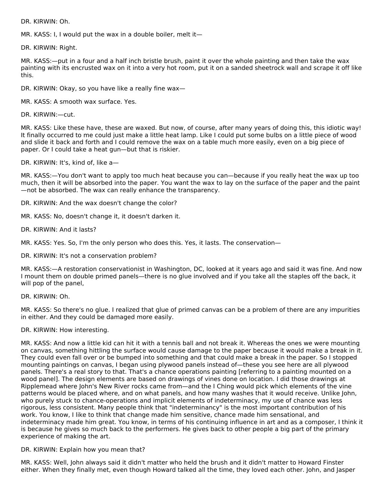DR. KIRWIN: Oh.

MR. KASS: I, I would put the wax in a double boiler, melt it—

DR. KIRWIN: Right.

MR. KASS:—put in a four and a half inch bristle brush, paint it over the whole painting and then take the wax painting with its encrusted wax on it into a very hot room, put it on a sanded sheetrock wall and scrape it off like this.

DR. KIRWIN: Okay, so you have like a really fine wax—

MR. KASS: A smooth wax surface. Yes.

DR. KIRWIN:—cut.

MR. KASS: Like these have, these are waxed. But now, of course, after many years of doing this, this idiotic way! It finally occurred to me could just make a little heat lamp. Like I could put some bulbs on a little piece of wood and slide it back and forth and I could remove the wax on a table much more easily, even on a big piece of paper. Or I could take a heat gun—but that is riskier.

DR. KIRWIN: It's, kind of, like a—

MR. KASS:—You don't want to apply too much heat because you can—because if you really heat the wax up too much, then it will be absorbed into the paper. You want the wax to lay on the surface of the paper and the paint —not be absorbed. The wax can really enhance the transparency.

DR. KIRWIN: And the wax doesn't change the color?

MR. KASS: No, doesn't change it, it doesn't darken it.

DR. KIRWIN: And it lasts?

MR. KASS: Yes. So, I'm the only person who does this. Yes, it lasts. The conservation—

DR. KIRWIN: It's not a conservation problem?

MR. KASS:—A restoration conservationist in Washington, DC, looked at it years ago and said it was fine. And now I mount them on double primed panels—there is no glue involved and if you take all the staples off the back, it will pop of the panel,

DR. KIRWIN: Oh.

MR. KASS: So there's no glue. I realized that glue of primed canvas can be a problem of there are any impurities in either. And they could be damaged more easily.

### DR. KIRWIN: How interesting.

MR. KASS: And now a little kid can hit it with a tennis ball and not break it. Whereas the ones we were mounting on canvas, something hittling the surface would cause damage to the paper because it would make a break in it. They could even fall over or be bumped into something and that could make a break in the paper. So I stopped mounting paintings on canvas, I began using plywood panels instead of—these you see here are all plywood panels. There's a real story to that. That's a chance operations painting [referring to a painting mounted on a wood panel]. The design elements are based on drawings of vines done on location. I did those drawings at Ripplemead where John's New River rocks came from—and the I Ching would pick which elements of the vine patterns would be placed where, and on what panels, and how many washes that it would receive. Unlike John, who purely stuck to chance-operations and implicit elements of indeterminacy, my use of chance was less rigorous, less consistent. Many people think that "indeterminancy" is the most important contribution of his work. You know, I like to think that change made him sensitive, chance made him sensational, and indeterminacy made him great. You know, in terms of his continuing influence in art and as a composer, I think it is because he gives so much back to the performers. He gives back to other people a big part of the primary experience of making the art.

### DR. KIRWIN: Explain how you mean that?

MR. KASS: Well, John always said it didn't matter who held the brush and it didn't matter to Howard Finster either. When they finally met, even though Howard talked all the time, they loved each other. John, and Jasper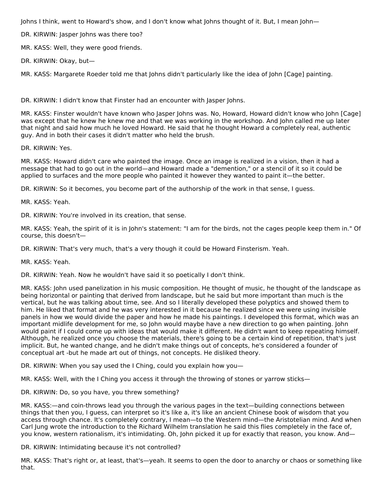Johns I think, went to Howard's show, and I don't know what Johns thought of it. But, I mean John—

DR. KIRWIN: Jasper Johns was there too?

MR. KASS: Well, they were good friends.

DR. KIRWIN: Okay, but—

MR. KASS: Margarete Roeder told me that Johns didn't particularly like the idea of John [Cage] painting.

DR. KIRWIN: I didn't know that Finster had an encounter with Jasper Johns.

MR. KASS: Finster wouldn't have known who Jasper Johns was. No, Howard, Howard didn't know who John [Cage] was except that he knew he knew me and that we was working in the workshop. And John called me up later that night and said how much he loved Howard. He said that he thought Howard a completely real, authentic guy. And in both their cases it didn't matter who held the brush.

DR. KIRWIN: Yes.

MR. KASS: Howard didn't care who painted the image. Once an image is realized in a vision, then it had a message that had to go out in the world—and Howard made a "demention," or a stencil of it so it could be applied to surfaces and the more people who painted it however they wanted to paint it—the better.

DR. KIRWIN: So it becomes, you become part of the authorship of the work in that sense, I guess.

MR. KASS: Yeah.

DR. KIRWIN: You're involved in its creation, that sense.

MR. KASS: Yeah, the spirit of it is in John's statement: "I am for the birds, not the cages people keep them in." Of course, this doesn't—

DR. KIRWIN: That's very much, that's a very though it could be Howard Finsterism. Yeah.

MR. KASS: Yeah.

DR. KIRWIN: Yeah. Now he wouldn't have said it so poetically I don't think.

MR. KASS: John used panelization in his music composition. He thought of music, he thought of the landscape as being horizontal or painting that derived from landscape, but he said but more important than much is the vertical, but he was talking about time, see. And so I literally developed these polyptics and showed them to him. He liked that format and he was very interested in it because he realized since we were using invisible panels in how we would divide the paper and how he made his paintings. I developed this format, which was an important midlife development for me, so John would maybe have a new direction to go when painting. John would paint if I could come up with ideas that would make it different. He didn't want to keep repeating himself. Although, he realized once you choose the materials, there's going to be a certain kind of repetition, that's just implicit. But, he wanted change, and he didn't make things out of concepts, he's considered a founder of conceptual art -but he made art out of things, not concepts. He disliked theory.

DR. KIRWIN: When you say used the I Ching, could you explain how you—

MR. KASS: Well, with the I Ching you access it through the throwing of stones or yarrow sticks—

DR. KIRWIN: Do, so you have, you threw something?

MR. KASS:—and coin-throws lead you through the various pages in the text—building connections between things that then you, I guess, can interpret so it's like a, it's like an ancient Chinese book of wisdom that you access through chance. It's completely contrary, I mean—to the Western mind—the Aristotelian mind. And when Carl Jung wrote the introduction to the Richard Wilhelm translation he said this flies completely in the face of, you know, western rationalism, it's intimidating. Oh, John picked it up for exactly that reason, you know. And—

DR. KIRWIN: Intimidating because it's not controlled?

MR. KASS: That's right or, at least, that's—yeah. It seems to open the door to anarchy or chaos or something like that.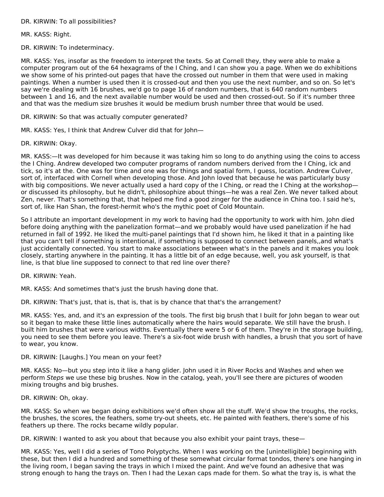### DR. KIRWIN: To all possibilities?

MR. KASS: Right.

DR. KIRWIN: To indeterminacy.

MR. KASS: Yes, insofar as the freedom to interpret the texts. So at Cornell they, they were able to make a computer program out of the 64 hexagrams of the I Ching, and I can show you a page. When we do exhibitions we show some of his printed-out pages that have the crossed out number in them that were used in making paintings. When a number is used then it is crossed-out and then you use the next number, and so on. So let's say we're dealing with 16 brushes, we'd go to page 16 of random numbers, that is 640 random numbers between 1 and 16, and the next available number would be used and then crossed-out. So if it's number three and that was the medium size brushes it would be medium brush number three that would be used.

DR. KIRWIN: So that was actually computer generated?

MR. KASS: Yes, I think that Andrew Culver did that for John—

DR. KIRWIN: Okay.

MR. KASS:—It was developed for him because it was taking him so long to do anything using the coins to access the I Ching. Andrew developed two computer programs of random numbers derived from the I Ching, ick and tick, so it's at the. One was for time and one was for things and spatial form, I guess, location. Andrew Culver, sort of, interfaced with Cornell when developing those. And John loved that because he was particularly busy with big compositions. We never actually used a hard copy of the I Ching, or read the I Ching at the workshopor discussed its philosophy, but he didn't, philosophize about things—he was a real Zen. We never talked about Zen, never. That's something that, that helped me find a good zinger for the audience in China too. I said he's, sort of, like Han Shan, the forest-hermit who's the mythic poet of Cold Mountain.

So I attribute an important development in my work to having had the opportunity to work with him. John died before doing anything with the panelization format—and we probably would have used panelization if he had returned in fall of 1992. He liked the multi-panel paintings that I'd shown him, he liked it that in a painting like that you can't tell if something is intentional, if something is supposed to connect between panels,,and what's just accidentally connected. You start to make associations between what's in the panels and it makes you look closely, starting anywhere in the painting. It has a little bit of an edge because, well, you ask yourself, is that line, is that blue line supposed to connect to that red line over there?

DR. KIRWIN: Yeah.

MR. KASS: And sometimes that's just the brush having done that.

DR. KIRWIN: That's just, that is, that is, that is by chance that that's the arrangement?

MR. KASS: Yes, and, and it's an expression of the tools. The first big brush that I built for John began to wear out so it began to make these little lines automatically where the hairs would separate. We still have the brush. I built him brushes that were various widths. Eventually there were 5 or 6 of them. They're in the storage building, you need to see them before you leave. There's a six-foot wide brush with handles, a brush that you sort of have to wear, you know.

### DR. KIRWIN: [Laughs.] You mean on your feet?

MR. KASS: No—but you step into it like a hang glider. John used it in River Rocks and Washes and when we perform Steps we use these big brushes. Now in the catalog, yeah, you'll see there are pictures of wooden mixing troughs and big brushes.

DR. KIRWIN: Oh, okay.

MR. KASS: So when we began doing exhibitions we'd often show all the stuff. We'd show the troughs, the rocks, the brushes, the scores, the feathers, some try-out sheets, etc. He painted with feathers, there's some of his feathers up there. The rocks became wildly popular.

DR. KIRWIN: I wanted to ask you about that because you also exhibit your paint trays, these-

MR. KASS: Yes, well I did a series of Tono Polyptychs. When I was working on the [unintelligible] beginning with these, but then I did a hundred and something of these somewhat circular format tondos, there's one hanging in the living room, I began saving the trays in which I mixed the paint. And we've found an adhesive that was strong enough to hang the trays on. Then I had the Lexan caps made for them. So what the tray is, is what the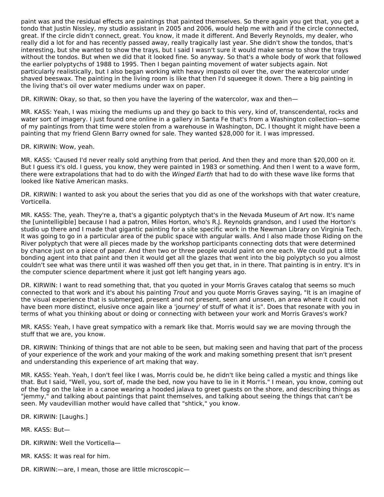paint was and the residual effects are paintings that painted themselves. So there again you get that, you get a tondo that Justin Nissley, my studio assistant in 2005 and 2006, would help me with and if the circle connected, great. If the circle didn't connect, great. You know, it made it different. And Beverly Reynolds, my dealer, who really did a lot for and has recently passed away, really tragically last year. She didn't show the tondos, that's interesting, but she wanted to show the trays, but I said I wasn't sure it would make sense to show the trays without the tondos. But when we did that it looked fine. So anyway. So that's a whole body of work that followed the earlier polyptychs of 1988 to 1995. Then I began painting movement of water subjects again. Not particularly realistically, but I also began working with heavy impasto oil over the, over the watercolor under shaved beeswax. The painting in the living room is like that then I'd squeegee it down. There a big painting in the living that's oil over water mediums under wax on paper.

DR. KIRWIN: Okay, so that, so then you have the layering of the watercolor, wax and then—

MR. KASS: Yeah, I was mixing the mediums up and they go back to this very, kind of, transcendental, rocks and water sort of imagery. I just found one online in a gallery in Santa Fe that's from a Washington collection—some of my paintings from that time were stolen from a warehouse in Washington, DC. I thought it might have been a painting that my friend Glenn Barry owned for sale. They wanted \$28,000 for it. I was impressed.

DR. KIRWIN: Wow, yeah.

MR. KASS: 'Caused I'd never really sold anything from that period. And then they and more than \$20,000 on it. But I guess it's old. I guess, you know, they were painted in 1983 or something. And then I went to a wave form, there were extrapolations that had to do with the Winged Earth that had to do with these wave like forms that looked like Native American masks.

DR. KIRWIN: I wanted to ask you about the series that you did as one of the workshops with that water creature, Vorticella.

MR. KASS: The, yeah. They're a, that's a gigantic polyptych that's in the Nevada Museum of Art now. It's name the [unintelligible] because I had a patron, Miles Horton, who's R.J. Reynolds grandson, and I used the Horton's studio up there and I made that gigantic painting for a site specific work in the Newman Library on Virginia Tech. It was going to go in a particular area of the public space with angular walls. And I also made those Riding on the River polyptych that were all pieces made by the workshop participants connecting dots that were determined by chance just on a piece of paper. And then two or three people would paint on one each. We could put a little bonding agent into that paint and then it would get all the glazes that went into the big polyptych so you almost couldn't see what was there until it was washed off then you get that, in in there. That painting is in entry. It's in the computer science department where it just got left hanging years ago.

DR. KIRWIN: I want to read something that, that you quoted in your Morris Graves catalog that seems so much connected to that work and it's about his painting Trout and you quote Morris Graves saying, "It is an imagine of the visual experience that is submerged, present and not present, seen and unseen, an area where it could not have been more distinct, elusive once again like a 'journey' of stuff of what it is". Does that resonate with you in terms of what you thinking about or doing or connecting with between your work and Morris Graves's work?

MR. KASS: Yeah, I have great sympatico with a remark like that. Morris would say we are moving through the stuff that we are, you know.

DR. KIRWIN: Thinking of things that are not able to be seen, but making seen and having that part of the process of your experience of the work and your making of the work and making something present that isn't present and understanding this experience of art making that way.

MR. KASS: Yeah. Yeah, I don't feel like I was, Morris could be, he didn't like being called a mystic and things like that. But I said, "Well, you, sort of, made the bed, now you have to lie in it Morris." I mean, you know, coming out of the fog on the lake in a canoe wearing a hooded jalava to greet guests on the shore, and describing things as "jemmy," and talking about paintings that paint themselves, and talking about seeing the things that can't be seen. My vaudevillian mother would have called that "shtick," you know.

DR. KIRWIN: [Laughs.]

MR. KASS: But—

- DR. KIRWIN: Well the Vorticella—
- MR. KASS: It was real for him.
- DR. KIRWIN:—are, I mean, those are little microscopic—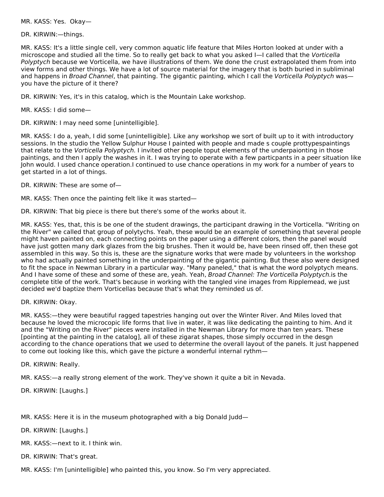MR. KASS: Yes. Okay—

DR. KIRWIN:—things.

MR. KASS: It's a little single cell, very common aquatic life feature that Miles Horton looked at under with a microscope and studied all the time. So to really get back to what you asked I—I called that the Vorticella Polyptych because we Vorticella, we have illustrations of them. We done the crust extrapolated them from into view forms and other things. We have a lot of source material for the imagery that is both buried in subliminal and happens in Broad Channel, that painting. The gigantic painting, which I call the Vorticella Polyptych was you have the picture of it there?

DR. KIRWIN: Yes, it's in this catalog, which is the Mountain Lake workshop.

MR. KASS: I did some—

DR. KIRWIN: I may need some [unintelligible].

MR. KASS: I do a, yeah, I did some [unintelligible]. Like any workshop we sort of built up to it with introductory sessions. In the studio the Yellow Sulphur House I painted with people and made s couple prottypespaintings that relate to the Vorticella Polyptych. I invited other people toput elements of the underpaionting in those paintings, and then I apply the washes in it. I was trying to operate with a few particpants in a peer situation like John would. I used chance operation.I continued to use chance operations in my work for a number of years to get started in a lot of things.

DR. KIRWIN: These are some of—

MR. KASS: Then once the painting felt like it was started—

DR. KIRWIN: That big piece is there but there's some of the works about it.

MR. KASS: Yes, that, this is be one of the student drawings, the participant drawing in the Vorticella. "Writing on the River" we called that group of polytychs. Yeah, these would be an example of something that several people might haven painted on, each connecting points on the paper using a different colors, then the panel would have just gotten many dark glazes from the big brushes. Then it would be, have been rinsed off, then these got assembled in this way. So this is, these are the signature works that were made by volunteers in the workshop who had actually painted something in the underpainting of the gigantic painting. But these also were designed to fit the space in Newman Library in a particular way. "Many paneled," that is what the word polyptych means. And I have some of these and some of these are, yeah. Yeah, Broad Channel: The Vorticella Polyptych. is the complete title of the work. That's because in working with the tangled vine images from Ripplemead, we just decided we'd baptize them Vorticellas because that's what they reminded us of.

DR. KIRWIN: Okay.

MR. KASS:—they were beautiful ragged tapestries hanging out over the Winter River. And Miles loved that because he loved the microcopic life forms that live in water, it was like dedicating the painting to him. And it and the "Writing on the River" pieces were installed in the Newman Library for more than ten years. These [pointing at the painting in the catalog], all of these zigarat shapes, those simply occurred in the desgn according to the chance operations that we used to determine the overall layout of the panels. It just happened to come out looking like this, which gave the picture a wonderful internal rythm—

DR. KIRWIN: Really.

MR. KASS:—a really strong element of the work. They've shown it quite a bit in Nevada.

DR. KIRWIN: [Laughs.]

MR. KASS: Here it is in the museum photographed with a big Donald Judd—

DR. KIRWIN: [Laughs.]

MR. KASS:—next to it. I think win.

DR. KIRWIN: That's great.

MR. KASS: I'm [unintelligible] who painted this, you know. So I'm very appreciated.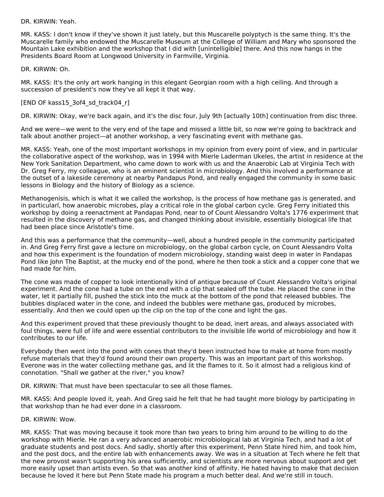DR. KIRWIN: Yeah.

MR. KASS: I don't know if they've shown it just lately, but this Muscarelle polyptych is the same thing. It's the Muscarelle family who endowed the Muscarelle Museum at the College of William and Mary who sponsored the Mountain Lake exhibition and the workshop that I did with [unintelligible] there. And this now hangs in the Presidents Board Room at Longwood University in Farmville, Virginia.

DR. KIRWIN: Oh.

MR. KASS: It's the only art work hanging in this elegant Georgian room with a high ceiling. And through a succession of president's now they've all kept it that way.

## [END OF kass15\_3of4\_sd\_track04\_r]

DR. KIRWIN: Okay, we're back again, and it's the disc four, July 9th [actually 10th] continuation from disc three.

And we were—we went to the very end of the tape and missed a little bit, so now we're going to backtrack and talk about another project—at another workshop, a very fascinating event with methane gas.

MR. KASS: Yeah, one of the most important workshops in my opinion from every point of view, and in particular the collaborative aspect of the workshop, was in 1994 with Mierle Laderman Ukeles, the artist in residence at the New York Sanitation Department, who came down to work with us and the Anaerobic Lab at Virginia Tech with Dr. Greg Ferry, my colleague, who is an eminent scientist in microbiology. And this involved a performance at the outset of a lakeside ceremony at nearby Pandapus Pond, and really engaged the community in some basic lessons in Biology and the history of Biology as a science.

Methanogenisis, which is what it we called the workshop, is the process of how methane gas is generated, and in particularl, how anaerobic microbes, play a critical role in the global carbon cycle. Greg Ferry initiated this workshop by doing a reenactment at Pandapas Pond, near to of Count Alessandro Volta's 1776 experiment that resulted in the discovery of methane gas, and changed thinking about invisible, essentially biological life that had been place since Aristotle's time.

And this was a performance that the community—well, about a hundred people in the community participated in. And Greg Ferry first gave a lecture on microbiology, on the global carbon cycle, on Count Alessandro Volta and how this experiment is the foundation of modern microbiology, standing waist deep in water in Pandapas Pond like John The Baptist, at the mucky end of the pond, where he then took a stick and a copper cone that we had made for him.

The cone was made of copper to look intentionally kind of antique because of Count Alessandro Volta's original experiment. And the cone had a tube on the end with a clip that sealed off the tube. He placed the cone in the water, let it partially fill, pushed the stick into the muck at the bottom of the pond that released bubbles. The bubbles displaced water in the cone, and indeed the bubbles were methane gas, produced by microbes, essentially. And then we could open up the clip on the top of the cone and light the gas.

And this experiment proved that these previously thought to be dead, inert areas, and always associated with foul things, were full of life and were essential contributors to the invisible life world of microbiology and how it contributes to our life.

Everybody then went into the pond with cones that they'd been instructed how to make at home from mostly refuse materials that they'd found around their own property. This was an important part of this workshop. Everone was in the water collectiing methane gas, and lit the flames to it. So it almost had a religious kind of connotation. "Shall we gather at the river," you know?

DR. KIRWIN: That must have been spectacular to see all those flames.

MR. KASS: And people loved it, yeah. And Greg said he felt that he had taught more biology by participating in that workshop than he had ever done in a classroom.

### DR. KIRWIN: Wow.

MR. KASS: That was moving because it took more than two years to bring him around to be willing to do the workshop with Mierle. He ran a very advanced anaerobic microbiological lab at Virginia Tech, and had a lot of graduate students and post docs. And sadly, shortly after this experiment, Penn State hired him, and took him, and the post docs, and the entire lab with enhancements away. We was in a situation at Tech where he felt that the new provost wasn't supporting his area sufficiently, and scientists are more nervous about support and get more easily upset than artists even. So that was another kind of affinity. He hated having to make that decision because he loved it here but Penn State made his program a much better deal. And we're still in touch.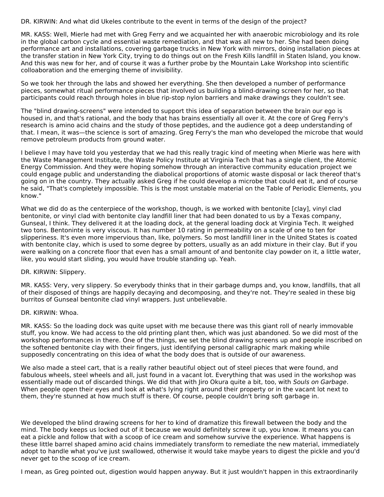DR. KIRWIN: And what did Ukeles contribute to the event in terms of the design of the project?

MR. KASS: Well, Mierle had met with Greg Ferry and we acquainted her with anaerobic microbiology and its role in the global carbon cycle and essential waste remediation, and that was all new to her. She had been doing performance art and installations, covering garbage trucks in New York with mirrors, doing installation pieces at the transfer station in New York City, trying to do things out on the Fresh Kills landfill in Staten Island, you know. And this was new for her, and of course it was a further probe by the Mountain Lake Workshop into scientific colloaboration and the emerging theme of invisibility.

So we took her through the labs and showed her everything. She then developed a number of performance pieces, somewhat ritual performance pieces that involved us building a blind-drawing screen for her, so that participants could reach through holes in blue rip-stop nylon barriers and make drawings they couldn't see.

The "blind drawing-screens" were intended to support this idea of separation between the brain our ego is housed in, and that's rational, and the body that has brains essentially all over it. At the core of Greg Ferry's research is amino acid chains and the study of those peptides, and the audience got a deep understanding of that. I mean, it was—the science is sort of amazing. Greg Ferry's the man who developed the microbe that would remove petroleum products from ground water.

I believe I may have told you yesterday that we had this really tragic kind of meeting when Mierle was here with the Waste Management Institute, the Waste Policy Institute at Virginia Tech that has a single client, the Atomic Energy Commission. And they were hoping somehow through an interactive community education project we could engage public and understanding the diabolical proportions of atomic waste disposal or lack thereof that's going on in the country. They actually asked Greg if he could develop a microbe that could eat it, and of course he said, "That's completely impossible. This is the most unstable material on the Table of Periodic Elements, you know."

What we did do as the centerpiece of the workshop, though, is we worked with bentonite [clay], vinyl clad bentonite, or vinyl clad with bentonite clay landfill liner that had been donated to us by a Texas company, Gunseal, I think. They delivered it at the loading dock, at the general loading dock at Virginia Tech. It weighed two tons. Bentoninte is very viscous. It has number 10 rating in permeability on a scale of one to ten for slipperiness. It's even more impervious than, like, polymers. So most landfill liner in the United States is coated with bentonite clay, which is used to some degree by potters, usually as an add mixture in their clay. But if you were walking on a concrete floor that even has a small amount of and bentonite clay powder on it, a little water, like, you would start sliding, you would have trouble standing up. Yeah.

### DR. KIRWIN: Slippery.

MR. KASS: Very, very slippery. So everybody thinks that in their garbage dumps and, you know, landfills, that all of their disposed of things are happily decaying and decomposing, and they're not. They're sealed in these big burritos of Gunseal bentonite clad vinyl wrappers. Just unbelievable.

### DR. KIRWIN: Whoa.

MR. KASS: So the loading dock was quite upset with me because there was this giant roll of nearly immovable stuff, you know. We had access to the old printing plant then, which was just abandoned. So we did most of the workshop performances in there. One of the things, we set the blind drawing screens up and people inscribed on the softened bentonite clay with their fingers, just identifying personal calligraphic mark making while supposedly concentrating on this idea of what the body does that is outside of our awareness.

We also made a steel cart, that is a really rather beautiful object out of steel pieces that were found, and fabulous wheels, steel wheels and all, just found in a vacant lot. Everything that was used in the workshop was essentially made out of discarded things. We did that with Jiro Okura quite a bit, too, with Souls on Garbage. When people open their eyes and look at what's lying right around their property or in the vacant lot next to them, they're stunned at how much stuff is there. Of course, people couldn't bring soft garbage in.

We developed the blind drawing screens for her to kind of dramatize this firewall between the body and the mind. The body keeps us locked out of it because we would definitely screw it up, you know. It means you can eat a pickle and follow that with a scoop of ice cream and somehow survive the experience. What happens is these little barrel shaped amino acid chains immediately transform to remediate the new material, immediately adopt to handle what you've just swallowed, otherwise it would take maybe years to digest the pickle and you'd never get to the scoop of ice cream.

I mean, as Greg pointed out, digestion would happen anyway. But it just wouldn't happen in this extraordinarily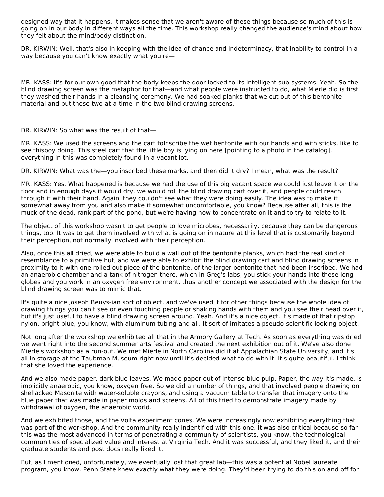designed way that it happens. It makes sense that we aren't aware of these things because so much of this is going on in our body in different ways all the time. This workshop really changed the audience's mind about how they felt about the mind/body distinction.

DR. KIRWIN: Well, that's also in keeping with the idea of chance and indeterminacy, that inability to control in a way because you can't know exactly what you're—

MR. KASS: It's for our own good that the body keeps the door locked to its intelligent sub-systems. Yeah. So the blind drawing screen was the metaphor for that—and what people were instructed to do, what Mierle did is first they washed their hands in a cleansing ceremony. We had soaked planks that we cut out of this bentonite material and put those two-at-a-time in the two blind drawing screens.

DR. KIRWIN: So what was the result of that—

MR. KASS: We used the screens and the cart toInscribe the wet bentonite with our hands and with sticks, like to see thisboy doing. This steel cart that the little boy is lying on here [pointing to a photo in the catalog], everything in this was completely found in a vacant lot.

DR. KIRWIN: What was the—you inscribed these marks, and then did it dry? I mean, what was the result?

MR. KASS: Yes. What happened is because we had the use of this big vacant space we could just leave it on the floor and in enough days it would dry, we would roll the blind drawing cart over it, and people could reach through it with their hand. Again, they couldn't see what they were doing easily. The idea was to make it somewhat away from you and also make it somewhat uncomfortable, you know? Because after all, this is the muck of the dead, rank part of the pond, but we're having now to concentrate on it and to try to relate to it.

The object of this workshop wasn't to get people to love microbes, necessarily, because they can be dangerous things, too. It was to get them involved with what is going on in nature at this level that is customarily beyond their perception, not normally involved with their perception.

Also, once this all dried, we were able to build a wall out of the bentonite planks, which had the real kind of resemblance to a primitive hut, and we were able to exhibit the blind drawing cart and blind drawing screens in proximity to it with one rolled out piece of the bentonite, of the larger bentonite that had been inscribed. We had an anaerobic chamber and a tank of nitrogen there, which in Greg's labs, you stick your hands into these long globes and you work in an oxygen free environment, thus another concept we associated with the design for the blind drawing screen was to mimic that.

It's quite a nice Joseph Beuys-ian sort of object, and we've used it for other things because the whole idea of drawing things you can't see or even touching people or shaking hands with them and you see their head over it, but it's just useful to have a blind drawing screen around. Yeah. And it's a nice object. It's made of that ripstop nylon, bright blue, you know, with aluminum tubing and all. It sort of imitates a pseudo-scientific looking object.

Not long after the workshop we exhibited all that in the Armory Gallery at Tech. As soon as everything was dried we went right into the second summer arts festival and created the next exhibition out of it. We've also done Mierle's workshop as a run-out. We met Mierle in North Carolina did it at Appalachian State University, and it's all in storage at the Taubman Museum right now until it's decided what to do with it. It's quite beautiful. I think that she loved the experience.

And we also made paper, dark blue leaves. We made paper out of intense blue pulp. Paper, the way it's made, is implicitly anaerobic, you know, oxygen free. So we did a number of things, and that involved people drawing on shellacked Masonite with water-soluble crayons, and using a vacuum table to transfer that imagery onto the blue paper that was made in paper molds and screens. All of this tried to demonstrate imagery made by withdrawal of oxygen, the anaerobic world.

And we exhibited those, and the Volta experiment cones. We were increasingly now exhibiting everything that was part of the workshop. And the community really indentified with this one. It was also critical because so far this was the most advanced in terms of penetrating a community of scientists, you know, the technological communities of specialized value and interest at Virginia Tech. And it was successful, and they liked it, and their graduate students and post docs really liked it.

But, as I mentioned, unfortunately, we eventually lost that great lab—this was a potential Nobel laureate program, you know. Penn State knew exactly what they were doing. They'd been trying to do this on and off for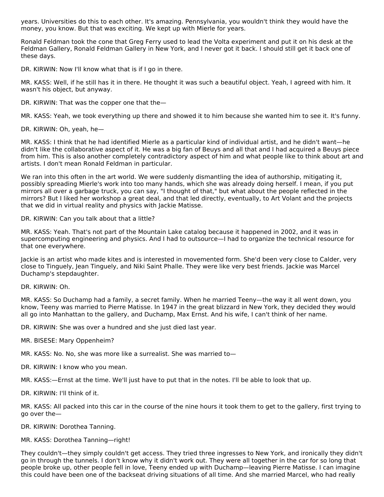years. Universities do this to each other. It's amazing. Pennsylvania, you wouldn't think they would have the money, you know. But that was exciting. We kept up with Mierle for years.

Ronald Feldman took the cone that Greg Ferry used to lead the Volta experiment and put it on his desk at the Feldman Gallery, Ronald Feldman Gallery in New York, and I never got it back. I should still get it back one of these days.

DR. KIRWIN: Now I'll know what that is if I go in there.

MR. KASS: Well, if he still has it in there. He thought it was such a beautiful object. Yeah, I agreed with him. It wasn't his object, but anyway.

DR. KIRWIN: That was the copper one that the—

MR. KASS: Yeah, we took everything up there and showed it to him because she wanted him to see it. It's funny.

DR. KIRWIN: Oh, yeah, he—

MR. KASS: I think that he had identified Mierle as a particular kind of individual artist, and he didn't want—he didn't like the collaborative aspect of it. He was a big fan of Beuys and all that and I had acquired a Beuys piece from him. This is also another completely contradictory aspect of him and what people like to think about art and artists. I don't mean Ronald Feldman in particular.

We ran into this often in the art world. We were suddenly dismantling the idea of authorship, mitigating it, possibly spreading Mierle's work into too many hands, which she was already doing herself. I mean, if you put mirrors all over a garbage truck, you can say, "I thought of that," but what about the people reflected in the mirrors? But I liked her workshop a great deal, and that led directly, eventually, to Art Volant and the projects that we did in virtual reality and physics with Jackie Matisse.

DR. KIRWIN: Can you talk about that a little?

MR. KASS: Yeah. That's not part of the Mountain Lake catalog because it happened in 2002, and it was in supercomputing engineering and physics. And I had to outsource—I had to organize the technical resource for that one everywhere.

Jackie is an artist who made kites and is interested in movemented form. She'd been very close to Calder, very close to Tinguely, Jean Tinguely, and Niki Saint Phalle. They were like very best friends. Jackie was Marcel Duchamp's stepdaughter.

DR. KIRWIN: Oh.

MR. KASS: So Duchamp had a family, a secret family. When he married Teeny—the way it all went down, you know, Teeny was married to Pierre Matisse. In 1947 in the great blizzard in New York, they decided they would all go into Manhattan to the gallery, and Duchamp, Max Ernst. And his wife, I can't think of her name.

DR. KIRWIN: She was over a hundred and she just died last year.

MR. BISESE: Mary Oppenheim?

MR. KASS: No. No, she was more like a surrealist. She was married to—

DR. KIRWIN: I know who you mean.

MR. KASS:—Ernst at the time. We'll just have to put that in the notes. I'll be able to look that up.

DR. KIRWIN: I'll think of it.

MR. KASS: All packed into this car in the course of the nine hours it took them to get to the gallery, first trying to go over the—

DR. KIRWIN: Dorothea Tanning.

MR. KASS: Dorothea Tanning—right!

They couldn't—they simply couldn't get access. They tried three ingresses to New York, and ironically they didn't go in through the tunnels. I don't know why it didn't work out. They were all together in the car for so long that people broke up, other people fell in love, Teeny ended up with Duchamp—leaving Pierre Matisse. I can imagine this could have been one of the backseat driving situations of all time. And she married Marcel, who had really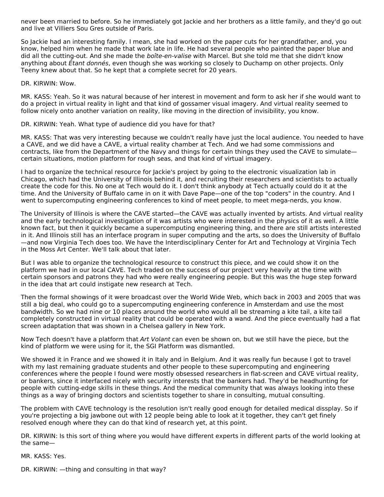never been married to before. So he immediately got Jackie and her brothers as a little family, and they'd go out and live at Villiers Sou Gres outside of Paris.

So Jackie had an interesting family. I mean, she had worked on the paper cuts for her grandfather, and, you know, helped him when he made that work late in life. He had several people who painted the paper blue and did all the cutting-out. And she made the boîte-en-valise with Marcel. But she told me that she didn't know anything about *Étant donnés*, even though she was working so closely to Duchamp on other projects. Only Teeny knew about that. So he kept that a complete secret for 20 years.

DR. KIRWIN: Wow.

MR. KASS: Yeah. So it was natural because of her interest in movement and form to ask her if she would want to do a project in virtual reality in light and that kind of gossamer visual imagery. And virtual reality seemed to follow nicely onto another variation on reality, like moving in the direction of invisibility, you know.

DR. KIRWIN: Yeah. What type of audience did you have for that?

MR. KASS: That was very interesting because we couldn't really have just the local audience. You needed to have a CAVE, and we did have a CAVE, a virtual reality chamber at Tech. And we had some commissions and contracts, like from the Department of the Navy and things for certain things they used the CAVE to simulate certain situations, motion platform for rough seas, and that kind of virtual imagery.

I had to organize the technical resource for Jackie's project by going to the electronic visualization lab in Chicago, which had the University of Illinois behind it, and recruiting their researchers and scientists to actually create the code for this. No one at Tech would do it. I don't think anybody at Tech actually could do it at the time. And the University of Buffalo came in on it with Dave Pape—one of the top "coders" in the country. And I went to supercomputing engineering conferences to kind of meet people, to meet mega-nerds, you know.

The University of Illinois is where the CAVE started—the CAVE was actually invented by artists. And virtual reality and the early technological investigation of it was artists who were interested in the physics of it as well. A little known fact, but then it quickly became a supercomputing engineering thing, and there are still artists interested in it. And Illinois still has an interface program in super computing and the arts, so does the University of Buffalo —and now Virginia Tech does too. We have the Interdisciplinary Center for Art and Technology at Virginia Tech in the Moss Art Center. We'll talk about that later.

But I was able to organize the technological resource to construct this piece, and we could show it on the platform we had in our local CAVE. Tech traded on the success of our project very heavily at the time with certain sponsors and patrons they had who were really engineering people. But this was the huge step forward in the idea that art could instigate new research at Tech.

Then the formal showings of it were broadcast over the World Wide Web, which back in 2003 and 2005 that was still a big deal, who could go to a supercomputing engineering conference in Amsterdam and use the most bandwidth. So we had nine or 10 places around the world who would all be streaming a kite tail, a kite tail completely constructed in virtual reality that could be operated with a wand. And the piece eventually had a flat screen adaptation that was shown in a Chelsea gallery in New York.

Now Tech doesn't have a platform that Art Volant can even be shown on, but we still have the piece, but the kind of platform we were using for it, the SGI Platform was dismantled.

We showed it in France and we showed it in Italy and in Belgium. And it was really fun because I got to travel with my last remaining graduate students and other people to these supercomputing and engineering conferences where the people I found were mostly obsessed researchers in flat-screen and CAVE virtual reality, or bankers, since it interfaced nicely with security interests that the bankers had. They'd be headhunting for people with cutting-edge skills in these things. And the medical community that was always looking into these things as a way of bringing doctors and scientists together to share in consulting, mutual consulting.

The problem with CAVE technology is the resolution isn't really good enough for detailed medical dissplay. So if you're projecting a big jawbone out with 12 people being able to look at it together, they can't get finely resolved enough where they can do that kind of research yet, at this point.

DR. KIRWIN: Is this sort of thing where you would have different experts in different parts of the world looking at the same—

MR. KASS: Yes.

DR. KIRWIN: —thing and consulting in that way?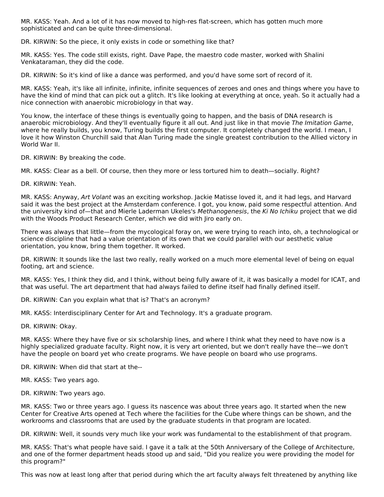MR. KASS: Yeah. And a lot of it has now moved to high-res flat-screen, which has gotten much more sophisticated and can be quite three-dimensional.

DR. KIRWIN: So the piece, it only exists in code or something like that?

MR. KASS: Yes. The code still exists, right. Dave Pape, the maestro code master, worked with Shalini Venkataraman, they did the code.

DR. KIRWIN: So it's kind of like a dance was performed, and you'd have some sort of record of it.

MR. KASS: Yeah, it's like all infinite, infinite, infinite sequences of zeroes and ones and things where you have to have the kind of mind that can pick out a glitch. It's like looking at everything at once, yeah. So it actually had a nice connection with anaerobic microbiology in that way.

You know, the interface of these things is eventually going to happen, and the basis of DNA research is anaerobic microbiology. And they'll eventually figure it all out. And just like in that movie The Imitation Game, where he really builds, you know, Turing builds the first computer. It completely changed the world. I mean, I love it how Winston Churchill said that Alan Turing made the single greatest contribution to the Allied victory in World War II.

DR. KIRWIN: By breaking the code.

MR. KASS: Clear as a bell. Of course, then they more or less tortured him to death—socially. Right?

DR. KIRWIN: Yeah.

MR. KASS: Anyway, Art Volant was an exciting workshop. Jackie Matisse loved it, and it had legs, and Harvard said it was the best project at the Amsterdam conference. I got, you know, paid some respectful attention. And the university kind of—that and Mierle Laderman Ukeles's Methanogenesis, the Ki No Ichiku project that we did with the Woods Product Research Center, which we did with Jiro early on.

There was always that little—from the mycological foray on, we were trying to reach into, oh, a technological or science discipline that had a value orientation of its own that we could parallel with our aesthetic value orientation, you know, bring them together. It worked.

DR. KIRWIN: It sounds like the last two really, really worked on a much more elemental level of being on equal footing, art and science.

MR. KASS: Yes, I think they did, and I think, without being fully aware of it, it was basically a model for ICAT, and that was useful. The art department that had always failed to define itself had finally defined itself.

DR. KIRWIN: Can you explain what that is? That's an acronym?

MR. KASS: Interdisciplinary Center for Art and Technology. It's a graduate program.

DR. KIRWIN: Okay.

MR. KASS: Where they have five or six scholarship lines, and where I think what they need to have now is a highly specialized graduate faculty. Right now, it is very art oriented, but we don't really have the—we don't have the people on board yet who create programs. We have people on board who use programs.

DR. KIRWIN: When did that start at the--

MR. KASS: Two years ago.

DR. KIRWIN: Two years ago.

MR. KASS: Two or three years ago. I guess its nascence was about three years ago. It started when the new Center for Creative Arts opened at Tech where the facilities for the Cube where things can be shown, and the workrooms and classrooms that are used by the graduate students in that program are located.

DR. KIRWIN: Well, it sounds very much like your work was fundamental to the establishment of that program.

MR. KASS: That's what people have said. I gave it a talk at the 50th Anniversary of the College of Architecture, and one of the former department heads stood up and said, "Did you realize you were providing the model for this program?"

This was now at least long after that period during which the art faculty always felt threatened by anything like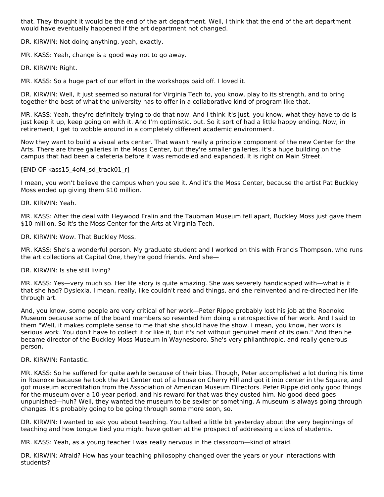that. They thought it would be the end of the art department. Well, I think that the end of the art department would have eventually happened if the art department not changed.

DR. KIRWIN: Not doing anything, yeah, exactly.

MR. KASS: Yeah, change is a good way not to go away.

DR. KIRWIN: Right.

MR. KASS: So a huge part of our effort in the workshops paid off. I loved it.

DR. KIRWIN: Well, it just seemed so natural for Virginia Tech to, you know, play to its strength, and to bring together the best of what the university has to offer in a collaborative kind of program like that.

MR. KASS: Yeah, they're definitely trying to do that now. And I think it's just, you know, what they have to do is just keep it up, keep going on with it. And I'm optimistic, but. So it sort of had a little happy ending. Now, in retirement, I get to wobble around in a completely different academic environment.

Now they want to build a visual arts center. That wasn't really a principle component of the new Center for the Arts. There are three galleries in the Moss Center, but they're smaller galleries. It's a huge building on the campus that had been a cafeteria before it was remodeled and expanded. It is right on Main Street.

[END OF kass15\_4of4\_sd\_track01\_r]

I mean, you won't believe the campus when you see it. And it's the Moss Center, because the artist Pat Buckley Moss ended up giving them \$10 million.

DR. KIRWIN: Yeah.

MR. KASS: After the deal with Heywood Fralin and the Taubman Museum fell apart, Buckley Moss just gave them \$10 million. So it's the Moss Center for the Arts at Virginia Tech.

DR. KIRWIN: Wow. That Buckley Moss.

MR. KASS: She's a wonderful person. My graduate student and I worked on this with Francis Thompson, who runs the art collections at Capital One, they're good friends. And she—

DR. KIRWIN: Is she still living?

MR. KASS: Yes—very much so. Her life story is quite amazing. She was severely handicapped with—what is it that she had? Dyslexia. I mean, really, like couldn't read and things, and she reinvented and re-directed her life through art.

And, you know, some people are very critical of her work—Peter Rippe probably lost his job at the Roanoke Museum because some of the board members so resented him doing a retrospective of her work. And I said to them "Well, it makes complete sense to me that she should have the show. I mean, you know, her work is serious work. You don't have to collect it or like it, but it's not without genuinet merit of its own." And then he became director of the Buckley Moss Museum in Waynesboro. She's very philanthropic, and really generous person.

DR. KIRWIN: Fantastic.

MR. KASS: So he suffered for quite awhile because of their bias. Though, Peter accomplished a lot during his time in Roanoke because he took the Art Center out of a house on Cherry Hill and got it into center in the Square, and got museum accreditation from the Association of American Museum Directors. Peter Rippe did only good things for the museum over a 10-year period, and his reward for that was they ousted him. No good deed goes unpunished—huh? Well, they wanted the museum to be sexier or something. A museum is always going through changes. It's probably going to be going through some more soon, so.

DR. KIRWIN: I wanted to ask you about teaching. You talked a little bit yesterday about the very beginnings of teaching and how tongue tied you might have gotten at the prospect of addressing a class of students.

MR. KASS: Yeah, as a young teacher I was really nervous in the classroom—kind of afraid.

DR. KIRWIN: Afraid? How has your teaching philosophy changed over the years or your interactions with students?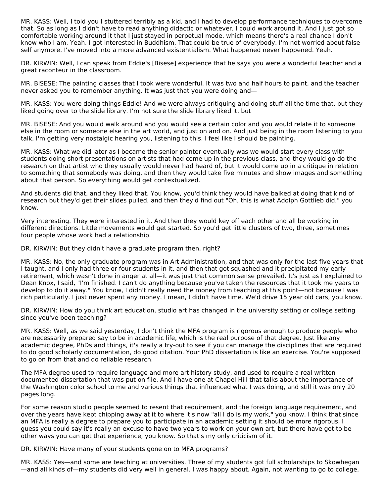MR. KASS: Well, I told you I stuttered terribly as a kid, and I had to develop performance techniques to overcome that. So as long as I didn't have to read anything didactic or whatever, I could work around it. And I just got so comfortable working around it that I just stayed in perpetual mode, which means there's a real chance I don't know who I am. Yeah. I got interested in Buddhism. That could be true of everybody. I'm not worried about false self anymore. I've moved into a more advanced existentialism. What happened never happened. Yeah.

DR. KIRWIN: Well, I can speak from Eddie's [Bisese] experience that he says you were a wonderful teacher and a great raconteur in the classroom.

MR. BISESE: The painting classes that I took were wonderful. It was two and half hours to paint, and the teacher never asked you to remember anything. It was just that you were doing and—

MR. KASS: You were doing things Eddie! And we were always critiquing and doing stuff all the time that, but they liked going over to the slide library. I'm not sure the slide library liked it, but

MR. BISESE: And you would walk around and you would see a certain color and you would relate it to someone else in the room or someone else in the art world, and just on and on. And just being in the room listening to you talk, I'm getting very nostalgic hearing you, listening to this. I feel like I should be painting.

MR. KASS: What we did later as I became the senior painter eventually was we would start every class with students doing short presentations on artists that had come up in the previous class, and they would go do the research on that artist who they usually would never had heard of, but it would come up in a critique in relation to something that somebody was doing, and then they would take five minutes and show images and something about that person. So everything would get contextualized.

And students did that, and they liked that. You know, you'd think they would have balked at doing that kind of research but they'd get their slides pulled, and then they'd find out "Oh, this is what Adolph Gottlieb did," you know.

Very interesting. They were interested in it. And then they would key off each other and all be working in different directions. Little movements would get started. So you'd get little clusters of two, three, sometimes four people whose work had a relationship.

DR. KIRWIN: But they didn't have a graduate program then, right?

MR. KASS: No, the only graduate program was in Art Administration, and that was only for the last five years that I taught, and I only had three or four students in it, and then that got squashed and it precipitated my early retirement, which wasn't done in anger at all—it was just that common sense prevailed. It's just as I explained to Dean Knox, I said, "I'm finished. I can't do anything because you've taken the resources that it took me years to develop to do it away." You know, I didn't really need the money from teaching at this point—not because I was rich particularly. I just never spent any money. I mean, I didn't have time. We'd drive 15 year old cars, you know.

DR. KIRWIN: How do you think art education, studio art has changed in the university setting or college setting since you've been teaching?

MR. KASS: Well, as we said yesterday, I don't think the MFA program is rigorous enough to produce people who are necessarily prepared say to be in academic life, which is the real purpose of that degree. Just like any academic degree, PhDs and things, it's really a try-out to see if you can manage the disciplines that are required to do good scholarly documentation, do good citation. Your PhD dissertation is like an exercise. You're supposed to go on from that and do reliable research.

The MFA degree used to require language and more art history study, and used to require a real written documented dissertation that was put on file. And I have one at Chapel Hill that talks about the importance of the Washington color school to me and various things that influenced what I was doing, and still it was only 20 pages long.

For some reason studio people seemed to resent that requirement, and the foreign language requirement, and over the years have kept chipping away at it to where it's now "all I do is my work," you know. I think that since an MFA is really a degree to prepare you to participate in an academic setting it should be more rigorous, I guess you could say it's really an excuse to have two years to work on your own art, but there have got to be other ways you can get that experience, you know. So that's my only criticism of it.

DR. KIRWIN: Have many of your students gone on to MFA programs?

MR. KASS: Yes—and some are teaching at universities. Three of my students got full scholarships to Skowhegan —and all kinds of—my students did very well in general. I was happy about. Again, not wanting to go to college,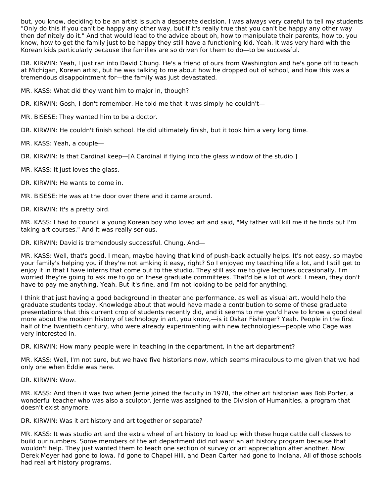but, you know, deciding to be an artist is such a desperate decision. I was always very careful to tell my students "Only do this if you can't be happy any other way, but if it's really true that you can't be happy any other way then definitely do it." And that would lead to the advice about oh, how to manipulate their parents, how to, you know, how to get the family just to be happy they still have a functioning kid. Yeah. It was very hard with the Korean kids particularly because the families are so driven for them to do—to be successful.

DR. KIRWIN: Yeah, I just ran into David Chung. He's a friend of ours from Washington and he's gone off to teach at Michigan, Korean artist, but he was talking to me about how he dropped out of school, and how this was a tremendous disappointment for—the family was just devastated.

MR. KASS: What did they want him to major in, though?

DR. KIRWIN: Gosh, I don't remember. He told me that it was simply he couldn't-

MR. BISESE: They wanted him to be a doctor.

DR. KIRWIN: He couldn't finish school. He did ultimately finish, but it took him a very long time.

MR. KASS: Yeah, a couple—

DR. KIRWIN: Is that Cardinal keep—[A Cardinal if flying into the glass window of the studio.]

MR. KASS: It just loves the glass.

DR. KIRWIN: He wants to come in.

MR. BISESE: He was at the door over there and it came around.

DR. KIRWIN: It's a pretty bird.

MR. KASS: I had to council a young Korean boy who loved art and said, "My father will kill me if he finds out I'm taking art courses." And it was really serious.

DR. KIRWIN: David is tremendously successful. Chung. And—

MR. KASS: Well, that's good. I mean, maybe having that kind of push-back actually helps. It's not easy, so maybe your family's helping you if they're not amking it easy, right? So I enjoyed my teaching life a lot, and I still get to enjoy it in that I have interns that come out to the studio. They still ask me to give lectures occasionally. I'm worried they're going to ask me to go on these graduate committees. That'd be a lot of work. I mean, they don't have to pay me anything. Yeah. But it's fine, and I'm not looking to be paid for anything.

I think that just having a good background in theater and performance, as well as visual art, would help the graduate students today. Knowledge about that would have made a contribution to some of these graduate presentations that this current crop of students recently did, and it seems to me you'd have to know a good deal more about the modern history of technology in art, you know,—is it Oskar Fishinger? Yeah. People in the first half of the twentieth century, who were already experimenting with new technologies—people who Cage was very interested in.

DR. KIRWIN: How many people were in teaching in the department, in the art department?

MR. KASS: Well, I'm not sure, but we have five historians now, which seems miraculous to me given that we had only one when Eddie was here.

DR. KIRWIN: Wow.

MR. KASS: And then it was two when Jerrie joined the faculty in 1978, the other art historian was Bob Porter, a wonderful teacher who was also a sculptor. Jerrie was assigned to the Division of Humanities, a program that doesn't exist anymore.

DR. KIRWIN: Was it art history and art together or separate?

MR. KASS: It was studio art and the extra wheel of art history to load up with these huge cattle call classes to build our numbers. Some members of the art department did not want an art history program because that wouldn't help. They just wanted them to teach one section of survey or art appreciation after another. Now Derek Meyer had gone to Iowa. I'd gone to Chapel Hill, and Dean Carter had gone to Indiana. All of those schools had real art history programs.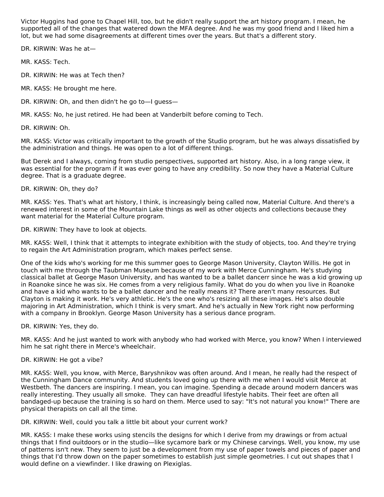Victor Huggins had gone to Chapel Hill, too, but he didn't really support the art history program. I mean, he supported all of the changes that watered down the MFA degree. And he was my good friend and I liked him a lot, but we had some disagreements at different times over the years. But that's a different story.

DR. KIRWIN: Was he at—

MR. KASS: Tech.

DR. KIRWIN: He was at Tech then?

MR. KASS: He brought me here.

DR. KIRWIN: Oh, and then didn't he go to—I guess—

MR. KASS: No, he just retired. He had been at Vanderbilt before coming to Tech.

DR. KIRWIN: Oh.

MR. KASS: Victor was critically important to the growth of the Studio program, but he was always dissatisfied by the administration and things. He was open to a lot of different things.

But Derek and I always, coming from studio perspectives, supported art history. Also, in a long range view, it was essential for the program if it was ever going to have any credibility. So now they have a Material Culture degree. That is a graduate degree.

DR. KIRWIN: Oh, they do?

MR. KASS: Yes. That's what art history, I think, is increasingly being called now, Material Culture. And there's a renewed interest in some of the Mountain Lake things as well as other objects and collections because they want material for the Material Culture program.

DR. KIRWIN: They have to look at objects.

MR. KASS: Well, I think that it attempts to integrate exhibition with the study of objects, too. And they're trying to regain the Art Administration program, which makes perfect sense.

One of the kids who's working for me this summer goes to George Mason University, Clayton Willis. He got in touch with me through the Taubman Museum because of my work with Merce Cunningham. He's studying classical ballet at George Mason University, and has wanted to be a ballet dancerr since he was a kid growing up in Roanoke since he was six. He comes from a very religious family. What do you do when you live in Roanoke and have a kid who wants to be a ballet dancer and he really means it? There aren't many resources. But Clayton is making it work. He's very athletic. He's the one who's resizing all these images. He's also double majoring in Art Administration, which I think is very smart. And he's actually in New York right now performing with a company in Brooklyn. George Mason University has a serious dance program.

DR. KIRWIN: Yes, they do.

MR. KASS: And he just wanted to work with anybody who had worked with Merce, you know? When I interviewed him he sat right there in Merce's wheelchair.

DR. KIRWIN: He got a vibe?

MR. KASS: Well, you know, with Merce, Baryshnikov was often around. And I mean, he really had the respect of the Cunningham Dance community. And students loved going up there with me when I would visit Merce at Westbeth. The dancers are inspiring. I mean, you can imagine. Spending a decade around modern dancers was really interesting. They usually all smoke. They can have dreadful lifestyle habits. Their feet are often all bandaged-up because the training is so hard on them. Merce used to say: "It's not natural you know!" There are physical therapists on call all the time.

DR. KIRWIN: Well, could you talk a little bit about your current work?

MR. KASS: I make these works using stencils the designs for which I derive from my drawings or from actual things that I find ouitdoors or in the studio—like sycamore bark or my Chinese carvings. Well, you know, my use of patterns isn't new. They seem to just be a development from my use of paper towels and pieces of paper and things that I'd throw down on the paper sometimes to establish just simple geometries. I cut out shapes that I would define on a viewfinder. I like drawing on Plexiglas.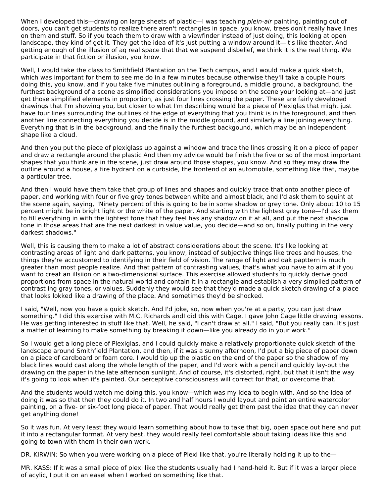When I developed this—drawing on large sheets of plastic—I was teaching *plein-air* painting, painting out of doors, you can't get students to realize there aren't rectangles in space, you know, trees don't really have lines on them and stuff. So if you teach them to draw with a viewfinder instead of just doing, this looking at open landscape, they kind of get it. They get the idea of it's just putting a window around it—it's like theater. And getting enough of the illusion of aq real space that that we suspend disbelief, we think it is the real thing. We participate in that fiction or illusion, you know.

Well, I would take the class to Smithfield Plantation on the Tech campus, and I would make a quick sketch, which was important for them to see me do in a few minutes because otherwise they'll take a couple hours doing this, you know, and if you take five minutes outlining a foreground, a middle ground, a background, the furthest background of a scene as simplified considerations you impose on the scene your looking at—and just get those simplified elements in proportion, as just four lines crossing the paper. These are fairly developed drawings that I'm showing you, but closer to what I'm describing would be a piece of Plexiglas that might just have four lines surrounding the outlines of the edge of everything that you think is in the foreground, and then another line connecting everything you decide is in the middle ground, and similarly a line joining everything. Everything that is in the background, and the finally the furthest backgound, which may be an independent shape like a cloud.

And then you put the piece of plexiglass up against a window and trace the lines crossing it on a piece of paper and draw a rectangle around the plastic And then my advice would be finish the five or so of the most important shapes that you think are in the scene, just draw around those shapes, you know. And so they may draw the outline around a house, a fire hydrant on a curbside, the frontend of an automobile, something like that, maybe a particular tree.

And then I would have them take that group of lines and shapes and quickly trace that onto another piece of paper, and working with four or five grey tones between white and almost black, and I'd ask them to squint at the scene again, saying, "Ninety percent of this is going to be in some shadow or grey tone. Only about 10 to 15 percent might be in bright light or the white of the paper. And starting with the lightest grey tone—I'd ask them to fill everything in with the lightest tone that they feel has any shadow on it at all, and put the next shadow tone in those areas that are the next darkest in value value, you decide—and so on, finally putting in the very darkest shadows."

Well, this is causing them to make a lot of abstract considerations about the scene. It's like looking at contrasting areas of light and dark patterns, you know, instead of subjective things like trees and houses, the things they're accustomed to identifying in their field of vision. The range of light and dak papttern is much greater than most people realize. And that pattern of contrasting values, that's what you have to aim at if you want to creat an illsiion on a two-dimensional surface. This exercise allowed students to quickly derive good proportions from space in the natural world and contain it in a rectangle and establish a very simplied pattern of contrast ing gray tones, or values. Suddenly they would see that they'd made a quick sketch drawing of a place that looks lokked like a drawing of the place. And sometimes they'd be shocked.

I said, "Well, now you have a quick sketch. And I'd joke, so, now when you're at a party, you can just draw something." I did this exercise with M.C. Richards andI did this with Cage. I gave John Cage little drawing lessons. He was getting interested in stuff like that. Well, he said, "I can't draw at all." I said, "But you really can. It's just a matter of learning to make something by breaking it down—like you already do in your work."

So I would get a long piece of Plexiglas, and I could quickly make a relatively proportionate quick sketch of the landscape around Smithfield Plantation, and then, if it was a sunny afternoon, I'd put a big piece of paper down on a piece of cardboard or foam core. I would tip up the plastic on the end of the paper so the shadow of my black lines would cast along the whole length of the paper, and I'd work with a pencil and quickly lay-out the drawing on the paper in the late afternoon sunlight. And of course, it's distorted, right, but that it isn't the way it's going to look when it's painted. Our perceptive consciousness will correct for that, or overcome that.

And the students would watch me doing this, you know—which was my idea to begin with. And so the idea of doing it was so that then they could do it. In two and half hours I would layout and paint an entire watercolor painting, on a five- or six-foot long piece of paper. That would really get them past the idea that they can never get anything done!

So it was fun. At very least they would learn something about how to take that big, open space out here and put it into a rectangular format. At very best, they would really feel comfortable about taking ideas like this and going to town with them in their own work.

DR. KIRWIN: So when you were working on a piece of Plexi like that, you're literally holding it up to the—

MR. KASS: If it was a small piece of plexi like the students usually had I hand-held it. But if it was a larger piece of acylic, I put it on an easel when I worked on something like that.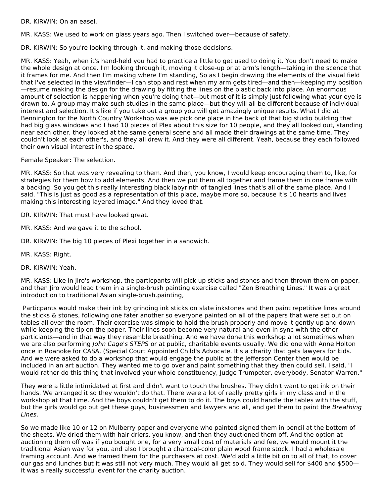DR. KIRWIN: On an easel.

MR. KASS: We used to work on glass years ago. Then I switched over—because of safety.

DR. KIRWIN: So you're looking through it, and making those decisions.

MR. KASS: Yeah, when it's hand-held you had to practice a little to get used to doing it. You don't need to make the whole design at once. I'm looking through it, moving it close-up or at arm's length—taking in the scence that it frames for me. And then I'm making where I'm standing, So as I begin drawing the elements of the visual field that I've selected in the viewfinder—I can stop and rest when my arm gets tired—and then—keeping my position —resume making the design for the drawing by fitting the lines on the plastic back into place. An enormous amount of selection is happening when you're doing that—but most of it is simply just following what your eye is drawn to. A group may make such studies in the same place—but they will all be different because of individual interest and selection. It's like if you take out a group you will get amazingly unique results. What I did at Bennington for the North Country Workshop was we pick one place in the back of that big studio building that had big glass windows and I had 10 pieces of Plex about this size for 10 people, and they all looked out, standing near each other, they looked at the same general scene and all made their drawings at the same time. They couldn't look at each other's, and they all drew it. And they were all different. Yeah, because they each followed their own visual interest in the space.

Female Speaker: The selection.

MR. KASS: So that was very revealing to them. And then, you know, I would keep encouraging them to, like, for strategies for them how to add elements. And then we put them all together and frame them in one frame with a backing. So you get this really interesting black labyrinth of tangled lines that's all of the same place. And I said, "This is just as good as a representation of this place, maybe more so, because it's 10 hearts and lives making this interesting layered image." And they loved that.

DR. KIRWIN: That must have looked great.

MR. KASS: And we gave it to the school.

DR. KIRWIN: The big 10 pieces of Plexi together in a sandwich.

MR. KASS: Right.

DR. KIRWIN: Yeah.

MR. KASS: Like in Jiro's workshop, the particpants will pick up sticks and stones and then thrown them on paper, and then Jiro would lead them in a single-brush painting exercise called "Zen Breathing Lines." It was a great introduction to traditional Asian single-brush.painting,

Particpants would make their ink by grinding ink sticks on slate inkstones and then paint repetitive lines around the sticks & stones, following one fater another so everyone painted on all of the papers that were set out on tables all over the room. Their exercise was simple to hold the brush properly and move it gently up and down while keeping the tip on the paper. Their lines soon become very natural and even in sync with the other particiants—and in that way they resemble breathing. And we have done this workshop a lot sometimes when we are also performing John Cage's STEPS or at public, charitable events usually. We did one with Anne Holton once in Roanoke for CASA, (Special Court Appointed Child's Advocate. It's a charity that gets lawyers for kids. And we were asked to do a workshop that would engage the public at the Jefferson Center then would be included in an art auction. They wanted me to go over and paint something that they then could sell. I said, "I would rather do this thing that involved your whole constituency, Judge Trumpeter, everybody, Senator Warren."

They were a little intimidated at first and didn't want to touch the brushes. They didn't want to get ink on their hands. We arranged it so they wouldn't do that. There were a lot of really pretty girls in my class and in the workshop at that time. And the boys couldn't get them to do it. The boys could handle the tables with the stuff, but the girls would go out get these guys, businessmen and lawyers and all, and get them to paint the Breathing Lines.

So we made like 10 or 12 on Mulberry paper and everyone who painted signed them in pencil at the bottom of the sheets. We dried them with hair driers, you know, and then they auctioned them off. And the option at auctioning them off was if you bought one, for a very small cost of materials and fee, we would mount it the traditional Asian way for you, and also I brought a charcoal-color plain wood frame stock. I had a wholesale framing account. And we framed them for the purchasers at cost. We'd add a little bit on to all of that, to cover our gas and lunches but it was still not very much. They would all get sold. They would sell for \$400 and \$500 it was a really successful event for the charity auction.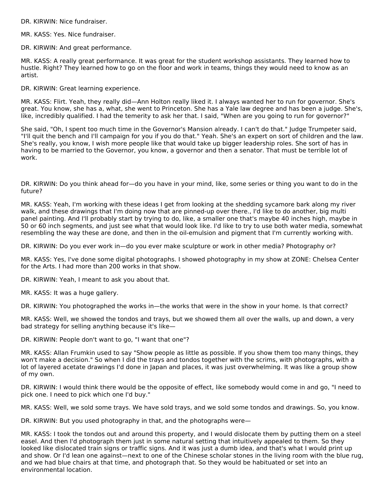DR. KIRWIN: Nice fundraiser.

MR. KASS: Yes. Nice fundraiser.

DR. KIRWIN: And great performance.

MR. KASS: A really great performance. It was great for the student workshop assistants. They learned how to hustle. Right? They learned how to go on the floor and work in teams, things they would need to know as an artist.

DR. KIRWIN: Great learning experience.

MR. KASS: Flirt. Yeah, they really did—Ann Holton really liked it. I always wanted her to run for governor. She's great. You know, she has a, what, she went to Princeton. She has a Yale law degree and has been a judge. She's, like, incredibly qualified. I had the temerity to ask her that. I said, "When are you going to run for governor?"

She said, "Oh, I spent too much time in the Governor's Mansion already. I can't do that." Judge Trumpeter said, "I'll quit the bench and I'll campaign for you if you do that." Yeah. She's an expert on sort of children and the law. She's really, you know, I wish more people like that would take up bigger leadership roles. She sort of has in having to be married to the Governor, you know, a governor and then a senator. That must be terrible lot of work.

DR. KIRWIN: Do you think ahead for—do you have in your mind, like, some series or thing you want to do in the future?

MR. KASS: Yeah, I'm working with these ideas I get from looking at the shedding sycamore bark along my river walk, and these drawings that I'm doing now that are pinned-up over there., I'd like to do another, big multi panel painting. And I'll probably start by trying to do, like, a smaller one that's maybe 40 inches high, maybe in 50 or 60 inch segments, and just see what that would look like. I'd like to try to use both water media, somewhat resembling the way these are done, and then in the oil-emulsion and pigment that I'm currently working with.

DR. KIRWIN: Do you ever work in—do you ever make sculpture or work in other media? Photography or?

MR. KASS: Yes, I've done some digital photographs. I showed photography in my show at ZONE: Chelsea Center for the Arts. I had more than 200 works in that show.

DR. KIRWIN: Yeah, I meant to ask you about that.

MR. KASS: It was a huge gallery.

DR. KIRWIN: You photographed the works in—the works that were in the show in your home. Is that correct?

MR. KASS: Well, we showed the tondos and trays, but we showed them all over the walls, up and down, a very bad strategy for selling anything because it's like—

DR. KIRWIN: People don't want to go, "I want that one"?

MR. KASS: Allan Frumkin used to say "Show people as little as possible. If you show them too many things, they won't make a decision." So when I did the trays and tondos together with the scrims, with photographs, with a lot of layered acetate drawings I'd done in Japan and places, it was just overwhelming. It was like a group show of my own.

DR. KIRWIN: I would think there would be the opposite of effect, like somebody would come in and go, "I need to pick one. I need to pick which one I'd buy."

MR. KASS: Well, we sold some trays. We have sold trays, and we sold some tondos and drawings. So, you know.

DR. KIRWIN: But you used photography in that, and the photographs were—

MR. KASS: I took the tondos out and around this property, and I would dislocate them by putting them on a steel easel. And then I'd photograph them just in some natural setting that intuitively appealed to them. So they looked like dislocated train signs or traffic signs. And it was just a dumb idea, and that's what I would print up and show. Or I'd lean one against—next to one of the Chinese scholar stones in the living room with the blue rug, and we had blue chairs at that time, and photograph that. So they would be habituated or set into an environmental location.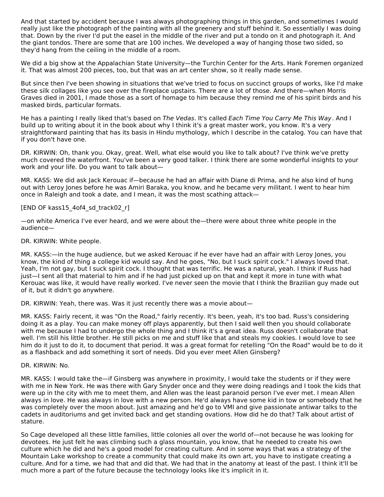And that started by accident because I was always photographing things in this garden, and sometimes I would really just like the photograph of the painting with all the greenery and stuff behind it. So essentially I was doing that. Down by the river I'd put the easel in the middle of the river and put a tondo on it and photograph it. And the giant tondos. There are some that are 100 inches. We developed a way of hanging those two sided, so they'd hang from the ceiling in the middle of a room.

We did a big show at the Appalachian State University—the Turchin Center for the Arts. Hank Foremen organized it. That was almost 200 pieces, too, but that was an art center show, so it really made sense.

But since then I've been showing in situations that we've tried to focus on succinct groups of works, like I'd make these silk collages like you see over the fireplace upstairs. There are a lot of those. And there—when Morris Graves died in 2001, I made those as a sort of homage to him because they remind me of his spirit birds and his masked birds, particular formats.

He has a painting I really liked that's based on The Vedas. It's called Each Time You Carry Me This Way. And I build up to writing about it in the book about why I think it's a great master work, you know. It's a very straightforward painting that has its basis in Hindu mythology, which I describe in the catalog. You can have that if you don't have one.

DR. KIRWIN: Oh, thank you. Okay, great. Well, what else would you like to talk about? I've think we've pretty much covered the waterfront. You've been a very good talker. I think there are some wonderful insights to your work and your life. Do you want to talk about—

MR. KASS: We did ask Jack Kerouac if—because he had an affair with Diane di Prima, and he also kind of hung out with Leroy Jones before he was Amiri Baraka, you know, and he became very militant. I went to hear him once in Raleigh and took a date, and I mean, it was the most scathing attack—

#### [END OF kass15\_4of4\_sd\_track02\_r]

—on white America I've ever heard, and we were about the—there were about three white people in the audience—

#### DR. KIRWIN: White people.

MR. KASS:—in the huge audience, but we asked Kerouac if he ever have had an affair with Leroy Jones, you know, the kind of thing a college kid would say. And he goes, "No, but I suck spirit cock." I always loved that. Yeah, I'm not gay, but I suck spirit cock. I thought that was terrific. He was a natural, yeah. I think if Russ had just—I sent all that material to him and if he had just picked up on that and kept it more in tune with what Kerouac was like, it would have really worked. I've never seen the movie that I think the Brazilian guy made out of it, but it didn't go anywhere.

DR. KIRWIN: Yeah, there was. Was it just recently there was a movie about—

MR. KASS: Fairly recent, it was "On the Road," fairly recently. It's been, yeah, it's too bad. Russ's considering doing it as a play. You can make money off plays apparently, but then I said well then you should collaborate with me because I had to undergo the whole thing and I think it's a great idea. Russ doesn't collaborate that well. I'm still his little brother. He still picks on me and stuff like that and steals my cookies. I would love to see him do it just to do it, to document that period. It was a great format for retelling "On the Road" would be to do it as a flashback and add something it sort of needs. Did you ever meet Allen Ginsberg?

### DR. KIRWIN: No.

MR. KASS: I would take the—if Ginsberg was anywhere in proximity, I would take the students or if they were with me in New York. He was there with Gary Snyder once and they were doing readings and I took the kids that were up in the city with me to meet them, and Allen was the least paranoid person I've ever met. I mean Allen always in love. He was always in love with a new person. He'd always have some kid in tow or somebody that he was completely over the moon about. Just amazing and he'd go to VMI and give passionate antiwar talks to the cadets in auditoriums and get invited back and get standing ovations. How did he do that? Talk about artist of stature.

So Cage developed all these little families, little colonies all over the world of—not because he was looking for devotees. He just felt he was climbing such a glass mountain, you know, that he needed to create his own culture which he did and he's a good model for creating culture. And in some ways that was a strategy of the Mountain Lake workshop to create a community that could make its own art, you have to instigate creating a culture. And for a time, we had that and did that. We had that in the anatomy at least of the past. I think it'll be much more a part of the future because the technology looks like it's implicit in it.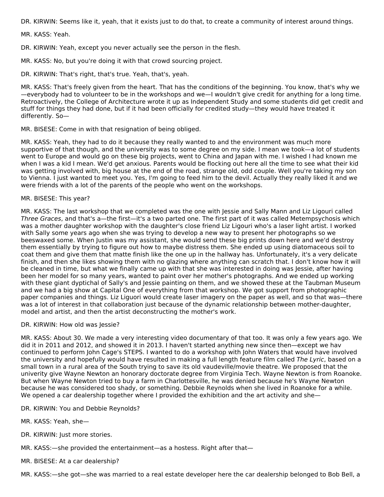DR. KIRWIN: Seems like it, yeah, that it exists just to do that, to create a community of interest around things.

MR. KASS: Yeah.

DR. KIRWIN: Yeah, except you never actually see the person in the flesh.

MR. KASS: No, but you're doing it with that crowd sourcing project.

DR. KIRWIN: That's right, that's true. Yeah, that's, yeah.

MR. KASS: That's freely given from the heart. That has the conditions of the beginning. You know, that's why we —everybody had to volunteer to be in the workshops and we—I wouldn't give credit for anything for a long time. Retroactively, the College of Architecture wrote it up as Independent Study and some students did get credit and stuff for things they had done, but if it had been officially for credited study—they would have treated it differently. So—

MR. BISESE: Come in with that resignation of being obliged.

MR. KASS: Yeah, they had to do it because they really wanted to and the environment was much more supportive of that though, and the university was to some degree on my side. I mean we took—a lot of students went to Europe and would go on these big projects, went to China and Japan with me. I wished I had known me when I was a kid I mean. We'd get anxious. Parents would be flocking out here all the time to see what their kid was getting involved with, big house at the end of the road, strange old, odd couple. Well you're taking my son to Vienna. I just wanted to meet you. Yes, I'm going to feed him to the devil. Actually they really liked it and we were friends with a lot of the parents of the people who went on the workshops.

#### MR. BISESE: This year?

MR. KASS: The last workshop that we completed was the one with Jessie and Sally Mann and Liz Ligouri called Three Graces, and that's a—the first—it's a two parted one. The first part of it was called Metempsychosis which was a mother daughter workshop with the daughter's close friend Liz Ligouri who's a laser light artist. I worked with Sally some years ago when she was trying to develop a new way to present her photographs so we beeswaxed some. When Justin was my assistant, she would send these big prints down here and we'd destroy them essentially by trying to figure out how to maybe distress them. She ended up using diatomaceous soil to coat them and give them that matte finish like the one up in the hallway has. Unfortunately, it's a very delicate finish, and then she likes showing them with no glazing where anything can scratch that. I don't know how it will be cleaned in time, but what we finally came up with that she was interested in doing was Jessie, after having been her model for so many years, wanted to paint over her mother's photographs. And we ended up working with these giant dyptichal of Sally's and Jessie painting on them, and we showed these at the Taubman Museum and we had a big show at Capital One of everything from that workshop. We got support from photographic paper companies and things. Liz Liguori would create laser imagery on the paper as well, and so that was—there was a lot of interest in that collaboration just because of the dynamic relationship between mother-daughter, model and artist, and then the artist deconstructing the mother's work.

#### DR. KIRWIN: How old was Jessie?

MR. KASS: About 30. We made a very interesting video documentary of that too. It was only a few years ago. We did it in 2011 and 2012, and showed it in 2013. I haven't started anything new since then—except we hav continued to perform John Cage's STEPS. I wanted to do a workshop with John Waters that would have involved the university and hopefully would have resulted in making a full length feature film called The Lyric, based on a small town in a rural area of the South trying to save its old vaudeville/movie theatre. We proposed that the univerity give Wayne Newton an honorary doctorate degree from Virginia Tech. Wayne Newton is from Roanoke. But when Wayne Newton tried to buy a farm in Charlottesville, he was denied because he's Wayne Newton because he was considered too shady, or something. Debbie Reynolds when she lived in Roanoke for a while. We opened a car dealership together where I provided the exhibition and the art activity and she—

DR. KIRWIN: You and Debbie Reynolds?

MR. KASS: Yeah, she—

DR. KIRWIN: Just more stories.

MR. KASS:—she provided the entertainment—as a hostess. Right after that—

MR. BISESE: At a car dealership?

MR. KASS:—she got—she was married to a real estate developer here the car dealership belonged to Bob Bell, a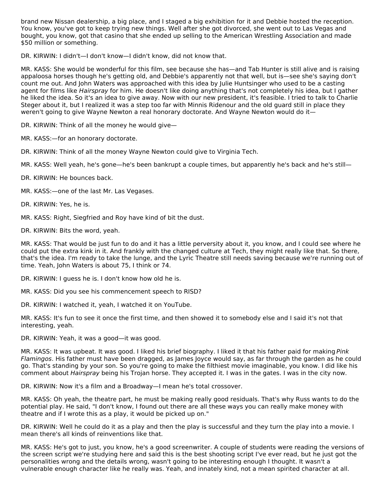brand new Nissan dealership, a big place, and I staged a big exhibition for it and Debbie hosted the reception. You know, you've got to keep trying new things. Well after she got divorced, she went out to Las Vegas and bought, you know, got that casino that she ended up selling to the American Wrestling Association and made \$50 million or something.

DR. KIRWIN: I didn't—I don't know—I didn't know, did not know that.

MR. KASS: She would be wonderful for this film, see because she has—and Tab Hunter is still alive and is raising appaloosa horses though he's getting old, and Debbie's apparently not that well, but is—see she's saying don't count me out. And John Waters was approached with this idea by Julie Huntsinger who used to be a casting agent for films like Hairspray for him. He doesn't like doing anything that's not completely his idea, but I gather he liked the idea. So it's an idea to give away. Now with our new president, it's feasible. I tried to talk to Charlie Steger about it, but I realized it was a step too far with Minnis Ridenour and the old guard still in place they weren't going to give Wayne Newton a real honorary doctorate. And Wayne Newton would do it—

DR. KIRWIN: Think of all the money he would give—

MR. KASS:—for an honorary doctorate.

DR. KIRWIN: Think of all the money Wayne Newton could give to Virginia Tech.

MR. KASS: Well yeah, he's gone—he's been bankrupt a couple times, but apparently he's back and he's still—

DR. KIRWIN: He bounces back.

MR. KASS:—one of the last Mr. Las Vegases.

DR. KIRWIN: Yes, he is.

MR. KASS: Right, Siegfried and Roy have kind of bit the dust.

DR. KIRWIN: Bits the word, yeah.

MR. KASS: That would be just fun to do and it has a little perversity about it, you know, and I could see where he could put the extra kink in it. And frankly with the changed culture at Tech, they might really like that. So there, that's the idea. I'm ready to take the lunge, and the Lyric Theatre still needs saving because we're running out of time. Yeah, John Waters is about 75, I think or 74.

DR. KIRWIN: I guess he is. I don't know how old he is.

MR. KASS: Did you see his commencement speech to RISD?

DR. KIRWIN: I watched it, yeah, I watched it on YouTube.

MR. KASS: It's fun to see it once the first time, and then showed it to somebody else and I said it's not that interesting, yeah.

DR. KIRWIN: Yeah, it was a good—it was good.

MR. KASS: It was upbeat. It was good. I liked his brief biography. I liked it that his father paid for making Pink Flamingos. His father must have been dragged, as James Joyce would say, as far through the garden as he could go. That's standing by your son. So you're going to make the filthiest movie imaginable, you know. I did like his comment about Hairspray being his Trojan horse. They accepted it. I was in the gates. I was in the city now.

DR. KIRWIN: Now it's a film and a Broadway—I mean he's total crossover.

MR. KASS: Oh yeah, the theatre part, he must be making really good residuals. That's why Russ wants to do the potential play. He said, "I don't know, I found out there are all these ways you can really make money with theatre and if I wrote this as a play, it would be picked up on."

DR. KIRWIN: Well he could do it as a play and then the play is successful and they turn the play into a movie. I mean there's all kinds of reinventions like that.

MR. KASS: He's got to just, you know, he's a good screenwriter. A couple of students were reading the versions of the screen script we're studying here and said this is the best shooting script I've ever read, but he just got the personalities wrong and the details wrong, wasn't going to be interesting enough I thought. It wasn't a vulnerable enough character like he really was. Yeah, and innately kind, not a mean spirited character at all.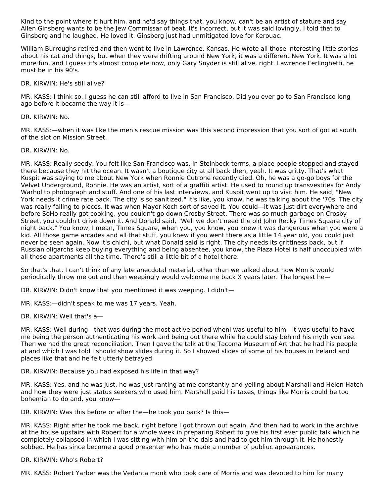Kind to the point where it hurt him, and he'd say things that, you know, can't be an artist of stature and say Allen Ginsberg wants to be the Jew Commissar of beat. It's incorrect, but it was said lovingly. I told that to Ginsberg and he laughed. He loved it. Ginsberg just had unmitigated love for Kerouac.

William Burroughs retired and then went to live in Lawrence, Kansas. He wrote all those interesting little stories about his cat and things, but when they were drifting around New York, it was a different New York. It was a lot more fun, and I guess it's almost complete now, only Gary Snyder is still alive, right. Lawrence Ferlinghetti, he must be in his 90's.

DR. KIRWIN: He's still alive?

MR. KASS: I think so. I guess he can still afford to live in San Francisco. Did you ever go to San Francisco long ago before it became the way it is—

DR. KIRWIN: No.

MR. KASS:—when it was like the men's rescue mission was this second impression that you sort of got at south of the slot on Mission Street.

DR. KIRWIN: No.

MR. KASS: Really seedy. You felt like San Francisco was, in Steinbeck terms, a place people stopped and stayed there because they hit the ocean. It wasn't a boutique city at all back then, yeah. It was gritty. That's what Kuspit was saying to me about New York when Ronnie Cutrone recently died. Oh, he was a go-go boys for the Velvet Underground, Ronnie. He was an artist, sort of a graffiti artist. He used to round up transvestites for Andy Warhol to photograph and stuff. And one of his last interviews, and Kuspit went up to visit him. He said, "New York needs it crime rate back. The city is so sanitized." It's like, you know, he was talking about the '70s. The city was really falling to pieces. It was when Mayor Koch sort of saved it. You could—it was just dirt everywhere and before SoHo really got cooking, you couldn't go down Crosby Street. There was so much garbage on Crosby Street, you couldn't drive down it. And Donald said, "Well we don't need the old John Recky Times Square city of night back." You know, I mean, Times Square, when you, you know, you knew it was dangerous when you were a kid. All those game arcades and all that stuff, you knew if you went there as a little 14 year old, you could just never be seen again. Now it's chichi, but what Donald said is right. The city needs its grittiness back, but if Russian oligarchs keep buying everything and being absentee, you know, the Plaza Hotel is half unoccupied with all those apartments all the time. There's still a little bit of a hotel there.

So that's that. I can't think of any late anecdotal material, other than we talked about how Morris would periodically throw me out and then weepingly would welcome me back X years later. The longest he—

DR. KIRWIN: Didn't know that you mentioned it was weeping. I didn't—

MR. KASS:—didn't speak to me was 17 years. Yeah.

DR. KIRWIN: Well that's a—

MR. KASS: Well during—that was during the most active period whenI was useful to him—it was useful to have me being the person authenticating his work and being out there while he could stay behind his myth you see. Then we had the great reconciliation. Then I gave the talk at the Tacoma Museum of Art that he had his people at and which I was told I should show slides during it. So I showed slides of some of his houses in Ireland and places like that and he felt utterly betrayed.

DR. KIRWIN: Because you had exposed his life in that way?

MR. KASS: Yes, and he was just, he was just ranting at me constantly and yelling about Marshall and Helen Hatch and how they were just status seekers who used him. Marshall paid his taxes, things like Morris could be too bohemian to do and, you know—

DR. KIRWIN: Was this before or after the—he took you back? Is this—

MR. KASS: Right after he took me back, right before I got thrown out again. And then had to work in the archive at the house upstairs with Robert for a whole week in preparing Robert to give his first ever public talk which he completely collapsed in which I was sitting with him on the dais and had to get him through it. He honestly sobbed. He has since become a good presenter who has made a number of publiuc appearances.

DR. KIRWIN: Who's Robert?

MR. KASS: Robert Yarber was the Vedanta monk who took care of Morris and was devoted to him for many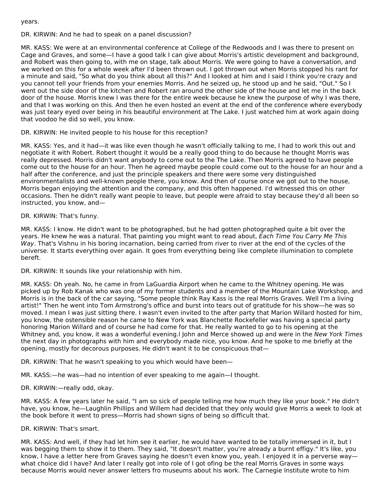years.

DR. KIRWIN: And he had to speak on a panel discussion?

MR. KASS: We were at an environmental conference at College of the Redwoods and I was there to present on Cage and Graves, and some—I have a good talk I can give about Morris's artistic development and background, and Robert was then going to, with me on stage, talk about Morris. We were going to have a conversation, and we worked on this for a whole week after I'd been thrown out. I got thrown out when Morris stopped his rant for a minute and said, "So what do you think about all this?" And I looked at him and I said I think you're crazy and you cannot tell your friends from your enemies Morris. And he seized up, he stood up and he said, "Out." So I went out the side door of the kitchen and Robert ran around the other side of the house and let me in the back door of the house. Morris knew I was there for the entire week because he knew the purpose of why I was there, and that I was working on this. And then he even hosted an event at the end of the conference where everybody was just teary eyed over being in his beautiful environment at The Lake. I just watched him at work again doing that voodoo he did so well, you know.

DR. KIRWIN: He invited people to his house for this reception?

MR. KASS: Yes, and it had—it was like even though he wasn't officially talking to me, I had to work this out and negotiate it with Robert. Robert thought it would be a really good thing to do because he thought Morris was really depressed. Morris didn't want anybody to come out to the The Lake. Then Morris agreed to have people come out to the house for an hour. Then he agreed maybe people could come out to the house for an hour and a half after the conference, and just the principle speakers and there were some very distinguished environmentalists and well-known people there, you know. And then of course once we got out to the house, Morris began enjoying the attention and the company, and this often happened. I'd witnessed this on other occasions. Then he didn't really want people to leave, but people were afraid to stay because they'd all been so instructed, you know, and—

DR. KIRWIN: That's funny.

MR. KASS: I know. He didn't want to be photographed, but he had gotten photographed quite a bit over the years. He knew he was a natural. That painting you might want to read about, Each Time You Carry Me This Way. That's Vishnu in his boring incarnation, being carried from river to river at the end of the cycles of the universe. It starts everything over again. It goes from everything being like complete illumination to complete bereft.

DR. KIRWIN: It sounds like your relationship with him.

MR. KASS: Oh yeah. No, he came in from LaGuardia Airport when he came to the Whitney opening. He was picked up by Rob Kanak who was one of my former students and a member of the Mountain Lake Workshop, and Morris is in the back of the car saying, "Some people think Ray Kass is the real Morris Graves. Well I'm a living artist!" Then he went into Tom Armstrong's office and burst into tears out of gratitude for his show—he was so moved. I mean I was just sitting there. I wasn't even invited to the after party that Marion Willard hosted for him, you know, the ostensible reason he came to New York was Blanchette Rockefeller was having a special party honoring Marion Willard and of course he had come for that. He really wanted to go to his opening at the Whitney and, you know, it was a wonderful evening. John and Merce showed up and were in the New York Times the next day in photographs with him and everybody made nice, you know. And he spoke to me briefly at the opening, mostly for decorous purposes. He didn't want it to be conspicuous that—

DR. KIRWIN: That he wasn't speaking to you which would have been—

MR. KASS:—he was—had no intention of ever speaking to me again—I thought.

DR. KIRWIN:—really odd, okay.

MR. KASS: A few years later he said, "I am so sick of people telling me how much they like your book." He didn't have, you know, he—Laughlin Phillips and Willem had decided that they only would give Morris a week to look at the book before it went to press—Morris had shown signs of being so difficult that.

DR. KIRWIN: That's smart.

MR. KASS: And well, if they had let him see it earlier, he would have wanted to be totally immersed in it, but I was begging them to show it to them. They said, "It doesn't matter, you're already a burnt effigy." It's like, you know, I have a letter here from Graves saying he doesn't even know you, yeah. I enjoyed it in a perverse way what choice did I have? And later I really got into role of I got ofing be the real Morris Graves in some ways because Morris would never answer letters fro museums about his work. The Carnegie Institute wrote to him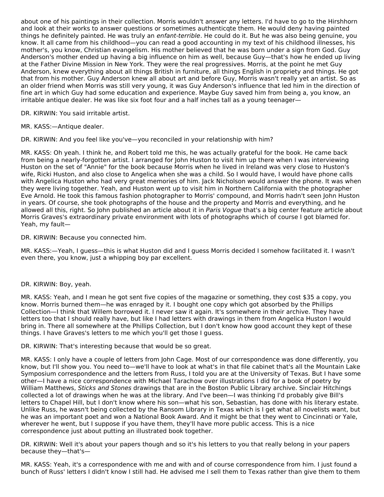about one of his paintings in their collection. Morris wouldn't answer any letters. I'd have to go to the Hirshhorn and look at their works to answer questions or sometimes authenticqte them. He would deny having painted things he definitely painted. He was truly an enfant-terrible. He could do it. But he was also being genuine, you know. It all came from his childhood—you can read a good accounting in my text of his childhood illnesses, his mother's, you know, Christian evangelism. His mother believed that he was born under a sign from God. Guy Anderson's mother ended up having a big influence on him as well, because Guy—that's how he ended up living at the Father Divine Mission in New York. They were the real progressives. Morris, at the point he met Guy Anderson, knew everything about all things British in furniture, all things English in propriety and things. He got that from his mother. Guy Anderson knew all about art and before Guy, Morris wasn't really yet an artist. So as an older friend when Morris was still very young, it was Guy Anderson's influence that led him in the direction of fine art in which Guy had some education and experience. Maybe Guy saved him from being a, you know, an irritable antique dealer. He was like six foot four and a half inches tall as a young teenager—

DR. KIRWIN: You said irritable artist.

MR. KASS:—Antique dealer.

DR. KIRWIN: And you feel like you've—you reconciled in your relationship with him?

MR. KASS: Oh yeah. I think he, and Robert told me this, he was actually grateful for the book. He came back from being a nearly-forgotten artist. I arranged for John Huston to visit him up there when I was interviewing Huston on the set of "Annie" for the book because Morris when he lived in Ireland was very close to Huston's wife, Ricki Huston, and also close to Angelica when she was a child. So I would have, I would have phone calls with Angelica Huston who had very great memories of him. Jack Nicholson would answer the phone. It was when they were living together. Yeah, and Huston went up to visit him in Northern California with the photographer Eve Arnold. He took this famous fashion photographer to Morris' compound, and Morris hadn't seen John Huston in years. Of course, she took photographs of the house and the property and Morris and everything, and he allowed all this, right. So John published an article about it in Paris Vogue that's a big center feature article about Morris Graves's extraordinary private environment with lots of photographs which of course I got blamed for. Yeah, my fault—

DR. KIRWIN: Because you connected him.

MR. KASS:—Yeah, I guess—this is what Huston did and I guess Morris decided I somehow facilitated it. I wasn't even there, you know, just a whipping boy par excellent.

#### DR. KIRWIN: Boy, yeah.

MR. KASS: Yeah, and I mean he got sent five copies of the magazine or something, they cost \$35 a copy, you know. Morris burned them—he was enraged by it. I bought one copy which got absorbed by the Phillips Collection—I think that Willem borrowed it. I never saw it again. It's somewhere in their archive. They have letters too that I should really have, but like I had letters with drawings in them from Angelica Huston I would bring in. There all somewhere at the Phillips Collection, but I don't know how good account they kept of these things. I have Graves's letters to me which you'll get those I guess.

DR. KIRWIN: That's interesting because that would be so great.

MR. KASS: I only have a couple of letters from John Cage. Most of our correspondence was done differently, you know, but I'll show you. You need to—we'll have to look at what's in that file cabinet that's all the Mountain Lake Symposium correspondence and the letters from Russ, I told you are at the University of Texas. But I have some other—I have a nice correspondence with Michael Tarachow over illustrations I did for a book of poetry by William Matthews, Sticks and Stones drawings that are in the Boston Public Library archive. Sinclair Hitchings collected a lot of drawings when he was at the library. And I've been—I was thinking I'd probably give Bill's letters to Chapel Hill, but I don't know where his son—what his son, Sebastian, has done with his literary estate. Unlike Russ, he wasn't being collected by the Ransom Library in Texas which is I get what all novelists want, but he was an important poet and won a National Book Award. And it might be that they went to Cincinnati or Yale, wherever he went, but I suppose if you have them, they'll have more public access. This is a nice correspondence just about putting an illustrated book together.

DR. KIRWIN: Well it's about your papers though and so it's his letters to you that really belong in your papers because they—that's—

MR. KASS: Yeah, it's a correspondence with me and with and of course correspondence from him. I just found a bunch of Russ' letters I didn't know I still had. He advised me I sell them to Texas rather than give them to them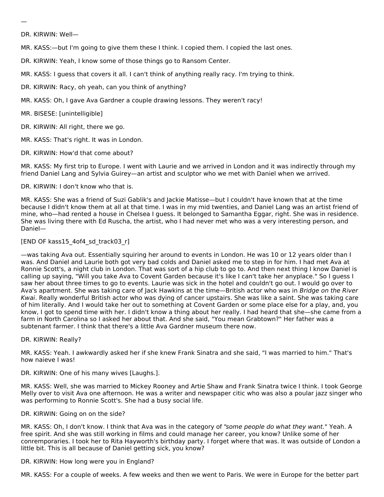—

DR. KIRWIN: Well—

MR. KASS:—but I'm going to give them these I think. I copied them. I copied the last ones.

DR. KIRWIN: Yeah, I know some of those things go to Ransom Center.

MR. KASS: I guess that covers it all. I can't think of anything really racy. I'm trying to think.

DR. KIRWIN: Racy, oh yeah, can you think of anything?

MR. KASS: Oh, I gave Ava Gardner a couple drawing lessons. They weren't racy!

MR. BISESE: [unintelligible]

DR. KIRWIN: All right, there we go.

MR. KASS: That's right. It was in London.

DR. KIRWIN: How'd that come about?

MR. KASS: My first trip to Europe. I went with Laurie and we arrived in London and it was indirectly through my friend Daniel Lang and Sylvia Guirey—an artist and sculptor who we met with Daniel when we arrived.

DR. KIRWIN: I don't know who that is.

MR. KASS: She was a friend of Suzi Gablik's and Jackie Matisse—but I couldn't have known that at the time because I didn't know them at all at that time. I was in my mid twenties, and Daniel Lang was an artist friend of mine, who—had rented a house in Chelsea I guess. It belonged to Samantha Eggar, right. She was in residence. She was living there with Ed Ruscha, the artist, who I had never met who was a very interesting person, and Daniel—

# [END OF kass15\_4of4\_sd\_track03\_r]

—was taking Ava out. Essentially squiring her around to events in London. He was 10 or 12 years older than I was. And Daniel and Laurie both got very bad colds and Daniel asked me to step in for him. I had met Ava at Ronnie Scott's, a night club in London. That was sort of a hip club to go to. And then next thing I know Daniel is calling up saying, "Will you take Ava to Covent Garden because it's like I can't take her anyplace." So I guess I saw her about three times to go to events. Laurie was sick in the hotel and couldn't go out. I would go over to Ava's apartment. She was taking care of Jack Hawkins at the time—British actor who was in Bridge on the River Kwai. Really wonderful British actor who was dying of cancer upstairs. She was like a saint. She was taking care of him literally. And I would take her out to something at Covent Garden or some place else for a play, and, you know, I got to spend time with her. I didn't know a thing about her really. I had heard that she—she came from a farm in North Carolina so I asked her about that. And she said, "You mean Grabtown?" Her father was a subtenant farmer. I think that there's a little Ava Gardner museum there now.

#### DR. KIRWIN: Really?

MR. KASS: Yeah. I awkwardly asked her if she knew Frank Sinatra and she said, "I was married to him." That's how naieve I was!

## DR. KIRWIN: One of his many wives [Laughs.].

MR. KASS: Well, she was married to Mickey Rooney and Artie Shaw and Frank Sinatra twice I think. I took George Melly over to visit Ava one afternoon. He was a writer and newspaper citic who was also a poular jazz singer who was performing to Ronnie Scott's. She had a busy social life.

## DR. KIRWIN: Going on on the side?

MR. KASS: Oh, I don't know. I think that Ava was in the category of "some people do what they want." Yeah. A free spirit. And she was still working in films and could manage her career, you know? Unlike some of her conremporaries. I took her to Rita Hayworth's birthday party. I forget where that was. It was outside of London a little bit. This is all because of Daniel getting sick, you know?

DR. KIRWIN: How long were you in England?

MR. KASS: For a couple of weeks. A few weeks and then we went to Paris. We were in Europe for the better part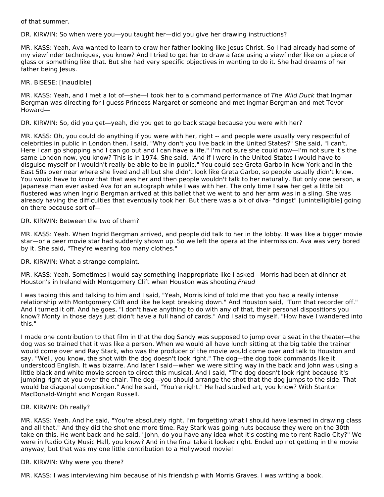of that summer.

DR. KIRWIN: So when were you—you taught her—did you give her drawing instructions?

MR. KASS: Yeah, Ava wanted to learn to draw her father looking like Jesus Christ. So I had already had some of my viewfinder techniques, you know? And I tried to get her to draw a face using a viewfinder like on a piece of glass or something like that. But she had very specific objectives in wanting to do it. She had dreams of her father being Jesus.

## MR. BISESE: [inaudible]

MR. KASS: Yeah, and I met a lot of—she—I took her to a command performance of The Wild Duck that Ingmar Bergman was directing for I guess Princess Margaret or someone and met Ingmar Bergman and met Tevor Howard—

DR. KIRWIN: So, did you get—yeah, did you get to go back stage because you were with her?

MR. KASS: Oh, you could do anything if you were with her, right -- and people were usually very respectful of celebrities in public in London then. I said, "Why don't you live back in the United States?" She said, "I can't. Here I can go shopping and I can go out and I can have a life." I'm not sure she could now—I'm not sure it's the same London now, you know? This is in 1974. She said, "And if I were in the United States I would have to disguise myself or I wouldn't really be able to be in public." You could see Greta Garbo in New York and in the East 50s over near where she lived and all but she didn't look like Greta Garbo, so people usually didn't know. You would have to know that that was her and then people wouldn't talk to her naturally. But only one person, a Japanese man ever asked Ava for an autograph while I was with her. The only time I saw her get a little bit flustered was when Ingrid Bergman arrived at this ballet that we went to and her arm was in a sling. She was already having the difficulties that eventually took her. But there was a bit of diva- "dingst" [unintelligible] going on there because sort of—

### DR. KIRWIN: Between the two of them?

MR. KASS: Yeah. When Ingrid Bergman arrived, and people did talk to her in the lobby. It was like a bigger movie star—or a peer movie star had suddenly shown up. So we left the opera at the intermission. Ava was very bored by it. She said, "They're wearing too many clothes."

DR. KIRWIN: What a strange complaint.

MR. KASS: Yeah. Sometimes I would say something inappropriate like I asked—Morris had been at dinner at Houston's in Ireland with Montgomery Clift when Houston was shooting Freud

I was taping this and talking to him and I said, "Yeah, Morris kind of told me that you had a really intense relationship with Montgomery Clift and like he kept breaking down." And Houston said, "Turn that recorder off." And I turned it off. And he goes, "I don't have anything to do with any of that, their personal dispositions you know? Monty in those days just didn't have a full hand of cards." And I said to myself, "How have I wandered into this."

I made one contribution to that film in that the dog Sandy was supposed to jump over a seat in the theater—the dog was so trained that it was like a person. When we would all have lunch sitting at the big table the trainer would come over and Ray Stark, who was the producer of the movie would come over and talk to Houston and say, "Well, you know, the shot with the dog doesn't look right." The dog—the dog took commands like it understood English. It was bizarre. And later I said—when we were sitting way in the back and John was using a little black and white movie screen to direct this musical. And I said, "The dog doesn't look right because it's jumping right at you over the chair. The dog—you should arrange the shot that the dog jumps to the side. That would be diagonal composition." And he said, "You're right." He had studied art, you know? With Stanton MacDonald-Wright and Morgan Russell.

## DR. KIRWIN: Oh really?

MR. KASS: Yeah. And he said, "You're absolutely right. I'm forgetting what I should have learned in drawing class and all that." And they did the shot one more time. Ray Stark was going nuts because they were on the 30th take on this. He went back and he said, "John, do you have any idea what it's costing me to rent Radio City?" We were in Radio City Music Hall, you know? And in the final take it looked right. Ended up not getting in the movie anyway, but that was my one little contribution to a Hollywood movie!

## DR. KIRWIN: Why were you there?

MR. KASS: I was interviewing him because of his friendship with Morris Graves. I was writing a book.